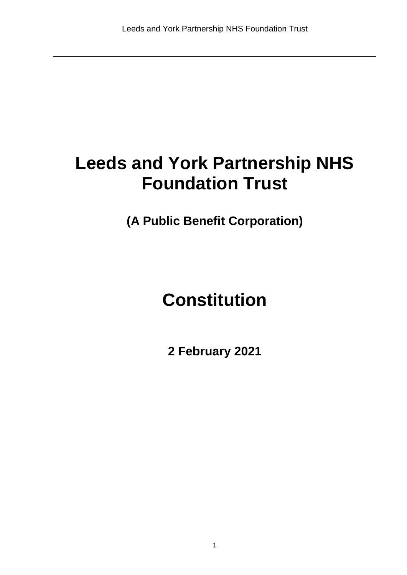# **Leeds and York Partnership NHS Foundation Trust**

**(A Public Benefit Corporation)** 

# **Constitution**

**2 February 2021**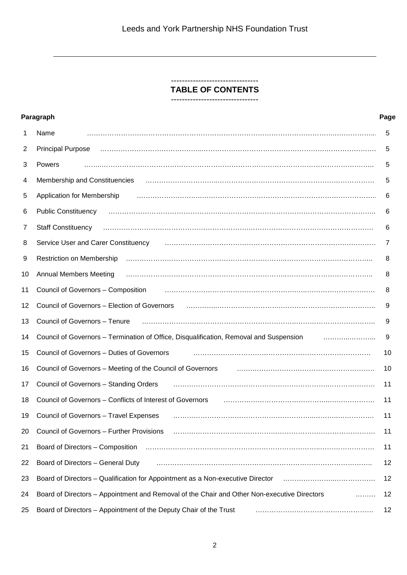## -------------------------------- **TABLE OF CONTENTS**

--------------------------------

|                | Paragraph                                                                                                                                                                                                                            | Page |
|----------------|--------------------------------------------------------------------------------------------------------------------------------------------------------------------------------------------------------------------------------------|------|
| 1              | Name                                                                                                                                                                                                                                 | 5    |
| $\overline{2}$ | <b>Principal Purpose</b>                                                                                                                                                                                                             | 5    |
| 3              | Powers                                                                                                                                                                                                                               | 5    |
| 4              | Membership and Constituencies                                                                                                                                                                                                        | 5    |
| 5              | Application for Membership                                                                                                                                                                                                           | 6    |
| 6              |                                                                                                                                                                                                                                      | 6    |
| 7              | <b>Staff Constituency</b>                                                                                                                                                                                                            | 6    |
| 8              | Service User and Carer Constituency                                                                                                                                                                                                  | 7    |
| 9              | Restriction on Membership                                                                                                                                                                                                            | 8    |
| 10             | <b>Annual Members Meeting</b>                                                                                                                                                                                                        | 8    |
| 11             | Council of Governors - Composition                                                                                                                                                                                                   | 8    |
| 12             | Council of Governors - Election of Governors                                                                                                                                                                                         | 9    |
| 13             | Council of Governors - Tenure                                                                                                                                                                                                        | 9    |
| 14             | Council of Governors - Termination of Office, Disqualification, Removal and Suspension                                                                                                                                               | 9    |
| 15             | Council of Governors - Duties of Governors                                                                                                                                                                                           | 10   |
| 16             | Council of Governors - Meeting of the Council of Governors                                                                                                                                                                           | 10   |
| 17             | Council of Governors - Standing Orders                                                                                                                                                                                               | 11   |
| 18             | Council of Governors - Conflicts of Interest of Governors <b>Face Access 100 and 100 and 100 and 100 and 100 and 100 and 100 and 100 and 100 and 100 and 100 and 100 and 100 and 100 and 100 and 100 and 100 and 100 and 100 and</b> | 11   |
| 19             | Council of Governors - Travel Expenses                                                                                                                                                                                               | 11   |
| 20             | Council of Governors - Further Provisions                                                                                                                                                                                            | 11   |
| 21             | Board of Directors – Composition (and according contract in the control of the composition of the composition                                                                                                                        | 11   |
| 22             | Board of Directors - General Duty                                                                                                                                                                                                    | 12   |
| 23             | Board of Directors – Qualification for Appointment as a Non-executive Director (all manuminally manuminally ma                                                                                                                       | 12   |
| 24             | Board of Directors - Appointment and Removal of the Chair and Other Non-executive Directors                                                                                                                                          | 12   |
| 25             | Board of Directors - Appointment of the Deputy Chair of the Trust                                                                                                                                                                    | 12   |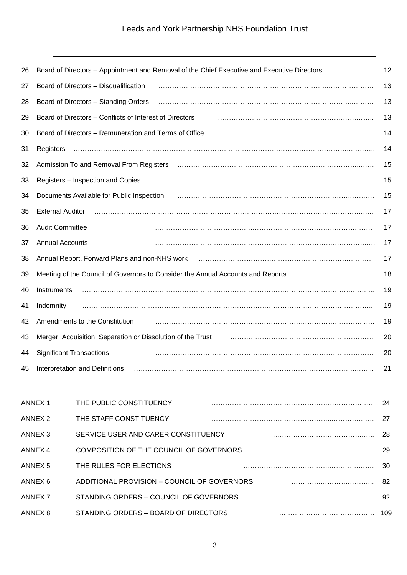| 26 | Board of Directors - Appointment and Removal of the Chief Executive and Executive Directors<br>.                                                                                                                               | 12 |
|----|--------------------------------------------------------------------------------------------------------------------------------------------------------------------------------------------------------------------------------|----|
| 27 | Board of Directors - Disqualification                                                                                                                                                                                          | 13 |
| 28 | Board of Directors - Standing Orders                                                                                                                                                                                           | 13 |
| 29 | Board of Directors - Conflicts of Interest of Directors                                                                                                                                                                        | 13 |
| 30 | Board of Directors - Remuneration and Terms of Office                                                                                                                                                                          | 14 |
| 31 | Registers                                                                                                                                                                                                                      | 14 |
| 32 | Admission To and Removal From Registers (and according contract of the Registers of Admission To and Removal From Registers (and according continuum of Administration of Administration of Administration of Administration o | 15 |
| 33 | Registers - Inspection and Copies                                                                                                                                                                                              | 15 |
| 34 | Documents Available for Public Inspection (2008) (2008) (2008) (2008) (2008) (2008) (2008) (2008) (2008) (2008)                                                                                                                | 15 |
| 35 | <b>External Auditor</b>                                                                                                                                                                                                        | 17 |
| 36 | <b>Audit Committee</b>                                                                                                                                                                                                         | 17 |
| 37 | <b>Annual Accounts</b>                                                                                                                                                                                                         | 17 |
| 38 |                                                                                                                                                                                                                                | 17 |
| 39 | Meeting of the Council of Governors to Consider the Annual Accounts and Reports                                                                                                                                                | 18 |
| 40 | Instruments                                                                                                                                                                                                                    | 19 |
| 41 | Indemnity                                                                                                                                                                                                                      | 19 |
| 42 | Amendments to the Constitution                                                                                                                                                                                                 | 19 |
| 43 |                                                                                                                                                                                                                                | 20 |
| 44 | <b>Significant Transactions</b>                                                                                                                                                                                                | 20 |
| 45 | Interpretation and Definitions                                                                                                                                                                                                 | 21 |

| ANNEX 1            | THE PUBLIC CONSTITUENCY                     | 24  |
|--------------------|---------------------------------------------|-----|
| ANNEX <sub>2</sub> | THE STAFF CONSTITUENCY                      | 27  |
| ANNEX <sub>3</sub> | SERVICE USER AND CARER CONSTITUENCY         | 28  |
| ANNEX 4            | COMPOSITION OF THE COUNCIL OF GOVERNORS     | 29  |
| ANNEX 5            | THE RULES FOR ELECTIONS                     | 30  |
| ANNEX 6            | ADDITIONAL PROVISION - COUNCIL OF GOVERNORS | 82  |
| <b>ANNEX 7</b>     | STANDING ORDERS - COUNCIL OF GOVERNORS      | 92  |
| ANNEX 8            | STANDING ORDERS - BOARD OF DIRECTORS        | 109 |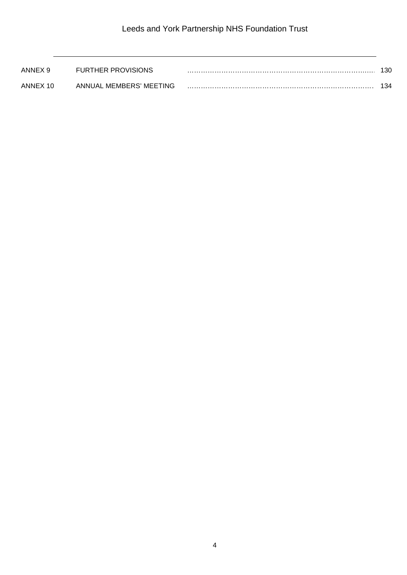| ANNEX 9  | <b>FURTHER PROVISIONS</b> | 130 |
|----------|---------------------------|-----|
| ANNEX 10 | ANNUAL MEMBERS' MEETING   | 134 |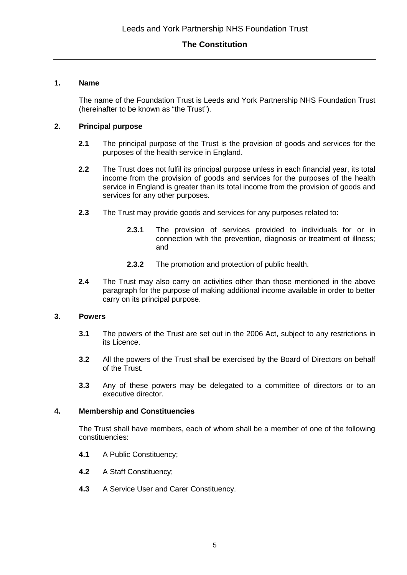#### **1. Name**

The name of the Foundation Trust is Leeds and York Partnership NHS Foundation Trust (hereinafter to be known as "the Trust").

## **2. Principal purpose**

- **2.1** The principal purpose of the Trust is the provision of goods and services for the purposes of the health service in England.
- **2.2** The Trust does not fulfil its principal purpose unless in each financial year, its total income from the provision of goods and services for the purposes of the health service in England is greater than its total income from the provision of goods and services for any other purposes.
- **2.3** The Trust may provide goods and services for any purposes related to:
	- **2.3.1** The provision of services provided to individuals for or in connection with the prevention, diagnosis or treatment of illness; and
	- **2.3.2** The promotion and protection of public health.
- **2.4** The Trust may also carry on activities other than those mentioned in the above paragraph for the purpose of making additional income available in order to better carry on its principal purpose.

#### **3. Powers**

- **3.1** The powers of the Trust are set out in the 2006 Act, subject to any restrictions in its Licence.
- **3.2** All the powers of the Trust shall be exercised by the Board of Directors on behalf of the Trust.
- **3.3** Any of these powers may be delegated to a committee of directors or to an executive director.

#### **4. Membership and Constituencies**

The Trust shall have members, each of whom shall be a member of one of the following constituencies:

- **4.1** A Public Constituency;
- **4.2** A Staff Constituency;
- **4.3** A Service User and Carer Constituency.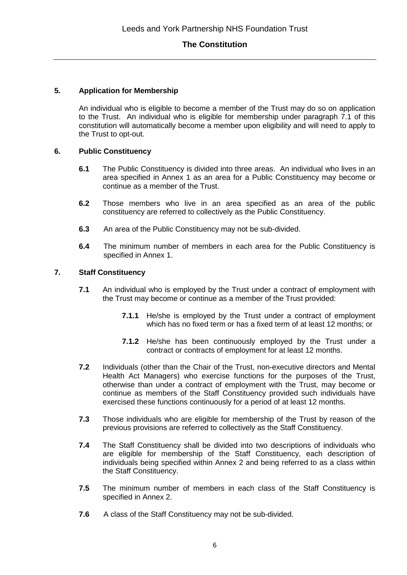#### **5. Application for Membership**

An individual who is eligible to become a member of the Trust may do so on application to the Trust. An individual who is eligible for membership under paragraph 7.1 of this constitution will automatically become a member upon eligibility and will need to apply to the Trust to opt-out.

#### **6. Public Constituency**

- **6.1** The Public Constituency is divided into three areas. An individual who lives in an area specified in Annex 1 as an area for a Public Constituency may become or continue as a member of the Trust.
- **6.2** Those members who live in an area specified as an area of the public constituency are referred to collectively as the Public Constituency.
- **6.3** An area of the Public Constituency may not be sub-divided.
- **6.4** The minimum number of members in each area for the Public Constituency is specified in Annex 1.

#### **7. Staff Constituency**

- **7.1** An individual who is employed by the Trust under a contract of employment with the Trust may become or continue as a member of the Trust provided:
	- **7.1.1** He/she is employed by the Trust under a contract of employment which has no fixed term or has a fixed term of at least 12 months; or
	- **7.1.2** He/she has been continuously employed by the Trust under a contract or contracts of employment for at least 12 months.
- **7.2** Individuals (other than the Chair of the Trust, non-executive directors and Mental Health Act Managers) who exercise functions for the purposes of the Trust, otherwise than under a contract of employment with the Trust, may become or continue as members of the Staff Constituency provided such individuals have exercised these functions continuously for a period of at least 12 months.
- **7.3** Those individuals who are eligible for membership of the Trust by reason of the previous provisions are referred to collectively as the Staff Constituency.
- **7.4** The Staff Constituency shall be divided into two descriptions of individuals who are eligible for membership of the Staff Constituency, each description of individuals being specified within Annex 2 and being referred to as a class within the Staff Constituency.
- **7.5** The minimum number of members in each class of the Staff Constituency is specified in Annex 2.
- **7.6** A class of the Staff Constituency may not be sub-divided.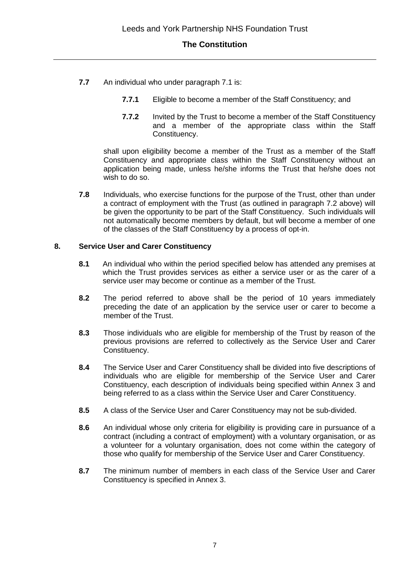- **7.7** An individual who under paragraph 7.1 is:
	- **7.7.1** Eligible to become a member of the Staff Constituency; and
	- **7.7.2** Invited by the Trust to become a member of the Staff Constituency and a member of the appropriate class within the Staff Constituency.

shall upon eligibility become a member of the Trust as a member of the Staff Constituency and appropriate class within the Staff Constituency without an application being made, unless he/she informs the Trust that he/she does not wish to do so.

**7.8** Individuals, who exercise functions for the purpose of the Trust, other than under a contract of employment with the Trust (as outlined in paragraph 7.2 above) will be given the opportunity to be part of the Staff Constituency. Such individuals will not automatically become members by default, but will become a member of one of the classes of the Staff Constituency by a process of opt-in.

#### **8. Service User and Carer Constituency**

- **8.1** An individual who within the period specified below has attended any premises at which the Trust provides services as either a service user or as the carer of a service user may become or continue as a member of the Trust.
- **8.2** The period referred to above shall be the period of 10 years immediately preceding the date of an application by the service user or carer to become a member of the Trust.
- **8.3** Those individuals who are eligible for membership of the Trust by reason of the previous provisions are referred to collectively as the Service User and Carer Constituency.
- **8.4** The Service User and Carer Constituency shall be divided into five descriptions of individuals who are eligible for membership of the Service User and Carer Constituency, each description of individuals being specified within Annex 3 and being referred to as a class within the Service User and Carer Constituency.
- **8.5** A class of the Service User and Carer Constituency may not be sub-divided.
- **8.6** An individual whose only criteria for eligibility is providing care in pursuance of a contract (including a contract of employment) with a voluntary organisation, or as a volunteer for a voluntary organisation, does not come within the category of those who qualify for membership of the Service User and Carer Constituency.
- **8.7** The minimum number of members in each class of the Service User and Carer Constituency is specified in Annex 3.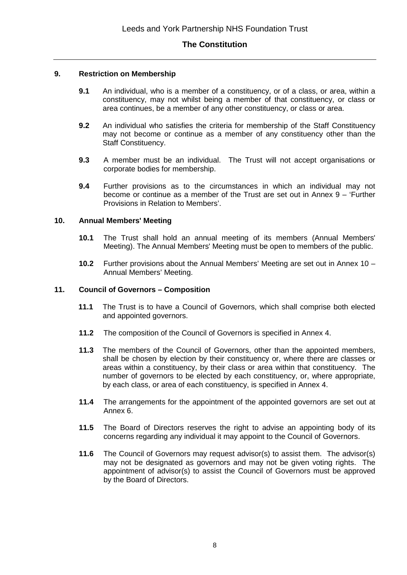#### **9. Restriction on Membership**

- **9.1** An individual, who is a member of a constituency, or of a class, or area, within a constituency, may not whilst being a member of that constituency, or class or area continues, be a member of any other constituency, or class or area.
- **9.2** An individual who satisfies the criteria for membership of the Staff Constituency may not become or continue as a member of any constituency other than the Staff Constituency.
- **9.3** A member must be an individual. The Trust will not accept organisations or corporate bodies for membership.
- **9.4** Further provisions as to the circumstances in which an individual may not become or continue as a member of the Trust are set out in Annex 9 – 'Further Provisions in Relation to Members'.

#### **10. Annual Members' Meeting**

- **10.1** The Trust shall hold an annual meeting of its members (Annual Members' Meeting). The Annual Members' Meeting must be open to members of the public.
- **10.2** Further provisions about the Annual Members' Meeting are set out in Annex 10 Annual Members' Meeting.

#### **11. Council of Governors – Composition**

- **11.1** The Trust is to have a Council of Governors, which shall comprise both elected and appointed governors.
- **11.2** The composition of the Council of Governors is specified in Annex 4.
- **11.3** The members of the Council of Governors, other than the appointed members, shall be chosen by election by their constituency or, where there are classes or areas within a constituency, by their class or area within that constituency. The number of governors to be elected by each constituency, or, where appropriate, by each class, or area of each constituency, is specified in Annex 4.
- **11.4** The arrangements for the appointment of the appointed governors are set out at Annex 6.
- **11.5** The Board of Directors reserves the right to advise an appointing body of its concerns regarding any individual it may appoint to the Council of Governors.
- **11.6** The Council of Governors may request advisor(s) to assist them. The advisor(s) may not be designated as governors and may not be given voting rights. The appointment of advisor(s) to assist the Council of Governors must be approved by the Board of Directors.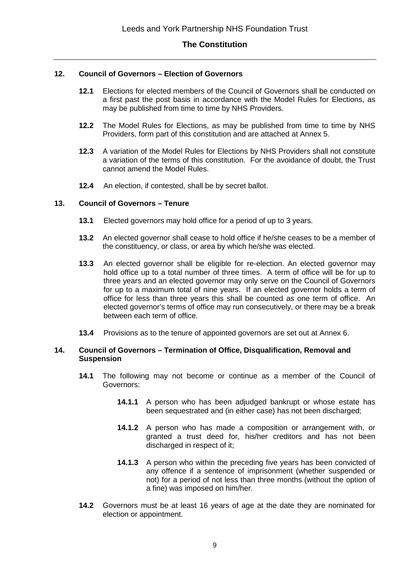#### **12. Council of Governors – Election of Governors**

- **12.1** Elections for elected members of the Council of Governors shall be conducted on a first past the post basis in accordance with the Model Rules for Elections, as may be published from time to time by NHS Providers.
- **12.2** The Model Rules for Elections, as may be published from time to time by NHS Providers, form part of this constitution and are attached at Annex 5.
- **12.3** A variation of the Model Rules for Elections by NHS Providers shall not constitute a variation of the terms of this constitution. For the avoidance of doubt, the Trust cannot amend the Model Rules.
- **12.4** An election, if contested, shall be by secret ballot.

#### **13. Council of Governors – Tenure**

- **13.1** Elected governors may hold office for a period of up to 3 years.
- **13.2** An elected governor shall cease to hold office if he/she ceases to be a member of the constituency, or class, or area by which he/she was elected.
- **13.3** An elected governor shall be eligible for re-election. An elected governor may hold office up to a total number of three times. A term of office will be for up to three years and an elected governor may only serve on the Council of Governors for up to a maximum total of nine years. If an elected governor holds a term of office for less than three years this shall be counted as one term of office. An elected governor's terms of office may run consecutively, or there may be a break between each term of office.
- **13.4** Provisions as to the tenure of appointed governors are set out at Annex 6.

#### **14. Council of Governors – Termination of Office, Disqualification, Removal and Suspension**

- **14.1** The following may not become or continue as a member of the Council of Governors:
	- **14.1.1** A person who has been adjudged bankrupt or whose estate has been sequestrated and (in either case) has not been discharged;
	- **14.1.2** A person who has made a composition or arrangement with, or granted a trust deed for, his/her creditors and has not been discharged in respect of it;
	- **14.1.3** A person who within the preceding five years has been convicted of any offence if a sentence of imprisonment (whether suspended or not) for a period of not less than three months (without the option of a fine) was imposed on him/her.
- **14.2** Governors must be at least 16 years of age at the date they are nominated for election or appointment.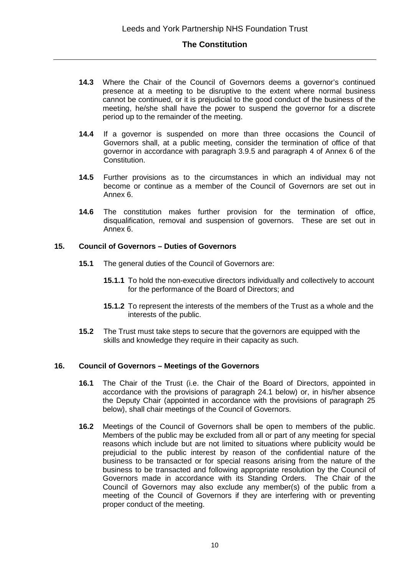- **14.3** Where the Chair of the Council of Governors deems a governor's continued presence at a meeting to be disruptive to the extent where normal business cannot be continued, or it is prejudicial to the good conduct of the business of the meeting, he/she shall have the power to suspend the governor for a discrete period up to the remainder of the meeting.
- **14.4** If a governor is suspended on more than three occasions the Council of Governors shall, at a public meeting, consider the termination of office of that governor in accordance with paragraph 3.9.5 and paragraph 4 of Annex 6 of the Constitution.
- **14.5** Further provisions as to the circumstances in which an individual may not become or continue as a member of the Council of Governors are set out in Annex 6.
- **14.6** The constitution makes further provision for the termination of office, disqualification, removal and suspension of governors. These are set out in Annex 6.

#### **15. Council of Governors – Duties of Governors**

- **15.1** The general duties of the Council of Governors are:
	- **15.1.1** To hold the non-executive directors individually and collectively to account for the performance of the Board of Directors; and
	- **15.1.2** To represent the interests of the members of the Trust as a whole and the interests of the public.
- **15.2** The Trust must take steps to secure that the governors are equipped with the skills and knowledge they require in their capacity as such.

#### **16. Council of Governors – Meetings of the Governors**

- **16.1** The Chair of the Trust (i.e. the Chair of the Board of Directors, appointed in accordance with the provisions of paragraph 24.1 below) or, in his/her absence the Deputy Chair (appointed in accordance with the provisions of paragraph 25 below), shall chair meetings of the Council of Governors.
- **16.2** Meetings of the Council of Governors shall be open to members of the public. Members of the public may be excluded from all or part of any meeting for special reasons which include but are not limited to situations where publicity would be prejudicial to the public interest by reason of the confidential nature of the business to be transacted or for special reasons arising from the nature of the business to be transacted and following appropriate resolution by the Council of Governors made in accordance with its Standing Orders. The Chair of the Council of Governors may also exclude any member(s) of the public from a meeting of the Council of Governors if they are interfering with or preventing proper conduct of the meeting.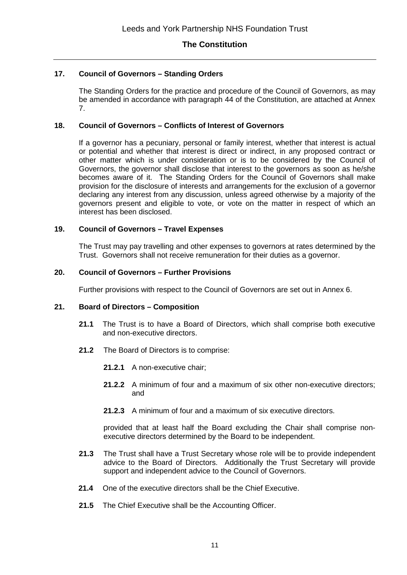#### **17. Council of Governors – Standing Orders**

The Standing Orders for the practice and procedure of the Council of Governors, as may be amended in accordance with paragraph 44 of the Constitution, are attached at Annex 7.

#### **18. Council of Governors – Conflicts of Interest of Governors**

If a governor has a pecuniary, personal or family interest, whether that interest is actual or potential and whether that interest is direct or indirect, in any proposed contract or other matter which is under consideration or is to be considered by the Council of Governors, the governor shall disclose that interest to the governors as soon as he/she becomes aware of it. The Standing Orders for the Council of Governors shall make provision for the disclosure of interests and arrangements for the exclusion of a governor declaring any interest from any discussion, unless agreed otherwise by a majority of the governors present and eligible to vote, or vote on the matter in respect of which an interest has been disclosed.

#### **19. Council of Governors – Travel Expenses**

The Trust may pay travelling and other expenses to governors at rates determined by the Trust. Governors shall not receive remuneration for their duties as a governor.

#### **20. Council of Governors – Further Provisions**

Further provisions with respect to the Council of Governors are set out in Annex 6.

#### **21. Board of Directors – Composition**

- **21.1** The Trust is to have a Board of Directors, which shall comprise both executive and non-executive directors.
- **21.2** The Board of Directors is to comprise:
	- **21.2.1** A non-executive chair;
	- **21.2.2** A minimum of four and a maximum of six other non-executive directors; and
	- **21.2.3** A minimum of four and a maximum of six executive directors.

provided that at least half the Board excluding the Chair shall comprise nonexecutive directors determined by the Board to be independent.

- **21.3** The Trust shall have a Trust Secretary whose role will be to provide independent advice to the Board of Directors. Additionally the Trust Secretary will provide support and independent advice to the Council of Governors.
- **21.4** One of the executive directors shall be the Chief Executive.
- **21.5** The Chief Executive shall be the Accounting Officer.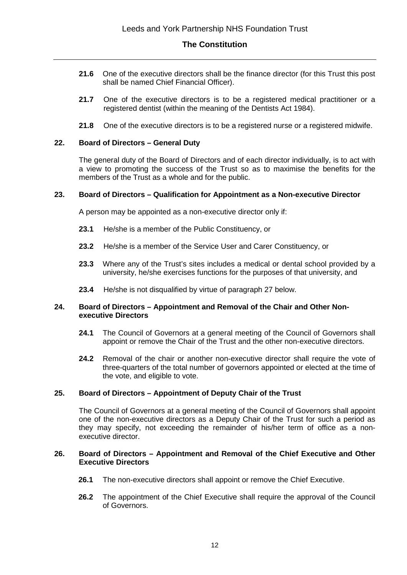- **21.6** One of the executive directors shall be the finance director (for this Trust this post shall be named Chief Financial Officer).
- **21.7** One of the executive directors is to be a registered medical practitioner or a registered dentist (within the meaning of the Dentists Act 1984).
- **21.8** One of the executive directors is to be a registered nurse or a registered midwife.

#### **22. Board of Directors – General Duty**

The general duty of the Board of Directors and of each director individually, is to act with a view to promoting the success of the Trust so as to maximise the benefits for the members of the Trust as a whole and for the public.

#### **23. Board of Directors – Qualification for Appointment as a Non-executive Director**

A person may be appointed as a non-executive director only if:

- **23.1** He/she is a member of the Public Constituency, or
- **23.2** He/she is a member of the Service User and Carer Constituency, or
- **23.3** Where any of the Trust's sites includes a medical or dental school provided by a university, he/she exercises functions for the purposes of that university, and
- **23.4** He/she is not disqualified by virtue of paragraph 27 below.

#### **24. Board of Directors – Appointment and Removal of the Chair and Other Nonexecutive Directors**

- **24.1** The Council of Governors at a general meeting of the Council of Governors shall appoint or remove the Chair of the Trust and the other non-executive directors.
- **24.2** Removal of the chair or another non-executive director shall require the vote of three-quarters of the total number of governors appointed or elected at the time of the vote, and eligible to vote.

#### **25. Board of Directors – Appointment of Deputy Chair of the Trust**

The Council of Governors at a general meeting of the Council of Governors shall appoint one of the non-executive directors as a Deputy Chair of the Trust for such a period as they may specify, not exceeding the remainder of his/her term of office as a nonexecutive director.

#### **26. Board of Directors – Appointment and Removal of the Chief Executive and Other Executive Directors**

- **26.1** The non-executive directors shall appoint or remove the Chief Executive.
- **26.2** The appointment of the Chief Executive shall require the approval of the Council of Governors.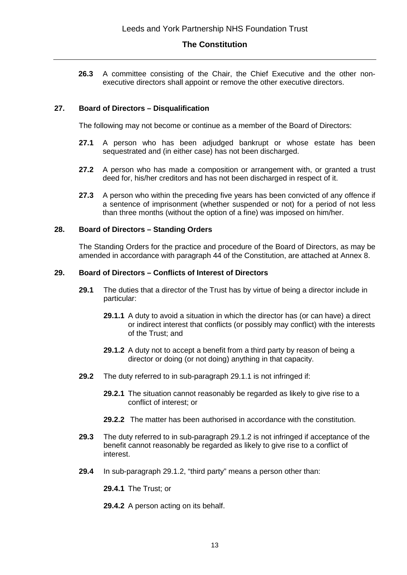**26.3** A committee consisting of the Chair, the Chief Executive and the other nonexecutive directors shall appoint or remove the other executive directors.

#### **27. Board of Directors – Disqualification**

The following may not become or continue as a member of the Board of Directors:

- **27.1** A person who has been adjudged bankrupt or whose estate has been sequestrated and (in either case) has not been discharged.
- **27.2** A person who has made a composition or arrangement with, or granted a trust deed for, his/her creditors and has not been discharged in respect of it.
- **27.3** A person who within the preceding five years has been convicted of any offence if a sentence of imprisonment (whether suspended or not) for a period of not less than three months (without the option of a fine) was imposed on him/her.

#### **28. Board of Directors – Standing Orders**

The Standing Orders for the practice and procedure of the Board of Directors, as may be amended in accordance with paragraph 44 of the Constitution, are attached at Annex 8.

#### **29. Board of Directors – Conflicts of Interest of Directors**

- **29.1** The duties that a director of the Trust has by virtue of being a director include in particular:
	- **29.1.1** A duty to avoid a situation in which the director has (or can have) a direct or indirect interest that conflicts (or possibly may conflict) with the interests of the Trust; and
	- **29.1.2** A duty not to accept a benefit from a third party by reason of being a director or doing (or not doing) anything in that capacity.
- **29.2** The duty referred to in sub-paragraph 29.1.1 is not infringed if:
	- **29.2.1** The situation cannot reasonably be regarded as likely to give rise to a conflict of interest; or
	- **29.2.2** The matter has been authorised in accordance with the constitution.
- **29.3** The duty referred to in sub-paragraph 29.1.2 is not infringed if acceptance of the benefit cannot reasonably be regarded as likely to give rise to a conflict of interest.
- **29.4** In sub-paragraph 29.1.2, "third party" means a person other than:

**29.4.1** The Trust; or

**29.4.2** A person acting on its behalf.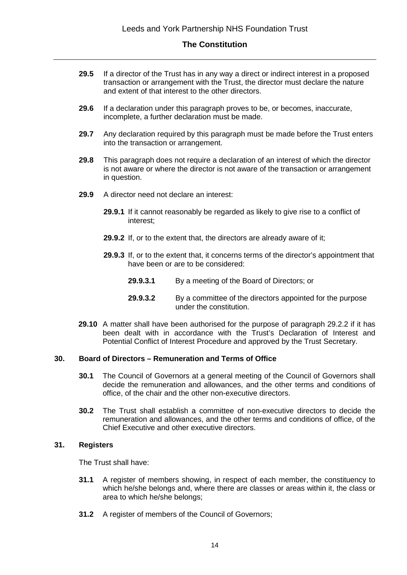- **29.5** If a director of the Trust has in any way a direct or indirect interest in a proposed transaction or arrangement with the Trust, the director must declare the nature and extent of that interest to the other directors.
- **29.6** If a declaration under this paragraph proves to be, or becomes, inaccurate, incomplete, a further declaration must be made.
- **29.7** Any declaration required by this paragraph must be made before the Trust enters into the transaction or arrangement.
- **29.8** This paragraph does not require a declaration of an interest of which the director is not aware or where the director is not aware of the transaction or arrangement in question.
- **29.9** A director need not declare an interest:
	- **29.9.1** If it cannot reasonably be regarded as likely to give rise to a conflict of interest;
	- **29.9.2** If, or to the extent that, the directors are already aware of it;
	- **29.9.3** If, or to the extent that, it concerns terms of the director's appointment that have been or are to be considered:
		- **29.9.3.1** By a meeting of the Board of Directors; or
		- **29.9.3.2** By a committee of the directors appointed for the purpose under the constitution.
- **29.10** A matter shall have been authorised for the purpose of paragraph 29.2.2 if it has been dealt with in accordance with the Trust's Declaration of Interest and Potential Conflict of Interest Procedure and approved by the Trust Secretary.

#### **30. Board of Directors – Remuneration and Terms of Office**

- **30.1** The Council of Governors at a general meeting of the Council of Governors shall decide the remuneration and allowances, and the other terms and conditions of office, of the chair and the other non-executive directors.
- **30.2** The Trust shall establish a committee of non-executive directors to decide the remuneration and allowances, and the other terms and conditions of office, of the Chief Executive and other executive directors.

#### **31. Registers**

The Trust shall have:

- **31.1** A register of members showing, in respect of each member, the constituency to which he/she belongs and, where there are classes or areas within it, the class or area to which he/she belongs;
- **31.2** A register of members of the Council of Governors: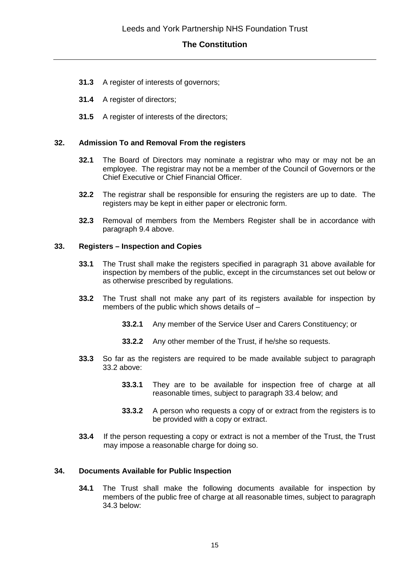- **31.3** A register of interests of governors;
- **31.4** A register of directors;
- **31.5** A register of interests of the directors;

#### **32. Admission To and Removal From the registers**

- **32.1** The Board of Directors may nominate a registrar who may or may not be an employee. The registrar may not be a member of the Council of Governors or the Chief Executive or Chief Financial Officer.
- **32.2** The registrar shall be responsible for ensuring the registers are up to date. The registers may be kept in either paper or electronic form.
- **32.3** Removal of members from the Members Register shall be in accordance with paragraph 9.4 above.

#### **33. Registers – Inspection and Copies**

- **33.1** The Trust shall make the registers specified in paragraph 31 above available for inspection by members of the public, except in the circumstances set out below or as otherwise prescribed by regulations.
- **33.2** The Trust shall not make any part of its registers available for inspection by members of the public which shows details of –
	- **33.2.1** Any member of the Service User and Carers Constituency; or
	- **33.2.2** Any other member of the Trust, if he/she so requests.
- **33.3** So far as the registers are required to be made available subject to paragraph 33.2 above:
	- **33.3.1** They are to be available for inspection free of charge at all reasonable times, subject to paragraph 33.4 below; and
	- **33.3.2** A person who requests a copy of or extract from the registers is to be provided with a copy or extract.
- **33.4** If the person requesting a copy or extract is not a member of the Trust, the Trust may impose a reasonable charge for doing so.

#### **34. Documents Available for Public Inspection**

**34.1** The Trust shall make the following documents available for inspection by members of the public free of charge at all reasonable times, subject to paragraph 34.3 below: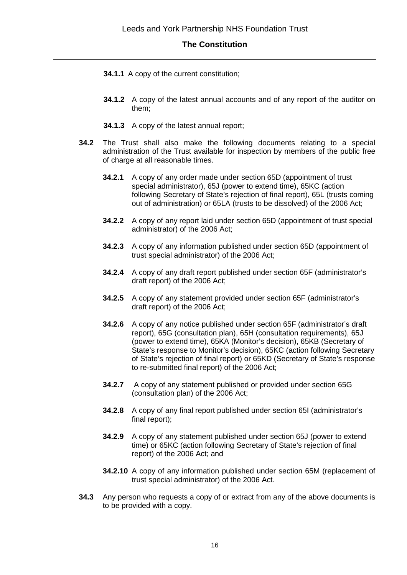- **34.1.1** A copy of the current constitution;
- **34.1.2** A copy of the latest annual accounts and of any report of the auditor on them;
- **34.1.3** A copy of the latest annual report;
- **34.2** The Trust shall also make the following documents relating to a special administration of the Trust available for inspection by members of the public free of charge at all reasonable times.
	- **34.2.1** A copy of any order made under section 65D (appointment of trust special administrator), 65J (power to extend time), 65KC (action following Secretary of State's rejection of final report), 65L (trusts coming out of administration) or 65LA (trusts to be dissolved) of the 2006 Act;
	- **34.2.2** A copy of any report laid under section 65D (appointment of trust special administrator) of the 2006 Act;
	- **34.2.3** A copy of any information published under section 65D (appointment of trust special administrator) of the 2006 Act;
	- **34.2.4** A copy of any draft report published under section 65F (administrator's draft report) of the 2006 Act;
	- **34.2.5** A copy of any statement provided under section 65F (administrator's draft report) of the 2006 Act;
	- **34.2.6** A copy of any notice published under section 65F (administrator's draft report), 65G (consultation plan), 65H (consultation requirements), 65J (power to extend time), 65KA (Monitor's decision), 65KB (Secretary of State's response to Monitor's decision), 65KC (action following Secretary of State's rejection of final report) or 65KD (Secretary of State's response to re-submitted final report) of the 2006 Act;
	- **34.2.7** A copy of any statement published or provided under section 65G (consultation plan) of the 2006 Act;
	- **34.2.8** A copy of any final report published under section 65I (administrator's final report);
	- **34.2.9** A copy of any statement published under section 65J (power to extend time) or 65KC (action following Secretary of State's rejection of final report) of the 2006 Act; and
	- **34.2.10** A copy of any information published under section 65M (replacement of trust special administrator) of the 2006 Act.
- **34.3** Any person who requests a copy of or extract from any of the above documents is to be provided with a copy.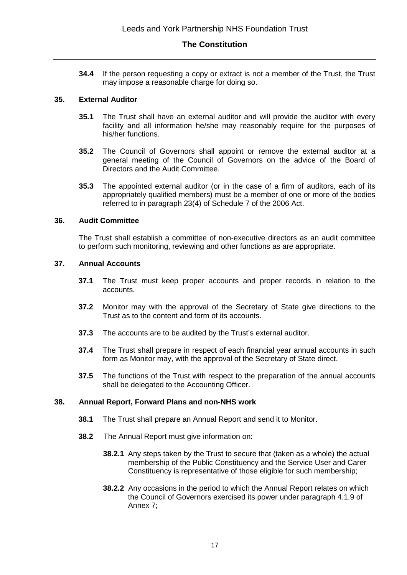**34.4** If the person requesting a copy or extract is not a member of the Trust, the Trust may impose a reasonable charge for doing so.

#### **35. External Auditor**

- **35.1** The Trust shall have an external auditor and will provide the auditor with every facility and all information he/she may reasonably require for the purposes of his/her functions.
- **35.2** The Council of Governors shall appoint or remove the external auditor at a general meeting of the Council of Governors on the advice of the Board of Directors and the Audit Committee.
- **35.3** The appointed external auditor (or in the case of a firm of auditors, each of its appropriately qualified members) must be a member of one or more of the bodies referred to in paragraph 23(4) of Schedule 7 of the 2006 Act.

#### **36. Audit Committee**

The Trust shall establish a committee of non-executive directors as an audit committee to perform such monitoring, reviewing and other functions as are appropriate.

#### **37. Annual Accounts**

- **37.1** The Trust must keep proper accounts and proper records in relation to the accounts.
- **37.2** Monitor may with the approval of the Secretary of State give directions to the Trust as to the content and form of its accounts.
- **37.3** The accounts are to be audited by the Trust's external auditor.
- **37.4** The Trust shall prepare in respect of each financial year annual accounts in such form as Monitor may, with the approval of the Secretary of State direct.
- **37.5** The functions of the Trust with respect to the preparation of the annual accounts shall be delegated to the Accounting Officer.

#### **38. Annual Report, Forward Plans and non-NHS work**

- **38.1** The Trust shall prepare an Annual Report and send it to Monitor.
- **38.2** The Annual Report must give information on:
	- **38.2.1** Any steps taken by the Trust to secure that (taken as a whole) the actual membership of the Public Constituency and the Service User and Carer Constituency is representative of those eligible for such membership;
	- **38.2.2** Any occasions in the period to which the Annual Report relates on which the Council of Governors exercised its power under paragraph 4.1.9 of Annex 7;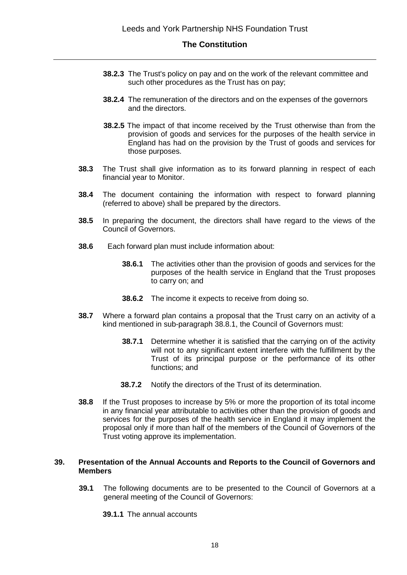- **38.2.3** The Trust's policy on pay and on the work of the relevant committee and such other procedures as the Trust has on pay;
- **38.2.4** The remuneration of the directors and on the expenses of the governors and the directors.
- **38.2.5** The impact of that income received by the Trust otherwise than from the provision of goods and services for the purposes of the health service in England has had on the provision by the Trust of goods and services for those purposes.
- **38.3** The Trust shall give information as to its forward planning in respect of each financial year to Monitor.
- **38.4** The document containing the information with respect to forward planning (referred to above) shall be prepared by the directors.
- **38.5** In preparing the document, the directors shall have regard to the views of the Council of Governors.
- **38.6** Each forward plan must include information about:
	- **38.6.1** The activities other than the provision of goods and services for the purposes of the health service in England that the Trust proposes to carry on; and
	- **38.6.2** The income it expects to receive from doing so.
- **38.7** Where a forward plan contains a proposal that the Trust carry on an activity of a kind mentioned in sub-paragraph 38.8.1, the Council of Governors must:
	- **38.7.1** Determine whether it is satisfied that the carrying on of the activity will not to any significant extent interfere with the fulfillment by the Trust of its principal purpose or the performance of its other functions; and
	- **38.7.2** Notify the directors of the Trust of its determination.
- **38.8** If the Trust proposes to increase by 5% or more the proportion of its total income in any financial year attributable to activities other than the provision of goods and services for the purposes of the health service in England it may implement the proposal only if more than half of the members of the Council of Governors of the Trust voting approve its implementation.

#### **39. Presentation of the Annual Accounts and Reports to the Council of Governors and Members**

- **39.1** The following documents are to be presented to the Council of Governors at a general meeting of the Council of Governors:
	- **39.1.1** The annual accounts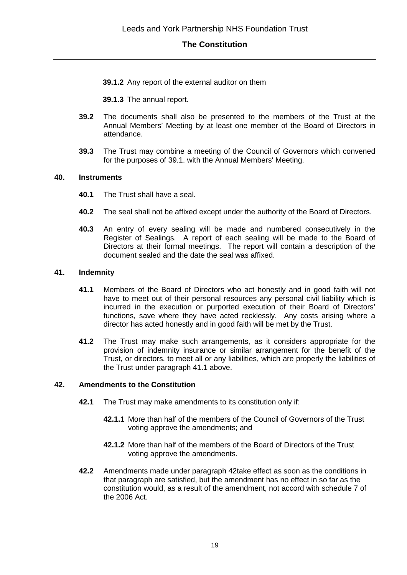**39.1.2** Any report of the external auditor on them

**39.1.3** The annual report.

- **39.2** The documents shall also be presented to the members of the Trust at the Annual Members' Meeting by at least one member of the Board of Directors in attendance.
- **39.3** The Trust may combine a meeting of the Council of Governors which convened for the purposes of 39.1. with the Annual Members' Meeting.

#### **40. Instruments**

- **40.1** The Trust shall have a seal.
- **40.2** The seal shall not be affixed except under the authority of the Board of Directors.
- **40.3** An entry of every sealing will be made and numbered consecutively in the Register of Sealings. A report of each sealing will be made to the Board of Directors at their formal meetings. The report will contain a description of the document sealed and the date the seal was affixed.

#### **41. Indemnity**

- **41.1** Members of the Board of Directors who act honestly and in good faith will not have to meet out of their personal resources any personal civil liability which is incurred in the execution or purported execution of their Board of Directors' functions, save where they have acted recklessly. Any costs arising where a director has acted honestly and in good faith will be met by the Trust.
- **41.2** The Trust may make such arrangements, as it considers appropriate for the provision of indemnity insurance or similar arrangement for the benefit of the Trust, or directors, to meet all or any liabilities, which are properly the liabilities of the Trust under paragraph 41.1 above.

#### **42. Amendments to the Constitution**

- **42.1** The Trust may make amendments to its constitution only if:
	- **42.1.1** More than half of the members of the Council of Governors of the Trust voting approve the amendments; and
	- **42.1.2** More than half of the members of the Board of Directors of the Trust voting approve the amendments.
- **42.2** Amendments made under paragraph 42take effect as soon as the conditions in that paragraph are satisfied, but the amendment has no effect in so far as the constitution would, as a result of the amendment, not accord with schedule 7 of the 2006 Act.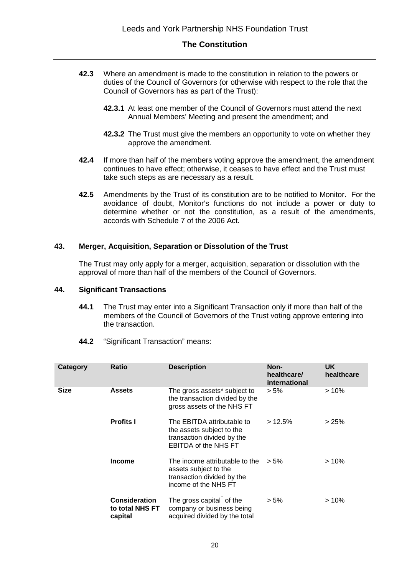- **42.3** Where an amendment is made to the constitution in relation to the powers or duties of the Council of Governors (or otherwise with respect to the role that the Council of Governors has as part of the Trust):
	- **42.3.1** At least one member of the Council of Governors must attend the next Annual Members' Meeting and present the amendment; and
	- **42.3.2** The Trust must give the members an opportunity to vote on whether they approve the amendment.
- **42.4** If more than half of the members voting approve the amendment, the amendment continues to have effect; otherwise, it ceases to have effect and the Trust must take such steps as are necessary as a result.
- **42.5** Amendments by the Trust of its constitution are to be notified to Monitor. For the avoidance of doubt, Monitor's functions do not include a power or duty to determine whether or not the constitution, as a result of the amendments, accords with Schedule 7 of the 2006 Act.

#### **43. Merger, Acquisition, Separation or Dissolution of the Trust**

The Trust may only apply for a merger, acquisition, separation or dissolution with the approval of more than half of the members of the Council of Governors.

#### **44. Significant Transactions**

- **44.1** The Trust may enter into a Significant Transaction only if more than half of the members of the Council of Governors of the Trust voting approve entering into the transaction.
- **44.2** "Significant Transaction" means:

| Category | Ratio                                              | <b>Description</b>                                                                                                   | Non-<br>healthcare/<br>international | <b>UK</b><br>healthcare |
|----------|----------------------------------------------------|----------------------------------------------------------------------------------------------------------------------|--------------------------------------|-------------------------|
| Size     | <b>Assets</b>                                      | The gross assets* subject to<br>the transaction divided by the<br>gross assets of the NHS FT                         | $> 5\%$                              | $>10\%$                 |
|          | <b>Profits I</b>                                   | The EBITDA attributable to<br>the assets subject to the<br>transaction divided by the<br><b>EBITDA of the NHS FT</b> | $>12.5\%$                            | >25%                    |
|          | <b>Income</b>                                      | The income attributable to the<br>assets subject to the<br>transaction divided by the<br>income of the NHS FT        | $> 5\%$                              | $>10\%$                 |
|          | <b>Consideration</b><br>to total NHS FT<br>capital | The gross capital <sup>†</sup> of the<br>company or business being<br>acquired divided by the total                  | $> 5\%$                              | >10%                    |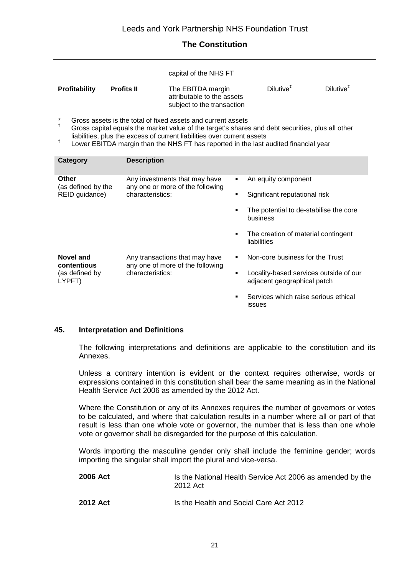capital of the NHS FT

| <b>Profitability</b> | <b>Profits II</b> | The EBITDA margin          | Dilutive <sup>+</sup> | Dilutive <sup>+</sup> |
|----------------------|-------------------|----------------------------|-----------------------|-----------------------|
|                      |                   | attributable to the assets |                       |                       |
|                      |                   | subject to the transaction |                       |                       |

- \* † Gross assets is the total of fixed assets and current assets
- Gross capital equals the market value of the target's shares and debt securities, plus all other liabilities, plus the excess of current liabilities over current assets
- ‡ Lower EBITDA margin than the NHS FT has reported in the last audited financial year

| Category                                      | <b>Description</b>                                                                    |        |                                                                       |
|-----------------------------------------------|---------------------------------------------------------------------------------------|--------|-----------------------------------------------------------------------|
| Other<br>(as defined by the<br>REID guidance) | Any investments that may have<br>any one or more of the following<br>characteristics: | ٠<br>٠ | An equity component<br>Significant reputational risk                  |
|                                               |                                                                                       |        |                                                                       |
|                                               |                                                                                       | ٠      | The potential to de-stabilise the core<br>business                    |
|                                               |                                                                                       | ٠      | The creation of material contingent<br>liabilities                    |
| Novel and<br>contentious                      | Any transactions that may have<br>any one of more of the following                    | ٠      | Non-core business for the Trust                                       |
| (as defined by<br>LYPFT)                      | characteristics:                                                                      | ٠      | Locality-based services outside of our<br>adjacent geographical patch |
|                                               |                                                                                       | ٠      | Services which raise serious ethical<br><b>issues</b>                 |

#### **45. Interpretation and Definitions**

The following interpretations and definitions are applicable to the constitution and its Annexes.

Unless a contrary intention is evident or the context requires otherwise, words or expressions contained in this constitution shall bear the same meaning as in the National Health Service Act 2006 as amended by the 2012 Act.

Where the Constitution or any of its Annexes requires the number of governors or votes to be calculated, and where that calculation results in a number where all or part of that result is less than one whole vote or governor, the number that is less than one whole vote or governor shall be disregarded for the purpose of this calculation.

Words importing the masculine gender only shall include the feminine gender; words importing the singular shall import the plural and vice-versa.

| 2006 Act | Is the National Health Service Act 2006 as amended by the<br>2012 Act |
|----------|-----------------------------------------------------------------------|
| 2012 Act | Is the Health and Social Care Act 2012                                |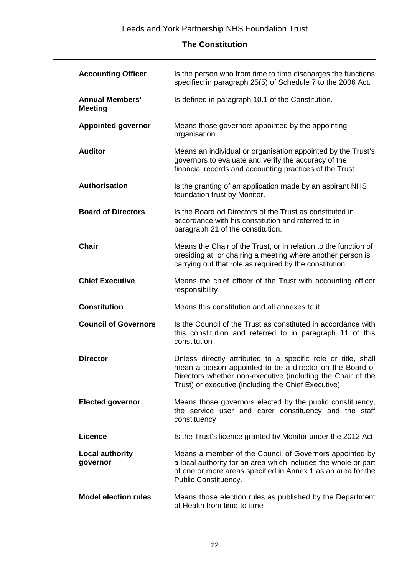| <b>Accounting Officer</b>                | Is the person who from time to time discharges the functions<br>specified in paragraph 25(5) of Schedule 7 to the 2006 Act.                                                                                                                     |
|------------------------------------------|-------------------------------------------------------------------------------------------------------------------------------------------------------------------------------------------------------------------------------------------------|
| <b>Annual Members'</b><br><b>Meeting</b> | Is defined in paragraph 10.1 of the Constitution.                                                                                                                                                                                               |
| <b>Appointed governor</b>                | Means those governors appointed by the appointing<br>organisation.                                                                                                                                                                              |
| <b>Auditor</b>                           | Means an individual or organisation appointed by the Trust's<br>governors to evaluate and verify the accuracy of the<br>financial records and accounting practices of the Trust.                                                                |
| Authorisation                            | Is the granting of an application made by an aspirant NHS<br>foundation trust by Monitor.                                                                                                                                                       |
| <b>Board of Directors</b>                | Is the Board od Directors of the Trust as constituted in<br>accordance with his constitution and referred to in<br>paragraph 21 of the constitution.                                                                                            |
| <b>Chair</b>                             | Means the Chair of the Trust, or in relation to the function of<br>presiding at, or chairing a meeting where another person is<br>carrying out that role as required by the constitution.                                                       |
| <b>Chief Executive</b>                   | Means the chief officer of the Trust with accounting officer<br>responsibility                                                                                                                                                                  |
| <b>Constitution</b>                      | Means this constitution and all annexes to it                                                                                                                                                                                                   |
| <b>Council of Governors</b>              | Is the Council of the Trust as constituted in accordance with<br>this constitution and referred to in paragraph 11 of this<br>constitution                                                                                                      |
| <b>Director</b>                          | Unless directly attributed to a specific role or title, shall<br>mean a person appointed to be a director on the Board of<br>Directors whether non-executive (including the Chair of the<br>Trust) or executive (including the Chief Executive) |
| <b>Elected governor</b>                  | Means those governors elected by the public constituency,<br>the service user and carer constituency and the staff<br>constituency                                                                                                              |
| <b>Licence</b>                           | Is the Trust's licence granted by Monitor under the 2012 Act                                                                                                                                                                                    |
| <b>Local authority</b><br>governor       | Means a member of the Council of Governors appointed by<br>a local authority for an area which includes the whole or part<br>of one or more areas specified in Annex 1 as an area for the<br>Public Constituency.                               |
| <b>Model election rules</b>              | Means those election rules as published by the Department<br>of Health from time-to-time                                                                                                                                                        |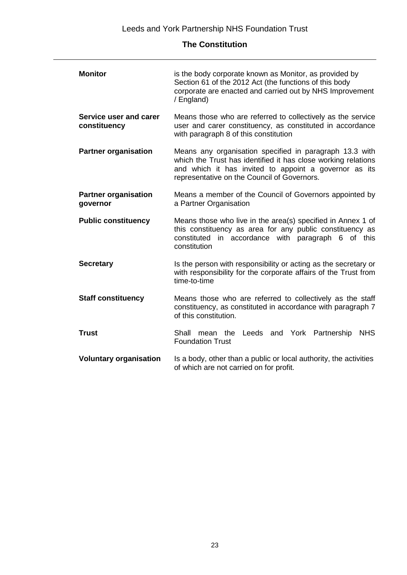| <b>Monitor</b>                          | is the body corporate known as Monitor, as provided by<br>Section 61 of the 2012 Act (the functions of this body<br>corporate are enacted and carried out by NHS Improvement<br>/ England)                                       |  |  |
|-----------------------------------------|----------------------------------------------------------------------------------------------------------------------------------------------------------------------------------------------------------------------------------|--|--|
| Service user and carer<br>constituency  | Means those who are referred to collectively as the service<br>user and carer constituency, as constituted in accordance<br>with paragraph 8 of this constitution                                                                |  |  |
| <b>Partner organisation</b>             | Means any organisation specified in paragraph 13.3 with<br>which the Trust has identified it has close working relations<br>and which it has invited to appoint a governor as its<br>representative on the Council of Governors. |  |  |
| <b>Partner organisation</b><br>governor | Means a member of the Council of Governors appointed by<br>a Partner Organisation                                                                                                                                                |  |  |
| <b>Public constituency</b>              | Means those who live in the area(s) specified in Annex 1 of<br>this constituency as area for any public constituency as<br>constituted in accordance with paragraph 6 of this<br>constitution                                    |  |  |
| <b>Secretary</b>                        | Is the person with responsibility or acting as the secretary or<br>with responsibility for the corporate affairs of the Trust from<br>time-to-time                                                                               |  |  |
| <b>Staff constituency</b>               | Means those who are referred to collectively as the staff<br>constituency, as constituted in accordance with paragraph 7<br>of this constitution.                                                                                |  |  |
| <b>Trust</b>                            | mean the Leeds and York Partnership<br><b>NHS</b><br>Shall<br><b>Foundation Trust</b>                                                                                                                                            |  |  |
| <b>Voluntary organisation</b>           | Is a body, other than a public or local authority, the activities<br>of which are not carried on for profit.                                                                                                                     |  |  |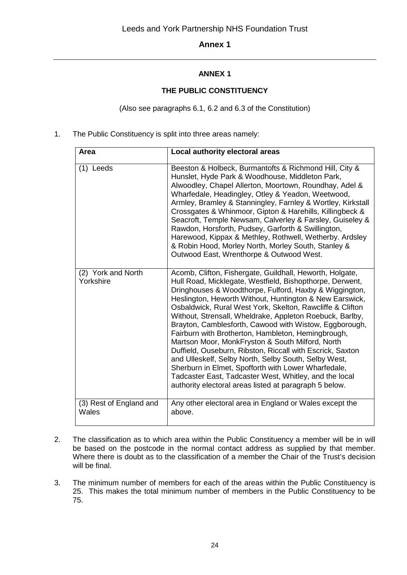## **ANNEX 1**

## **THE PUBLIC CONSTITUENCY**

(Also see paragraphs 6.1, 6.2 and 6.3 of the Constitution)

1. The Public Constituency is split into three areas namely:

| Area                             | Local authority electoral areas                                                                                                                                                                                                                                                                                                                                                                                                                                                                                                                                                                                                                                                                                                                                                                                                        |
|----------------------------------|----------------------------------------------------------------------------------------------------------------------------------------------------------------------------------------------------------------------------------------------------------------------------------------------------------------------------------------------------------------------------------------------------------------------------------------------------------------------------------------------------------------------------------------------------------------------------------------------------------------------------------------------------------------------------------------------------------------------------------------------------------------------------------------------------------------------------------------|
| $(1)$ Leeds                      | Beeston & Holbeck, Burmantofts & Richmond Hill, City &<br>Hunslet, Hyde Park & Woodhouse, Middleton Park,<br>Alwoodley, Chapel Allerton, Moortown, Roundhay, Adel &<br>Wharfedale, Headingley, Otley & Yeadon, Weetwood,<br>Armley, Bramley & Stanningley, Farnley & Wortley, Kirkstall<br>Crossgates & Whinmoor, Gipton & Harehills, Killingbeck &<br>Seacroft, Temple Newsam, Calverley & Farsley, Guiseley &<br>Rawdon, Horsforth, Pudsey, Garforth & Swillington,<br>Harewood, Kippax & Methley, Rothwell, Wetherby. Ardsley<br>& Robin Hood, Morley North, Morley South, Stanley &<br>Outwood East, Wrenthorpe & Outwood West.                                                                                                                                                                                                    |
| (2) York and North<br>Yorkshire  | Acomb, Clifton, Fishergate, Guildhall, Heworth, Holgate,<br>Hull Road, Micklegate, Westfield, Bishopthorpe, Derwent,<br>Dringhouses & Woodthorpe, Fulford, Haxby & Wiggington,<br>Heslington, Heworth Without, Huntington & New Earswick,<br>Osbaldwick, Rural West York, Skelton, Rawcliffe & Clifton<br>Without, Strensall, Wheldrake, Appleton Roebuck, Barlby,<br>Brayton, Camblesforth, Cawood with Wistow, Eggborough,<br>Fairburn with Brotherton, Hambleton, Hemingbrough,<br>Martson Moor, MonkFryston & South Milford, North<br>Duffield, Ouseburn, Ribston, Riccall with Escrick, Saxton<br>and Ulleskelf, Selby North, Selby South, Selby West,<br>Sherburn in Elmet, Spofforth with Lower Wharfedale,<br>Tadcaster East, Tadcaster West, Whitley, and the local<br>authority electoral areas listed at paragraph 5 below. |
| (3) Rest of England and<br>Wales | Any other electoral area in England or Wales except the<br>above.                                                                                                                                                                                                                                                                                                                                                                                                                                                                                                                                                                                                                                                                                                                                                                      |

- 2. The classification as to which area within the Public Constituency a member will be in will be based on the postcode in the normal contact address as supplied by that member. Where there is doubt as to the classification of a member the Chair of the Trust's decision will be final.
- 3. The minimum number of members for each of the areas within the Public Constituency is 25. This makes the total minimum number of members in the Public Constituency to be 75.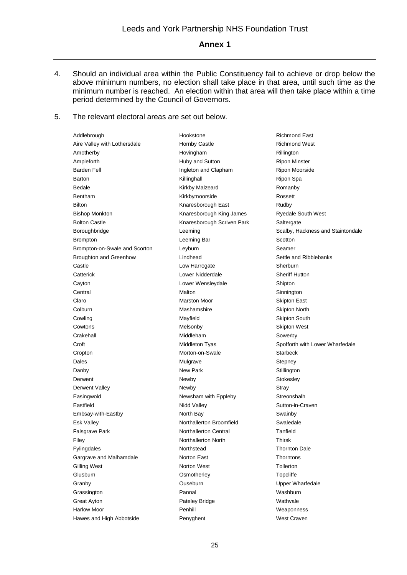- 4. Should an individual area within the Public Constituency fail to achieve or drop below the above minimum numbers, no election shall take place in that area, until such time as the minimum number is reached. An election within that area will then take place within a time period determined by the Council of Governors.
- 5. The relevant electoral areas are set out below.

| <b>Richmond East</b><br>Addlebrough<br>Hookstone<br>Aire Valley with Lothersdale<br>Hornby Castle<br><b>Richmond West</b><br>Amotherby<br>Hovingham<br>Rillington<br>Ampleforth<br>Huby and Sutton<br><b>Ripon Minster</b><br><b>Barden Fell</b><br>Ingleton and Clapham<br>Ripon Moorside<br>Killinghall<br>Barton<br>Ripon Spa<br>Bedale<br>Kirkby Malzeard<br>Romanby<br>Bentham<br>Kirkbymoorside<br>Rossett<br><b>Bilton</b><br>Knaresborough East<br>Rudby<br>Knaresborough King James<br><b>Bishop Monkton</b><br><b>Ryedale South West</b><br><b>Bolton Castle</b><br>Knaresborough Scriven Park<br>Saltergate<br>Boroughbridge<br>Leeming<br>Scotton<br><b>Brompton</b><br>Leeming Bar<br>Brompton-on-Swale and Scorton<br>Leyburn<br>Seamer<br><b>Broughton and Greenhow</b><br>Lindhead<br>Settle and Ribblebanks<br>Castle<br>Low Harrogate<br>Sherburn<br><b>Sheriff Hutton</b><br>Catterick<br>Lower Nidderdale<br>Lower Wensleydale<br>Cayton<br>Shipton<br>Malton<br>Central<br>Sinnington<br>Claro<br><b>Marston Moor</b><br><b>Skipton East</b><br>Colburn<br>Mashamshire<br><b>Skipton North</b><br>Cowling<br>Mayfield<br><b>Skipton South</b><br>Cowtons<br>Melsonby<br><b>Skipton West</b><br>Middleham<br>Crakehall<br>Sowerby<br>Spofforth with Lower Wharfedale<br>Croft<br>Middleton Tyas<br>Morton-on-Swale<br><b>Starbeck</b><br>Cropton<br>Dales<br>Mulgrave<br>Stepney<br>New Park<br>Stillington<br>Danby<br>Derwent<br>Newby<br>Stokesley<br>Derwent Valley<br>Newby<br>Stray<br>Newsham with Eppleby<br>Streonshalh<br>Easingwold<br>Eastfield<br>Nidd Valley<br>Sutton-in-Craven<br>Embsay-with-Eastby<br>North Bay<br>Swainby<br>Esk Valley<br>Northallerton Broomfield<br>Swaledale<br>Falsgrave Park<br>Northallerton Central<br>Tanfield<br>Northallerton North<br><b>Thirsk</b><br>Filey<br><b>Thornton Dale</b><br>Fylingdales<br>Northstead<br>Gargrave and Malhamdale<br>Norton East<br><b>Thorntons</b><br>Tollerton<br>Gilling West<br>Norton West<br>Glusburn<br>Osmotherley<br>Topcliffe<br>Ouseburn<br>Granby<br><b>Upper Wharfedale</b><br>Pannal<br>Grassington<br>Washburn<br><b>Great Ayton</b><br>Wathvale<br>Pateley Bridge<br><b>Harlow Moor</b><br>Penhill<br>Weaponness |                          |           |                                   |
|---------------------------------------------------------------------------------------------------------------------------------------------------------------------------------------------------------------------------------------------------------------------------------------------------------------------------------------------------------------------------------------------------------------------------------------------------------------------------------------------------------------------------------------------------------------------------------------------------------------------------------------------------------------------------------------------------------------------------------------------------------------------------------------------------------------------------------------------------------------------------------------------------------------------------------------------------------------------------------------------------------------------------------------------------------------------------------------------------------------------------------------------------------------------------------------------------------------------------------------------------------------------------------------------------------------------------------------------------------------------------------------------------------------------------------------------------------------------------------------------------------------------------------------------------------------------------------------------------------------------------------------------------------------------------------------------------------------------------------------------------------------------------------------------------------------------------------------------------------------------------------------------------------------------------------------------------------------------------------------------------------------------------------------------------------------------------------------------------------------------------------------------------------------------------------------------------------------------------------|--------------------------|-----------|-----------------------------------|
|                                                                                                                                                                                                                                                                                                                                                                                                                                                                                                                                                                                                                                                                                                                                                                                                                                                                                                                                                                                                                                                                                                                                                                                                                                                                                                                                                                                                                                                                                                                                                                                                                                                                                                                                                                                                                                                                                                                                                                                                                                                                                                                                                                                                                                 |                          |           |                                   |
|                                                                                                                                                                                                                                                                                                                                                                                                                                                                                                                                                                                                                                                                                                                                                                                                                                                                                                                                                                                                                                                                                                                                                                                                                                                                                                                                                                                                                                                                                                                                                                                                                                                                                                                                                                                                                                                                                                                                                                                                                                                                                                                                                                                                                                 |                          |           |                                   |
|                                                                                                                                                                                                                                                                                                                                                                                                                                                                                                                                                                                                                                                                                                                                                                                                                                                                                                                                                                                                                                                                                                                                                                                                                                                                                                                                                                                                                                                                                                                                                                                                                                                                                                                                                                                                                                                                                                                                                                                                                                                                                                                                                                                                                                 |                          |           |                                   |
|                                                                                                                                                                                                                                                                                                                                                                                                                                                                                                                                                                                                                                                                                                                                                                                                                                                                                                                                                                                                                                                                                                                                                                                                                                                                                                                                                                                                                                                                                                                                                                                                                                                                                                                                                                                                                                                                                                                                                                                                                                                                                                                                                                                                                                 |                          |           |                                   |
|                                                                                                                                                                                                                                                                                                                                                                                                                                                                                                                                                                                                                                                                                                                                                                                                                                                                                                                                                                                                                                                                                                                                                                                                                                                                                                                                                                                                                                                                                                                                                                                                                                                                                                                                                                                                                                                                                                                                                                                                                                                                                                                                                                                                                                 |                          |           |                                   |
|                                                                                                                                                                                                                                                                                                                                                                                                                                                                                                                                                                                                                                                                                                                                                                                                                                                                                                                                                                                                                                                                                                                                                                                                                                                                                                                                                                                                                                                                                                                                                                                                                                                                                                                                                                                                                                                                                                                                                                                                                                                                                                                                                                                                                                 |                          |           |                                   |
|                                                                                                                                                                                                                                                                                                                                                                                                                                                                                                                                                                                                                                                                                                                                                                                                                                                                                                                                                                                                                                                                                                                                                                                                                                                                                                                                                                                                                                                                                                                                                                                                                                                                                                                                                                                                                                                                                                                                                                                                                                                                                                                                                                                                                                 |                          |           |                                   |
|                                                                                                                                                                                                                                                                                                                                                                                                                                                                                                                                                                                                                                                                                                                                                                                                                                                                                                                                                                                                                                                                                                                                                                                                                                                                                                                                                                                                                                                                                                                                                                                                                                                                                                                                                                                                                                                                                                                                                                                                                                                                                                                                                                                                                                 |                          |           |                                   |
|                                                                                                                                                                                                                                                                                                                                                                                                                                                                                                                                                                                                                                                                                                                                                                                                                                                                                                                                                                                                                                                                                                                                                                                                                                                                                                                                                                                                                                                                                                                                                                                                                                                                                                                                                                                                                                                                                                                                                                                                                                                                                                                                                                                                                                 |                          |           |                                   |
|                                                                                                                                                                                                                                                                                                                                                                                                                                                                                                                                                                                                                                                                                                                                                                                                                                                                                                                                                                                                                                                                                                                                                                                                                                                                                                                                                                                                                                                                                                                                                                                                                                                                                                                                                                                                                                                                                                                                                                                                                                                                                                                                                                                                                                 |                          |           |                                   |
|                                                                                                                                                                                                                                                                                                                                                                                                                                                                                                                                                                                                                                                                                                                                                                                                                                                                                                                                                                                                                                                                                                                                                                                                                                                                                                                                                                                                                                                                                                                                                                                                                                                                                                                                                                                                                                                                                                                                                                                                                                                                                                                                                                                                                                 |                          |           |                                   |
|                                                                                                                                                                                                                                                                                                                                                                                                                                                                                                                                                                                                                                                                                                                                                                                                                                                                                                                                                                                                                                                                                                                                                                                                                                                                                                                                                                                                                                                                                                                                                                                                                                                                                                                                                                                                                                                                                                                                                                                                                                                                                                                                                                                                                                 |                          |           | Scalby, Hackness and Staintondale |
|                                                                                                                                                                                                                                                                                                                                                                                                                                                                                                                                                                                                                                                                                                                                                                                                                                                                                                                                                                                                                                                                                                                                                                                                                                                                                                                                                                                                                                                                                                                                                                                                                                                                                                                                                                                                                                                                                                                                                                                                                                                                                                                                                                                                                                 |                          |           |                                   |
|                                                                                                                                                                                                                                                                                                                                                                                                                                                                                                                                                                                                                                                                                                                                                                                                                                                                                                                                                                                                                                                                                                                                                                                                                                                                                                                                                                                                                                                                                                                                                                                                                                                                                                                                                                                                                                                                                                                                                                                                                                                                                                                                                                                                                                 |                          |           |                                   |
|                                                                                                                                                                                                                                                                                                                                                                                                                                                                                                                                                                                                                                                                                                                                                                                                                                                                                                                                                                                                                                                                                                                                                                                                                                                                                                                                                                                                                                                                                                                                                                                                                                                                                                                                                                                                                                                                                                                                                                                                                                                                                                                                                                                                                                 |                          |           |                                   |
|                                                                                                                                                                                                                                                                                                                                                                                                                                                                                                                                                                                                                                                                                                                                                                                                                                                                                                                                                                                                                                                                                                                                                                                                                                                                                                                                                                                                                                                                                                                                                                                                                                                                                                                                                                                                                                                                                                                                                                                                                                                                                                                                                                                                                                 |                          |           |                                   |
|                                                                                                                                                                                                                                                                                                                                                                                                                                                                                                                                                                                                                                                                                                                                                                                                                                                                                                                                                                                                                                                                                                                                                                                                                                                                                                                                                                                                                                                                                                                                                                                                                                                                                                                                                                                                                                                                                                                                                                                                                                                                                                                                                                                                                                 |                          |           |                                   |
|                                                                                                                                                                                                                                                                                                                                                                                                                                                                                                                                                                                                                                                                                                                                                                                                                                                                                                                                                                                                                                                                                                                                                                                                                                                                                                                                                                                                                                                                                                                                                                                                                                                                                                                                                                                                                                                                                                                                                                                                                                                                                                                                                                                                                                 |                          |           |                                   |
|                                                                                                                                                                                                                                                                                                                                                                                                                                                                                                                                                                                                                                                                                                                                                                                                                                                                                                                                                                                                                                                                                                                                                                                                                                                                                                                                                                                                                                                                                                                                                                                                                                                                                                                                                                                                                                                                                                                                                                                                                                                                                                                                                                                                                                 |                          |           |                                   |
|                                                                                                                                                                                                                                                                                                                                                                                                                                                                                                                                                                                                                                                                                                                                                                                                                                                                                                                                                                                                                                                                                                                                                                                                                                                                                                                                                                                                                                                                                                                                                                                                                                                                                                                                                                                                                                                                                                                                                                                                                                                                                                                                                                                                                                 |                          |           |                                   |
|                                                                                                                                                                                                                                                                                                                                                                                                                                                                                                                                                                                                                                                                                                                                                                                                                                                                                                                                                                                                                                                                                                                                                                                                                                                                                                                                                                                                                                                                                                                                                                                                                                                                                                                                                                                                                                                                                                                                                                                                                                                                                                                                                                                                                                 |                          |           |                                   |
|                                                                                                                                                                                                                                                                                                                                                                                                                                                                                                                                                                                                                                                                                                                                                                                                                                                                                                                                                                                                                                                                                                                                                                                                                                                                                                                                                                                                                                                                                                                                                                                                                                                                                                                                                                                                                                                                                                                                                                                                                                                                                                                                                                                                                                 |                          |           |                                   |
|                                                                                                                                                                                                                                                                                                                                                                                                                                                                                                                                                                                                                                                                                                                                                                                                                                                                                                                                                                                                                                                                                                                                                                                                                                                                                                                                                                                                                                                                                                                                                                                                                                                                                                                                                                                                                                                                                                                                                                                                                                                                                                                                                                                                                                 |                          |           |                                   |
|                                                                                                                                                                                                                                                                                                                                                                                                                                                                                                                                                                                                                                                                                                                                                                                                                                                                                                                                                                                                                                                                                                                                                                                                                                                                                                                                                                                                                                                                                                                                                                                                                                                                                                                                                                                                                                                                                                                                                                                                                                                                                                                                                                                                                                 |                          |           |                                   |
|                                                                                                                                                                                                                                                                                                                                                                                                                                                                                                                                                                                                                                                                                                                                                                                                                                                                                                                                                                                                                                                                                                                                                                                                                                                                                                                                                                                                                                                                                                                                                                                                                                                                                                                                                                                                                                                                                                                                                                                                                                                                                                                                                                                                                                 |                          |           |                                   |
|                                                                                                                                                                                                                                                                                                                                                                                                                                                                                                                                                                                                                                                                                                                                                                                                                                                                                                                                                                                                                                                                                                                                                                                                                                                                                                                                                                                                                                                                                                                                                                                                                                                                                                                                                                                                                                                                                                                                                                                                                                                                                                                                                                                                                                 |                          |           |                                   |
|                                                                                                                                                                                                                                                                                                                                                                                                                                                                                                                                                                                                                                                                                                                                                                                                                                                                                                                                                                                                                                                                                                                                                                                                                                                                                                                                                                                                                                                                                                                                                                                                                                                                                                                                                                                                                                                                                                                                                                                                                                                                                                                                                                                                                                 |                          |           |                                   |
|                                                                                                                                                                                                                                                                                                                                                                                                                                                                                                                                                                                                                                                                                                                                                                                                                                                                                                                                                                                                                                                                                                                                                                                                                                                                                                                                                                                                                                                                                                                                                                                                                                                                                                                                                                                                                                                                                                                                                                                                                                                                                                                                                                                                                                 |                          |           |                                   |
|                                                                                                                                                                                                                                                                                                                                                                                                                                                                                                                                                                                                                                                                                                                                                                                                                                                                                                                                                                                                                                                                                                                                                                                                                                                                                                                                                                                                                                                                                                                                                                                                                                                                                                                                                                                                                                                                                                                                                                                                                                                                                                                                                                                                                                 |                          |           |                                   |
|                                                                                                                                                                                                                                                                                                                                                                                                                                                                                                                                                                                                                                                                                                                                                                                                                                                                                                                                                                                                                                                                                                                                                                                                                                                                                                                                                                                                                                                                                                                                                                                                                                                                                                                                                                                                                                                                                                                                                                                                                                                                                                                                                                                                                                 |                          |           |                                   |
|                                                                                                                                                                                                                                                                                                                                                                                                                                                                                                                                                                                                                                                                                                                                                                                                                                                                                                                                                                                                                                                                                                                                                                                                                                                                                                                                                                                                                                                                                                                                                                                                                                                                                                                                                                                                                                                                                                                                                                                                                                                                                                                                                                                                                                 |                          |           |                                   |
|                                                                                                                                                                                                                                                                                                                                                                                                                                                                                                                                                                                                                                                                                                                                                                                                                                                                                                                                                                                                                                                                                                                                                                                                                                                                                                                                                                                                                                                                                                                                                                                                                                                                                                                                                                                                                                                                                                                                                                                                                                                                                                                                                                                                                                 |                          |           |                                   |
|                                                                                                                                                                                                                                                                                                                                                                                                                                                                                                                                                                                                                                                                                                                                                                                                                                                                                                                                                                                                                                                                                                                                                                                                                                                                                                                                                                                                                                                                                                                                                                                                                                                                                                                                                                                                                                                                                                                                                                                                                                                                                                                                                                                                                                 |                          |           |                                   |
|                                                                                                                                                                                                                                                                                                                                                                                                                                                                                                                                                                                                                                                                                                                                                                                                                                                                                                                                                                                                                                                                                                                                                                                                                                                                                                                                                                                                                                                                                                                                                                                                                                                                                                                                                                                                                                                                                                                                                                                                                                                                                                                                                                                                                                 |                          |           |                                   |
|                                                                                                                                                                                                                                                                                                                                                                                                                                                                                                                                                                                                                                                                                                                                                                                                                                                                                                                                                                                                                                                                                                                                                                                                                                                                                                                                                                                                                                                                                                                                                                                                                                                                                                                                                                                                                                                                                                                                                                                                                                                                                                                                                                                                                                 |                          |           |                                   |
|                                                                                                                                                                                                                                                                                                                                                                                                                                                                                                                                                                                                                                                                                                                                                                                                                                                                                                                                                                                                                                                                                                                                                                                                                                                                                                                                                                                                                                                                                                                                                                                                                                                                                                                                                                                                                                                                                                                                                                                                                                                                                                                                                                                                                                 |                          |           |                                   |
|                                                                                                                                                                                                                                                                                                                                                                                                                                                                                                                                                                                                                                                                                                                                                                                                                                                                                                                                                                                                                                                                                                                                                                                                                                                                                                                                                                                                                                                                                                                                                                                                                                                                                                                                                                                                                                                                                                                                                                                                                                                                                                                                                                                                                                 |                          |           |                                   |
|                                                                                                                                                                                                                                                                                                                                                                                                                                                                                                                                                                                                                                                                                                                                                                                                                                                                                                                                                                                                                                                                                                                                                                                                                                                                                                                                                                                                                                                                                                                                                                                                                                                                                                                                                                                                                                                                                                                                                                                                                                                                                                                                                                                                                                 |                          |           |                                   |
|                                                                                                                                                                                                                                                                                                                                                                                                                                                                                                                                                                                                                                                                                                                                                                                                                                                                                                                                                                                                                                                                                                                                                                                                                                                                                                                                                                                                                                                                                                                                                                                                                                                                                                                                                                                                                                                                                                                                                                                                                                                                                                                                                                                                                                 |                          |           |                                   |
|                                                                                                                                                                                                                                                                                                                                                                                                                                                                                                                                                                                                                                                                                                                                                                                                                                                                                                                                                                                                                                                                                                                                                                                                                                                                                                                                                                                                                                                                                                                                                                                                                                                                                                                                                                                                                                                                                                                                                                                                                                                                                                                                                                                                                                 |                          |           |                                   |
|                                                                                                                                                                                                                                                                                                                                                                                                                                                                                                                                                                                                                                                                                                                                                                                                                                                                                                                                                                                                                                                                                                                                                                                                                                                                                                                                                                                                                                                                                                                                                                                                                                                                                                                                                                                                                                                                                                                                                                                                                                                                                                                                                                                                                                 |                          |           |                                   |
|                                                                                                                                                                                                                                                                                                                                                                                                                                                                                                                                                                                                                                                                                                                                                                                                                                                                                                                                                                                                                                                                                                                                                                                                                                                                                                                                                                                                                                                                                                                                                                                                                                                                                                                                                                                                                                                                                                                                                                                                                                                                                                                                                                                                                                 |                          |           |                                   |
|                                                                                                                                                                                                                                                                                                                                                                                                                                                                                                                                                                                                                                                                                                                                                                                                                                                                                                                                                                                                                                                                                                                                                                                                                                                                                                                                                                                                                                                                                                                                                                                                                                                                                                                                                                                                                                                                                                                                                                                                                                                                                                                                                                                                                                 |                          |           |                                   |
|                                                                                                                                                                                                                                                                                                                                                                                                                                                                                                                                                                                                                                                                                                                                                                                                                                                                                                                                                                                                                                                                                                                                                                                                                                                                                                                                                                                                                                                                                                                                                                                                                                                                                                                                                                                                                                                                                                                                                                                                                                                                                                                                                                                                                                 |                          |           |                                   |
|                                                                                                                                                                                                                                                                                                                                                                                                                                                                                                                                                                                                                                                                                                                                                                                                                                                                                                                                                                                                                                                                                                                                                                                                                                                                                                                                                                                                                                                                                                                                                                                                                                                                                                                                                                                                                                                                                                                                                                                                                                                                                                                                                                                                                                 | Hawes and High Abbotside | Penyghent | West Craven                       |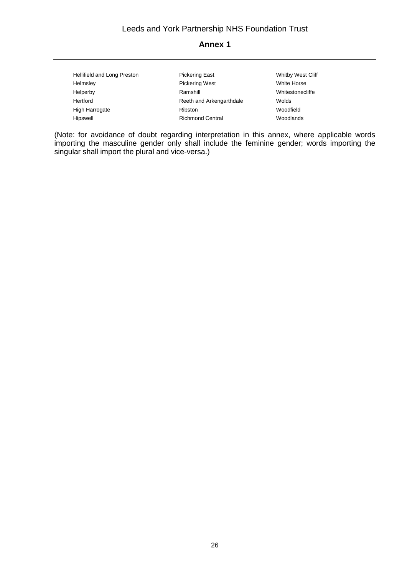| Hellifield and Long Preston | <b>Pickering East</b>    | Whitby West Cliff |  |
|-----------------------------|--------------------------|-------------------|--|
| Helmsley                    | <b>Pickering West</b>    | White Horse       |  |
| Helperby                    | Ramshill                 | Whitestonecliffe  |  |
| Hertford                    | Reeth and Arkengarthdale | Wolds             |  |
| High Harrogate              | Ribston                  | Woodfield         |  |
| Hipswell                    | <b>Richmond Central</b>  | Woodlands         |  |

(Note: for avoidance of doubt regarding interpretation in this annex, where applicable words importing the masculine gender only shall include the feminine gender; words importing the singular shall import the plural and vice-versa.)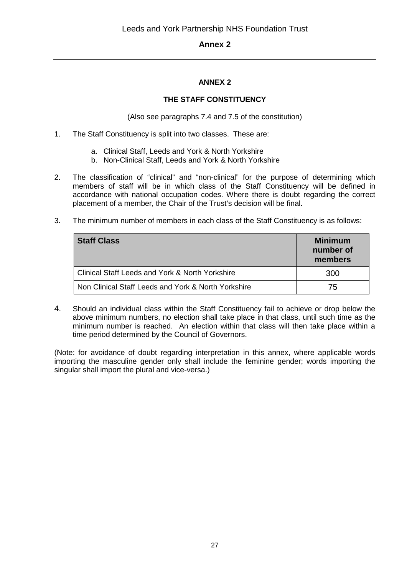## **ANNEX 2**

#### **THE STAFF CONSTITUENCY**

(Also see paragraphs 7.4 and 7.5 of the constitution)

- 1. The Staff Constituency is split into two classes. These are:
	- a. Clinical Staff, Leeds and York & North Yorkshire
	- b. Non-Clinical Staff, Leeds and York & North Yorkshire
- 2. The classification of "clinical" and "non-clinical" for the purpose of determining which members of staff will be in which class of the Staff Constituency will be defined in accordance with national occupation codes. Where there is doubt regarding the correct placement of a member, the Chair of the Trust's decision will be final.
- 3. The minimum number of members in each class of the Staff Constituency is as follows:

| <b>Staff Class</b>                                  | <b>Minimum</b><br>number of<br>members |
|-----------------------------------------------------|----------------------------------------|
| Clinical Staff Leeds and York & North Yorkshire     | 300                                    |
| Non Clinical Staff Leeds and York & North Yorkshire | 75                                     |

4. Should an individual class within the Staff Constituency fail to achieve or drop below the above minimum numbers, no election shall take place in that class, until such time as the minimum number is reached. An election within that class will then take place within a time period determined by the Council of Governors.

(Note: for avoidance of doubt regarding interpretation in this annex, where applicable words importing the masculine gender only shall include the feminine gender; words importing the singular shall import the plural and vice-versa.)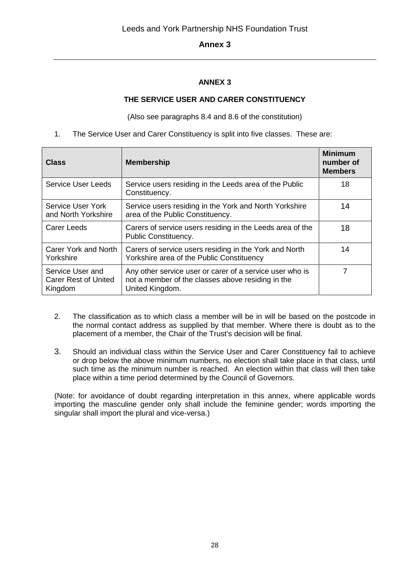## **ANNEX 3**

## **THE SERVICE USER AND CARER CONSTITUENCY**

(Also see paragraphs 8.4 and 8.6 of the constitution)

1. The Service User and Carer Constituency is split into five classes. These are:

| <b>Class</b>                                               | <b>Membership</b>                                                                                                                | <b>Minimum</b><br>number of<br><b>Members</b> |
|------------------------------------------------------------|----------------------------------------------------------------------------------------------------------------------------------|-----------------------------------------------|
| Service User Leeds                                         | Service users residing in the Leeds area of the Public<br>Constituency.                                                          | 18                                            |
| Service User York<br>and North Yorkshire                   | Service users residing in the York and North Yorkshire<br>area of the Public Constituency.                                       | 14                                            |
| Carer Leeds                                                | Carers of service users residing in the Leeds area of the<br>Public Constituency.                                                | 18                                            |
| Carer York and North<br>Yorkshire                          | Carers of service users residing in the York and North<br>Yorkshire area of the Public Constituency                              | 14                                            |
| Service User and<br><b>Carer Rest of United</b><br>Kingdom | Any other service user or carer of a service user who is<br>not a member of the classes above residing in the<br>United Kingdom. |                                               |

- 2. The classification as to which class a member will be in will be based on the postcode in the normal contact address as supplied by that member. Where there is doubt as to the placement of a member, the Chair of the Trust's decision will be final.
- 3. Should an individual class within the Service User and Carer Constituency fail to achieve or drop below the above minimum numbers, no election shall take place in that class, until such time as the minimum number is reached. An election within that class will then take place within a time period determined by the Council of Governors.

(Note: for avoidance of doubt regarding interpretation in this annex, where applicable words importing the masculine gender only shall include the feminine gender; words importing the singular shall import the plural and vice-versa.)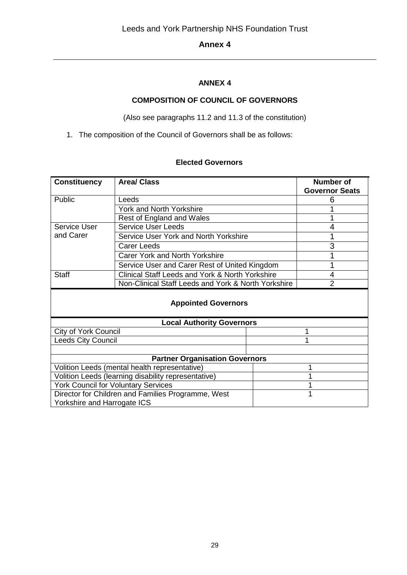## **ANNEX 4**

## **COMPOSITION OF COUNCIL OF GOVERNORS**

(Also see paragraphs 11.2 and 11.3 of the constitution)

1. The composition of the Council of Governors shall be as follows:

#### **Elected Governors**

| <b>Constituency</b>                                 | <b>Area/ Class</b>                              |                | <b>Number of</b><br><b>Governor Seats</b> |
|-----------------------------------------------------|-------------------------------------------------|----------------|-------------------------------------------|
| Public                                              | Leeds                                           |                |                                           |
|                                                     |                                                 |                | 6                                         |
|                                                     | York and North Yorkshire                        |                |                                           |
|                                                     | Rest of England and Wales                       |                |                                           |
| Service User                                        | <b>Service User Leeds</b>                       |                | 4                                         |
| and Carer                                           | Service User York and North Yorkshire           |                |                                           |
|                                                     | Carer Leeds                                     |                | 3                                         |
|                                                     | <b>Carer York and North Yorkshire</b>           |                |                                           |
|                                                     | Service User and Carer Rest of United Kingdom   |                | 1                                         |
| <b>Staff</b>                                        | Clinical Staff Leeds and York & North Yorkshire |                | 4                                         |
| Non-Clinical Staff Leeds and York & North Yorkshire |                                                 | $\overline{2}$ |                                           |
| <b>Appointed Governors</b>                          |                                                 |                |                                           |
| <b>Local Authority Governors</b>                    |                                                 |                |                                           |
| <b>City of York Council</b>                         |                                                 |                |                                           |
| Leeds City Council                                  |                                                 |                |                                           |
|                                                     |                                                 |                |                                           |
| <b>Partner Organisation Governors</b>               |                                                 |                |                                           |
| Volition Leeds (mental health representative)       |                                                 |                |                                           |
| Volition Leeds (learning disability representative) |                                                 |                |                                           |
| <b>York Council for Voluntary Services</b>          |                                                 |                |                                           |
| Director for Children and Families Programme, West  |                                                 |                |                                           |
| Yorkshire and Harrogate ICS                         |                                                 |                |                                           |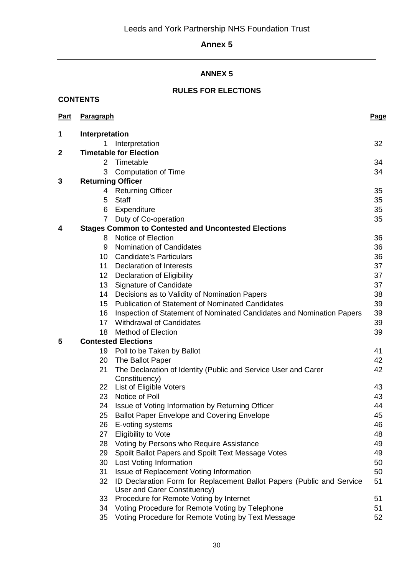# **ANNEX 5**

## **RULES FOR ELECTIONS**

**CONTENTS** 

| <b>Part</b>  | <b>Paragraph</b>         |                                                                                                       | <b>Page</b> |
|--------------|--------------------------|-------------------------------------------------------------------------------------------------------|-------------|
| 1            | Interpretation           |                                                                                                       |             |
|              |                          | Interpretation                                                                                        | 32          |
| $\mathbf{2}$ |                          | <b>Timetable for Election</b>                                                                         |             |
|              | $\overline{2}$           | Timetable                                                                                             | 34          |
|              | 3                        | <b>Computation of Time</b>                                                                            | 34          |
| 3            | <b>Returning Officer</b> |                                                                                                       |             |
|              | 4                        | <b>Returning Officer</b>                                                                              | 35          |
|              | 5                        | <b>Staff</b>                                                                                          | 35          |
|              | 6                        | Expenditure                                                                                           | 35          |
|              | $\overline{7}$           | Duty of Co-operation                                                                                  | 35          |
| 4            |                          | <b>Stages Common to Contested and Uncontested Elections</b>                                           |             |
|              | 8                        | Notice of Election                                                                                    | 36          |
|              | 9                        | Nomination of Candidates                                                                              | 36          |
|              |                          | 10 Candidate's Particulars                                                                            | 36          |
|              | 11                       | Declaration of Interests                                                                              | 37          |
|              | 12 <sup>2</sup>          | <b>Declaration of Eligibility</b>                                                                     | 37          |
|              | 13                       | <b>Signature of Candidate</b>                                                                         | 37          |
|              | 14                       | Decisions as to Validity of Nomination Papers                                                         | 38          |
|              | 15                       | <b>Publication of Statement of Nominated Candidates</b>                                               | 39          |
|              | 16                       | Inspection of Statement of Nominated Candidates and Nomination Papers                                 | 39          |
|              | 17                       | <b>Withdrawal of Candidates</b>                                                                       | 39          |
|              | 18                       | <b>Method of Election</b>                                                                             | 39          |
| 5            |                          | <b>Contested Elections</b>                                                                            |             |
|              |                          | 19 Poll to be Taken by Ballot                                                                         | 41          |
|              | 20                       | The Ballot Paper                                                                                      | 42          |
|              | 21                       | The Declaration of Identity (Public and Service User and Carer<br>Constituency)                       | 42          |
|              | 22                       | <b>List of Eligible Voters</b>                                                                        | 43          |
|              | 23                       | Notice of Poll                                                                                        | 43          |
|              | 24                       | Issue of Voting Information by Returning Officer                                                      | 44          |
|              | 25                       | <b>Ballot Paper Envelope and Covering Envelope</b>                                                    | 45          |
|              | 26                       | E-voting systems                                                                                      | 46          |
|              | 27                       | <b>Eligibility to Vote</b>                                                                            | 48          |
|              | 28                       | Voting by Persons who Require Assistance                                                              | 49          |
|              | 29                       | Spoilt Ballot Papers and Spoilt Text Message Votes                                                    | 49          |
|              | 30                       | Lost Voting Information                                                                               | 50          |
|              | 31                       | Issue of Replacement Voting Information                                                               | 50          |
|              | 32                       | ID Declaration Form for Replacement Ballot Papers (Public and Service<br>User and Carer Constituency) | 51          |
|              | 33                       | Procedure for Remote Voting by Internet                                                               | 51          |
|              | 34                       | Voting Procedure for Remote Voting by Telephone                                                       | 51          |
|              | 35                       | Voting Procedure for Remote Voting by Text Message                                                    | 52          |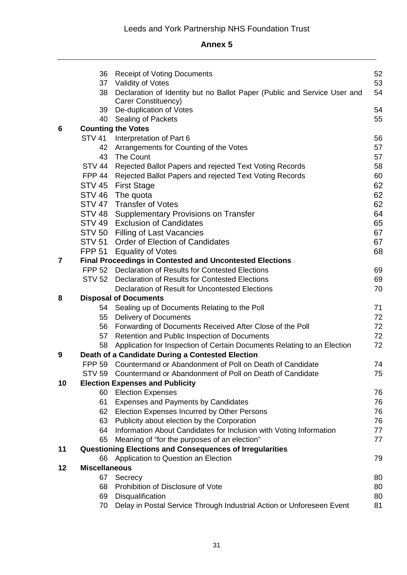|                | 36                   | <b>Receipt of Voting Documents</b>                                                            | 52       |
|----------------|----------------------|-----------------------------------------------------------------------------------------------|----------|
|                | 37<br>38             | Validity of Votes<br>Declaration of Identity but no Ballot Paper (Public and Service User and | 53<br>54 |
|                |                      | Carer Constituency)<br>39 De-duplication of Votes                                             | 54       |
|                | 40                   | Sealing of Packets                                                                            | 55       |
| 6              |                      | <b>Counting the Votes</b>                                                                     |          |
|                | <b>STV 41</b>        | Interpretation of Part 6                                                                      | 56       |
|                | 42                   | Arrangements for Counting of the Votes                                                        | 57       |
|                | 43                   | The Count                                                                                     | 57       |
|                | STV 44               | Rejected Ballot Papers and rejected Text Voting Records                                       | 58       |
|                | <b>FPP 44</b>        | Rejected Ballot Papers and rejected Text Voting Records                                       | 60       |
|                |                      | STV 45 First Stage                                                                            | 62       |
|                | STV 46               | The quota                                                                                     | 62       |
|                |                      | STV 47 Transfer of Votes                                                                      | 62       |
|                |                      | STV 48 Supplementary Provisions on Transfer                                                   | 64       |
|                |                      | STV 49 Exclusion of Candidates                                                                | 65       |
|                |                      | STV 50 Filling of Last Vacancies                                                              | 67       |
|                |                      | STV 51 Order of Election of Candidates                                                        | 67       |
|                |                      | FPP 51 Equality of Votes                                                                      | 68       |
| $\overline{7}$ |                      | <b>Final Proceedings in Contested and Uncontested Elections</b>                               |          |
|                |                      | FPP 52 Declaration of Results for Contested Elections                                         | 69       |
|                |                      | STV 52 Declaration of Results for Contested Elections                                         | 69       |
|                |                      | Declaration of Result for Uncontested Elections                                               | 70       |
| 8              |                      | <b>Disposal of Documents</b>                                                                  |          |
|                |                      | 54 Sealing up of Documents Relating to the Poll                                               | 71       |
|                |                      | 55 Delivery of Documents                                                                      | 72       |
|                |                      | 56 Forwarding of Documents Received After Close of the Poll                                   | 72       |
|                | 57                   | Retention and Public Inspection of Documents                                                  | 72       |
|                | 58                   | Application for Inspection of Certain Documents Relating to an Election                       | 72       |
| 9              |                      | Death of a Candidate During a Contested Election                                              |          |
|                |                      | FPP 59 Countermand or Abandonment of Poll on Death of Candidate                               | 74       |
|                |                      | STV 59 Countermand or Abandonment of Poll on Death of Candidate                               | 75       |
| 10             |                      | <b>Election Expenses and Publicity</b>                                                        |          |
|                | 60                   | <b>Election Expenses</b>                                                                      | 76       |
|                | 61                   | Expenses and Payments by Candidates                                                           | 76       |
|                | 62                   | Election Expenses Incurred by Other Persons                                                   | 76       |
|                | 63                   | Publicity about election by the Corporation                                                   | 76       |
|                | 64                   | Information About Candidates for Inclusion with Voting Information                            | 77       |
|                | 65                   | Meaning of "for the purposes of an election"                                                  | 77       |
| 11             |                      | <b>Questioning Elections and Consequences of Irregularities</b>                               |          |
|                | 66                   | Application to Question an Election                                                           | 79       |
| 12             | <b>Miscellaneous</b> |                                                                                               |          |
|                | 67                   | Secrecy                                                                                       | 80       |
|                | 68                   | Prohibition of Disclosure of Vote                                                             | 80       |
|                | 69                   | Disqualification                                                                              | 80       |
|                | 70                   | Delay in Postal Service Through Industrial Action or Unforeseen Event                         | 81       |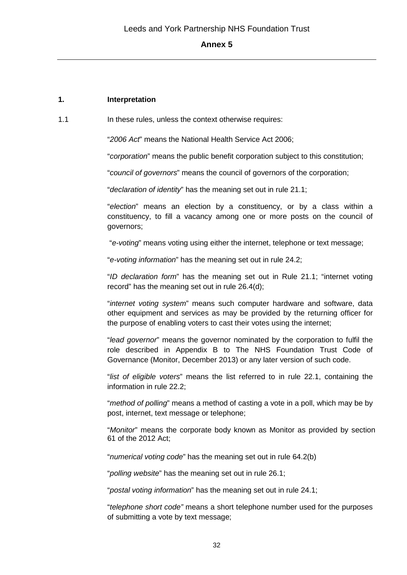#### **1. Interpretation**

1.1 **In these rules, unless the context otherwise requires:** 

"*2006 Act*" means the National Health Service Act 2006;

"*corporation*" means the public benefit corporation subject to this constitution;

"*council of governors*" means the council of governors of the corporation;

"*declaration of identity*" has the meaning set out in rule 21.1;

"*election*" means an election by a constituency, or by a class within a constituency, to fill a vacancy among one or more posts on the council of governors;

"*e-voting*" means voting using either the internet, telephone or text message;

"*e-voting information*" has the meaning set out in rule 24.2;

"*ID declaration form*" has the meaning set out in Rule 21.1; "internet voting record" has the meaning set out in rule 26.4(d);

"*internet voting system*" means such computer hardware and software, data other equipment and services as may be provided by the returning officer for the purpose of enabling voters to cast their votes using the internet;

"*lead governor*" means the governor nominated by the corporation to fulfil the role described in Appendix B to The NHS Foundation Trust Code of Governance (Monitor, December 2013) or any later version of such code.

"*list of eligible voters*" means the list referred to in rule 22.1, containing the information in rule 22.2;

"*method of polling*" means a method of casting a vote in a poll, which may be by post, internet, text message or telephone;

"*Monitor*" means the corporate body known as Monitor as provided by section 61 of the 2012 Act;

"*numerical voting code*" has the meaning set out in rule 64.2(b)

"*polling website*" has the meaning set out in rule 26.1;

"*postal voting information*" has the meaning set out in rule 24.1;

"*telephone short code"* means a short telephone number used for the purposes of submitting a vote by text message;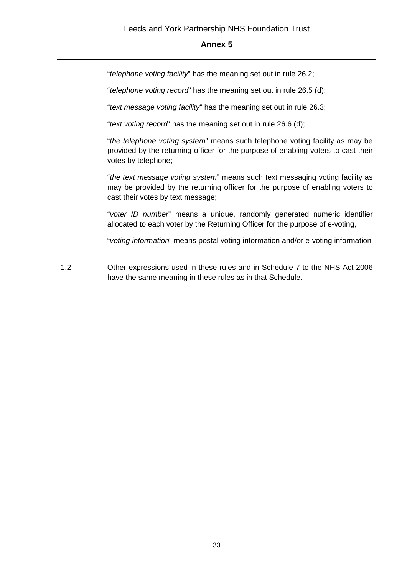"*telephone voting facility*" has the meaning set out in rule 26.2;

"*telephone voting record*" has the meaning set out in rule 26.5 (d);

"*text message voting facility*" has the meaning set out in rule 26.3;

"*text voting record*" has the meaning set out in rule 26.6 (d);

"*the telephone voting system*" means such telephone voting facility as may be provided by the returning officer for the purpose of enabling voters to cast their votes by telephone;

"*the text message voting system*" means such text messaging voting facility as may be provided by the returning officer for the purpose of enabling voters to cast their votes by text message;

"*voter ID number*" means a unique, randomly generated numeric identifier allocated to each voter by the Returning Officer for the purpose of e-voting,

"*voting information*" means postal voting information and/or e-voting information

1.2 Other expressions used in these rules and in Schedule 7 to the NHS Act 2006 have the same meaning in these rules as in that Schedule.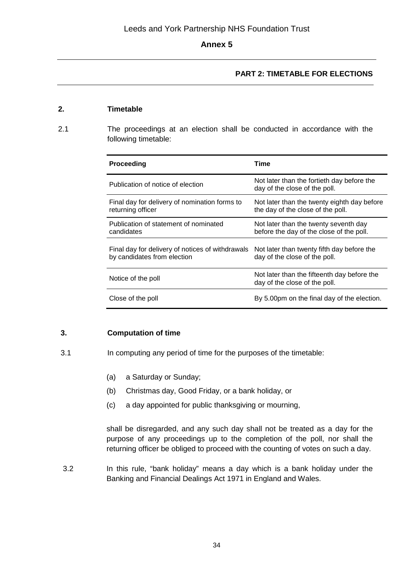## **PART 2: TIMETABLE FOR ELECTIONS**

## **2. Timetable**

2.1 The proceedings at an election shall be conducted in accordance with the following timetable:

| Proceeding                                                                      | Time                                                                              |
|---------------------------------------------------------------------------------|-----------------------------------------------------------------------------------|
| Publication of notice of election                                               | Not later than the fortieth day before the<br>day of the close of the poll.       |
| Final day for delivery of nomination forms to<br>returning officer              | Not later than the twenty eighth day before<br>the day of the close of the poll.  |
| Publication of statement of nominated<br>candidates                             | Not later than the twenty seventh day<br>before the day of the close of the poll. |
| Final day for delivery of notices of withdrawals<br>by candidates from election | Not later than twenty fifth day before the<br>day of the close of the poll.       |
| Notice of the poll                                                              | Not later than the fifteenth day before the<br>day of the close of the poll.      |
| Close of the poll                                                               | By 5.00pm on the final day of the election.                                       |

## **3. Computation of time**

- 3.1 In computing any period of time for the purposes of the timetable:
	- (a) a Saturday or Sunday;
	- (b) Christmas day, Good Friday, or a bank holiday, or
	- (c) a day appointed for public thanksgiving or mourning,

shall be disregarded, and any such day shall not be treated as a day for the purpose of any proceedings up to the completion of the poll, nor shall the returning officer be obliged to proceed with the counting of votes on such a day.

3.2 In this rule, "bank holiday" means a day which is a bank holiday under the Banking and Financial Dealings Act 1971 in England and Wales.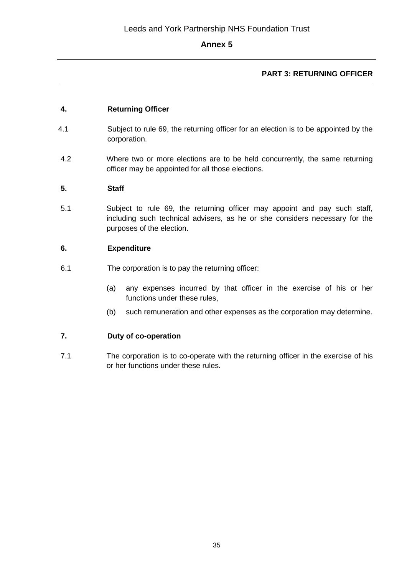## **PART 3: RETURNING OFFICER**

## **4. Returning Officer**

- 4.1 Subject to rule 69, the returning officer for an election is to be appointed by the corporation.
- 4.2 Where two or more elections are to be held concurrently, the same returning officer may be appointed for all those elections.

## **5. Staff**

5.1 Subject to rule 69, the returning officer may appoint and pay such staff, including such technical advisers, as he or she considers necessary for the purposes of the election.

## **6. Expenditure**

- 6.1 The corporation is to pay the returning officer:
	- (a) any expenses incurred by that officer in the exercise of his or her functions under these rules,
	- (b) such remuneration and other expenses as the corporation may determine.

## **7. Duty of co-operation**

7.1 The corporation is to co-operate with the returning officer in the exercise of his or her functions under these rules.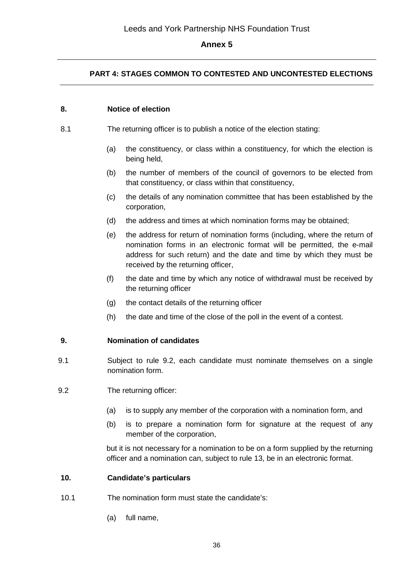## **PART 4: STAGES COMMON TO CONTESTED AND UNCONTESTED ELECTIONS**

#### **8. Notice of election**

- 8.1 The returning officer is to publish a notice of the election stating:
	- (a) the constituency, or class within a constituency, for which the election is being held,
	- (b) the number of members of the council of governors to be elected from that constituency, or class within that constituency,
	- (c) the details of any nomination committee that has been established by the corporation,
	- (d) the address and times at which nomination forms may be obtained;
	- (e) the address for return of nomination forms (including, where the return of nomination forms in an electronic format will be permitted, the e-mail address for such return) and the date and time by which they must be received by the returning officer,
	- (f) the date and time by which any notice of withdrawal must be received by the returning officer
	- (g) the contact details of the returning officer
	- (h) the date and time of the close of the poll in the event of a contest.

#### **9. Nomination of candidates**

- 9.1 Subject to rule 9.2, each candidate must nominate themselves on a single nomination form.
- 9.2 The returning officer:
	- (a) is to supply any member of the corporation with a nomination form, and
	- (b) is to prepare a nomination form for signature at the request of any member of the corporation,

but it is not necessary for a nomination to be on a form supplied by the returning officer and a nomination can, subject to rule 13, be in an electronic format.

#### **10. Candidate's particulars**

- 10.1 The nomination form must state the candidate's:
	- (a) full name,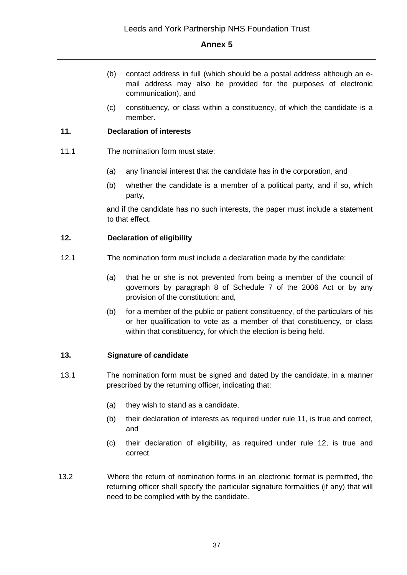- (b) contact address in full (which should be a postal address although an email address may also be provided for the purposes of electronic communication), and
- (c) constituency, or class within a constituency, of which the candidate is a member.

### **11. Declaration of interests**

- 11.1 The nomination form must state:
	- (a) any financial interest that the candidate has in the corporation, and
	- (b) whether the candidate is a member of a political party, and if so, which party,

and if the candidate has no such interests, the paper must include a statement to that effect.

### **12. Declaration of eligibility**

- 12.1 The nomination form must include a declaration made by the candidate:
	- (a) that he or she is not prevented from being a member of the council of governors by paragraph 8 of Schedule 7 of the 2006 Act or by any provision of the constitution; and,
	- (b) for a member of the public or patient constituency, of the particulars of his or her qualification to vote as a member of that constituency, or class within that constituency, for which the election is being held.

# **13. Signature of candidate**

- 13.1 The nomination form must be signed and dated by the candidate, in a manner prescribed by the returning officer, indicating that:
	- (a) they wish to stand as a candidate,
	- (b) their declaration of interests as required under rule 11, is true and correct, and
	- (c) their declaration of eligibility, as required under rule 12, is true and correct.
- 13.2 Where the return of nomination forms in an electronic format is permitted, the returning officer shall specify the particular signature formalities (if any) that will need to be complied with by the candidate.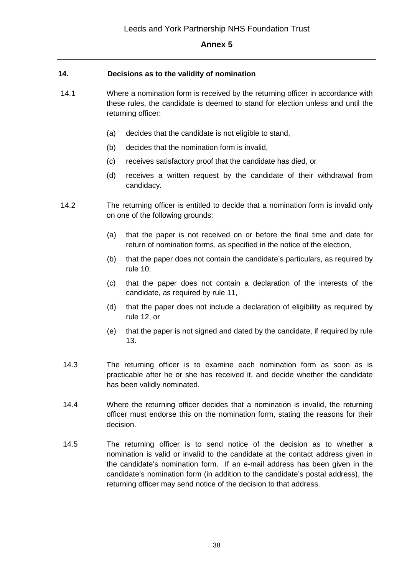### **14. Decisions as to the validity of nomination**

- 14.1 Where a nomination form is received by the returning officer in accordance with these rules, the candidate is deemed to stand for election unless and until the returning officer:
	- (a) decides that the candidate is not eligible to stand,
	- (b) decides that the nomination form is invalid,
	- (c) receives satisfactory proof that the candidate has died, or
	- (d) receives a written request by the candidate of their withdrawal from candidacy.
- 14.2 The returning officer is entitled to decide that a nomination form is invalid only on one of the following grounds:
	- (a) that the paper is not received on or before the final time and date for return of nomination forms, as specified in the notice of the election,
	- (b) that the paper does not contain the candidate's particulars, as required by rule 10;
	- (c) that the paper does not contain a declaration of the interests of the candidate, as required by rule 11,
	- (d) that the paper does not include a declaration of eligibility as required by rule 12, or
	- (e) that the paper is not signed and dated by the candidate, if required by rule 13.
- 14.3 The returning officer is to examine each nomination form as soon as is practicable after he or she has received it, and decide whether the candidate has been validly nominated.
- 14.4 Where the returning officer decides that a nomination is invalid, the returning officer must endorse this on the nomination form, stating the reasons for their decision.
- 14.5 The returning officer is to send notice of the decision as to whether a nomination is valid or invalid to the candidate at the contact address given in the candidate's nomination form. If an e-mail address has been given in the candidate's nomination form (in addition to the candidate's postal address), the returning officer may send notice of the decision to that address.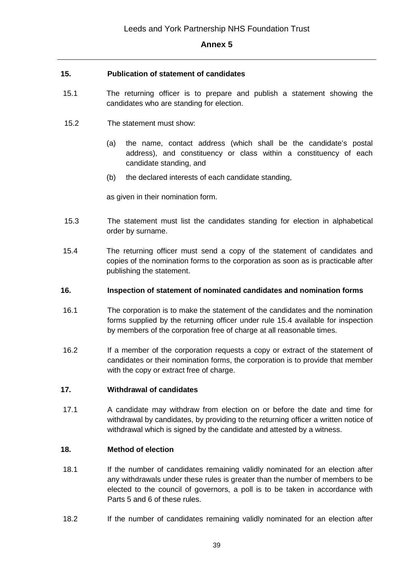### **15. Publication of statement of candidates**

- 15.1 The returning officer is to prepare and publish a statement showing the candidates who are standing for election.
- 15.2 The statement must show:
	- (a) the name, contact address (which shall be the candidate's postal address), and constituency or class within a constituency of each candidate standing, and
	- (b) the declared interests of each candidate standing,

as given in their nomination form.

- 15.3 The statement must list the candidates standing for election in alphabetical order by surname.
- 15.4 The returning officer must send a copy of the statement of candidates and copies of the nomination forms to the corporation as soon as is practicable after publishing the statement.

#### **16. Inspection of statement of nominated candidates and nomination forms**

- 16.1 The corporation is to make the statement of the candidates and the nomination forms supplied by the returning officer under rule 15.4 available for inspection by members of the corporation free of charge at all reasonable times.
- 16.2 If a member of the corporation requests a copy or extract of the statement of candidates or their nomination forms, the corporation is to provide that member with the copy or extract free of charge.

### **17. Withdrawal of candidates**

17.1 A candidate may withdraw from election on or before the date and time for withdrawal by candidates, by providing to the returning officer a written notice of withdrawal which is signed by the candidate and attested by a witness.

#### **18. Method of election**

- 18.1 If the number of candidates remaining validly nominated for an election after any withdrawals under these rules is greater than the number of members to be elected to the council of governors, a poll is to be taken in accordance with Parts 5 and 6 of these rules.
- 18.2 If the number of candidates remaining validly nominated for an election after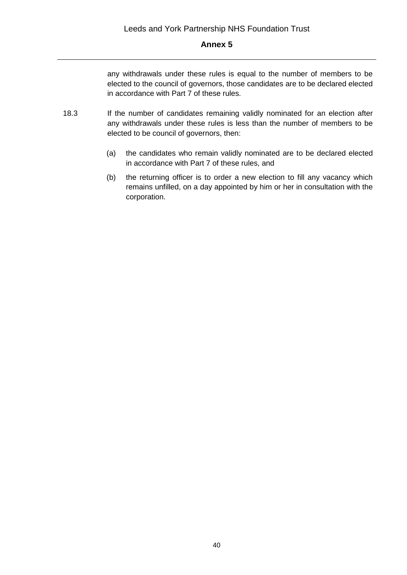any withdrawals under these rules is equal to the number of members to be elected to the council of governors, those candidates are to be declared elected in accordance with Part 7 of these rules.

- 18.3 If the number of candidates remaining validly nominated for an election after any withdrawals under these rules is less than the number of members to be elected to be council of governors, then:
	- (a) the candidates who remain validly nominated are to be declared elected in accordance with Part 7 of these rules, and
	- (b) the returning officer is to order a new election to fill any vacancy which remains unfilled, on a day appointed by him or her in consultation with the corporation.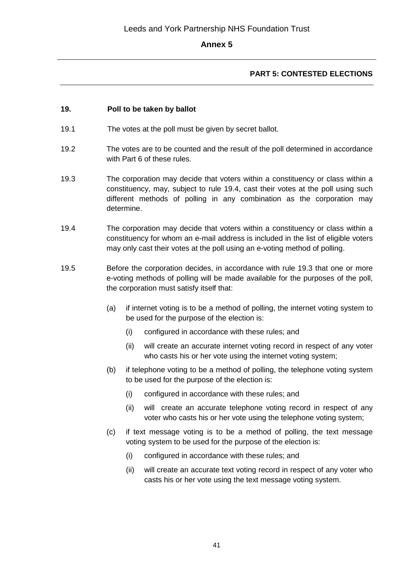# **PART 5: CONTESTED ELECTIONS**

### **19. Poll to be taken by ballot**

- 19.1 The votes at the poll must be given by secret ballot.
- 19.2 The votes are to be counted and the result of the poll determined in accordance with Part 6 of these rules.
- 19.3 The corporation may decide that voters within a constituency or class within a constituency, may, subject to rule 19.4, cast their votes at the poll using such different methods of polling in any combination as the corporation may determine.
- 19.4 The corporation may decide that voters within a constituency or class within a constituency for whom an e-mail address is included in the list of eligible voters may only cast their votes at the poll using an e-voting method of polling.
- 19.5 Before the corporation decides, in accordance with rule 19.3 that one or more e-voting methods of polling will be made available for the purposes of the poll, the corporation must satisfy itself that:
	- (a) if internet voting is to be a method of polling, the internet voting system to be used for the purpose of the election is:
		- (i) configured in accordance with these rules; and
		- (ii) will create an accurate internet voting record in respect of any voter who casts his or her vote using the internet voting system;
	- (b) if telephone voting to be a method of polling, the telephone voting system to be used for the purpose of the election is:
		- (i) configured in accordance with these rules; and
		- (ii) will create an accurate telephone voting record in respect of any voter who casts his or her vote using the telephone voting system;
	- (c) if text message voting is to be a method of polling, the text message voting system to be used for the purpose of the election is:
		- (i) configured in accordance with these rules; and
		- (ii) will create an accurate text voting record in respect of any voter who casts his or her vote using the text message voting system.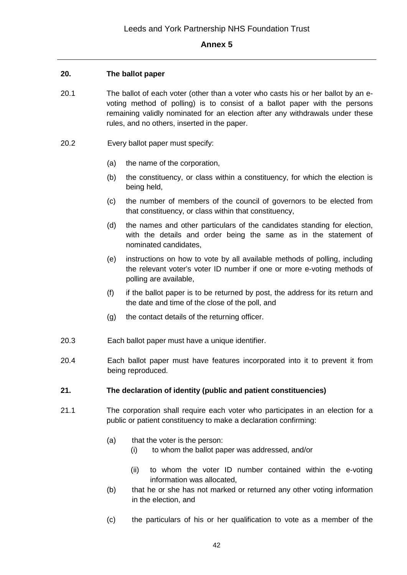### **20. The ballot paper**

- 20.1 The ballot of each voter (other than a voter who casts his or her ballot by an evoting method of polling) is to consist of a ballot paper with the persons remaining validly nominated for an election after any withdrawals under these rules, and no others, inserted in the paper.
- 20.2 Every ballot paper must specify:
	- (a) the name of the corporation,
	- (b) the constituency, or class within a constituency, for which the election is being held,
	- (c) the number of members of the council of governors to be elected from that constituency, or class within that constituency,
	- (d) the names and other particulars of the candidates standing for election, with the details and order being the same as in the statement of nominated candidates,
	- (e) instructions on how to vote by all available methods of polling, including the relevant voter's voter ID number if one or more e-voting methods of polling are available,
	- (f) if the ballot paper is to be returned by post, the address for its return and the date and time of the close of the poll, and
	- (g) the contact details of the returning officer.
- 20.3 Each ballot paper must have a unique identifier.
- 20.4 Each ballot paper must have features incorporated into it to prevent it from being reproduced.

### **21. The declaration of identity (public and patient constituencies)**

- 21.1 The corporation shall require each voter who participates in an election for a public or patient constituency to make a declaration confirming:
	- (a) that the voter is the person:
		- (i) to whom the ballot paper was addressed, and/or
		- (ii) to whom the voter ID number contained within the e-voting information was allocated,
	- (b) that he or she has not marked or returned any other voting information in the election, and
	- (c) the particulars of his or her qualification to vote as a member of the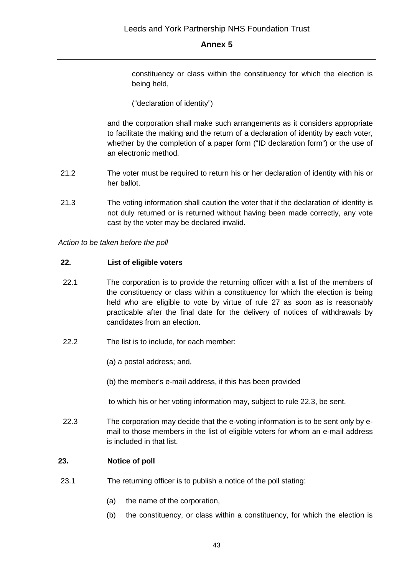constituency or class within the constituency for which the election is being held,

# ("declaration of identity")

and the corporation shall make such arrangements as it considers appropriate to facilitate the making and the return of a declaration of identity by each voter, whether by the completion of a paper form ("ID declaration form") or the use of an electronic method.

- 21.2 The voter must be required to return his or her declaration of identity with his or her ballot.
- 21.3 The voting information shall caution the voter that if the declaration of identity is not duly returned or is returned without having been made correctly, any vote cast by the voter may be declared invalid.

*Action to be taken before the poll*

### **22. List of eligible voters**

- 22.1 The corporation is to provide the returning officer with a list of the members of the constituency or class within a constituency for which the election is being held who are eligible to vote by virtue of rule 27 as soon as is reasonably practicable after the final date for the delivery of notices of withdrawals by candidates from an election.
- 22.2 The list is to include, for each member:
	- (a) a postal address; and,
	- (b) the member's e-mail address, if this has been provided

to which his or her voting information may, subject to rule 22.3, be sent.

22.3 The corporation may decide that the e-voting information is to be sent only by email to those members in the list of eligible voters for whom an e-mail address is included in that list.

# **23. Notice of poll**

- 23.1 The returning officer is to publish a notice of the poll stating:
	- (a) the name of the corporation,
	- (b) the constituency, or class within a constituency, for which the election is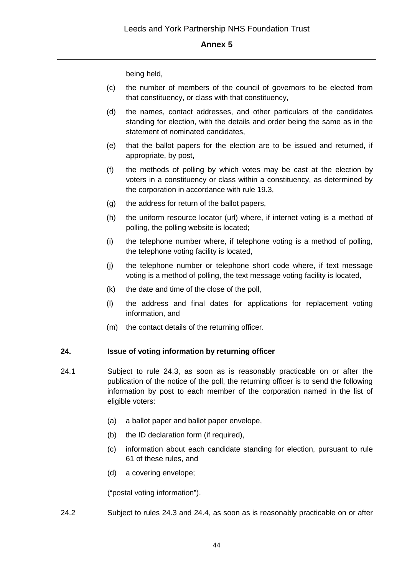being held,

- (c) the number of members of the council of governors to be elected from that constituency, or class with that constituency,
- (d) the names, contact addresses, and other particulars of the candidates standing for election, with the details and order being the same as in the statement of nominated candidates,
- (e) that the ballot papers for the election are to be issued and returned, if appropriate, by post,
- (f) the methods of polling by which votes may be cast at the election by voters in a constituency or class within a constituency, as determined by the corporation in accordance with rule 19.3,
- (g) the address for return of the ballot papers,
- (h) the uniform resource locator (url) where, if internet voting is a method of polling, the polling website is located;
- (i) the telephone number where, if telephone voting is a method of polling, the telephone voting facility is located,
- (j) the telephone number or telephone short code where, if text message voting is a method of polling, the text message voting facility is located,
- (k) the date and time of the close of the poll,
- (l) the address and final dates for applications for replacement voting information, and
- (m) the contact details of the returning officer.

### **24. Issue of voting information by returning officer**

- 24.1 Subject to rule 24.3, as soon as is reasonably practicable on or after the publication of the notice of the poll, the returning officer is to send the following information by post to each member of the corporation named in the list of eligible voters:
	- (a) a ballot paper and ballot paper envelope,
	- (b) the ID declaration form (if required),
	- (c) information about each candidate standing for election, pursuant to rule 61 of these rules, and
	- (d) a covering envelope;

("postal voting information").

24.2 Subject to rules 24.3 and 24.4, as soon as is reasonably practicable on or after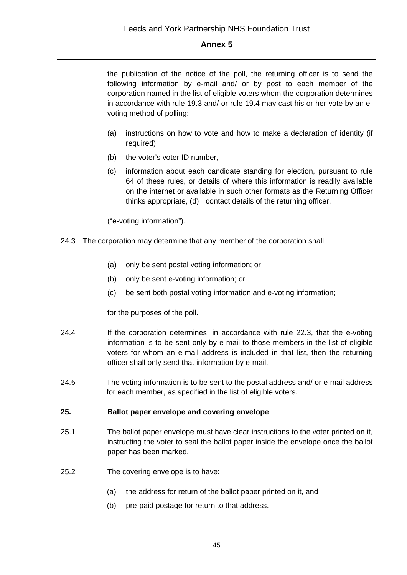the publication of the notice of the poll, the returning officer is to send the following information by e-mail and/ or by post to each member of the corporation named in the list of eligible voters whom the corporation determines in accordance with rule 19.3 and/ or rule 19.4 may cast his or her vote by an evoting method of polling:

- (a) instructions on how to vote and how to make a declaration of identity (if required),
- (b) the voter's voter ID number,
- (c) information about each candidate standing for election, pursuant to rule 64 of these rules, or details of where this information is readily available on the internet or available in such other formats as the Returning Officer thinks appropriate, (d) contact details of the returning officer,

("e-voting information").

- 24.3 The corporation may determine that any member of the corporation shall:
	- (a) only be sent postal voting information; or
	- (b) only be sent e-voting information; or
	- (c) be sent both postal voting information and e-voting information;

for the purposes of the poll.

- 24.4 If the corporation determines, in accordance with rule 22.3, that the e-voting information is to be sent only by e-mail to those members in the list of eligible voters for whom an e-mail address is included in that list, then the returning officer shall only send that information by e-mail.
- 24.5 The voting information is to be sent to the postal address and/ or e-mail address for each member, as specified in the list of eligible voters.

### **25. Ballot paper envelope and covering envelope**

- 25.1 The ballot paper envelope must have clear instructions to the voter printed on it, instructing the voter to seal the ballot paper inside the envelope once the ballot paper has been marked.
- 25.2 The covering envelope is to have:
	- (a) the address for return of the ballot paper printed on it, and
	- (b) pre-paid postage for return to that address.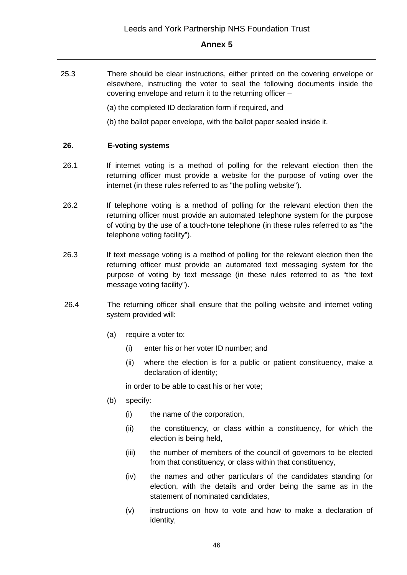25.3 There should be clear instructions, either printed on the covering envelope or elsewhere, instructing the voter to seal the following documents inside the covering envelope and return it to the returning officer –

(a) the completed ID declaration form if required, and

(b) the ballot paper envelope, with the ballot paper sealed inside it.

#### **26. E-voting systems**

- 26.1 If internet voting is a method of polling for the relevant election then the returning officer must provide a website for the purpose of voting over the internet (in these rules referred to as "the polling website").
- 26.2 If telephone voting is a method of polling for the relevant election then the returning officer must provide an automated telephone system for the purpose of voting by the use of a touch-tone telephone (in these rules referred to as "the telephone voting facility").
- 26.3 If text message voting is a method of polling for the relevant election then the returning officer must provide an automated text messaging system for the purpose of voting by text message (in these rules referred to as "the text message voting facility").
- 26.4 The returning officer shall ensure that the polling website and internet voting system provided will:
	- (a) require a voter to:
		- (i) enter his or her voter ID number; and
		- (ii) where the election is for a public or patient constituency, make a declaration of identity;

in order to be able to cast his or her vote;

- (b) specify:
	- (i) the name of the corporation,
	- (ii) the constituency, or class within a constituency, for which the election is being held,
	- (iii) the number of members of the council of governors to be elected from that constituency, or class within that constituency,
	- (iv) the names and other particulars of the candidates standing for election, with the details and order being the same as in the statement of nominated candidates,
	- (v) instructions on how to vote and how to make a declaration of identity,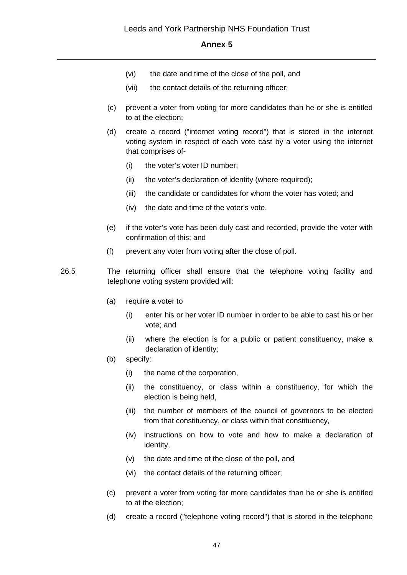- (vi) the date and time of the close of the poll, and
- (vii) the contact details of the returning officer;
- (c) prevent a voter from voting for more candidates than he or she is entitled to at the election;
- (d) create a record ("internet voting record") that is stored in the internet voting system in respect of each vote cast by a voter using the internet that comprises of-
	- (i) the voter's voter ID number;
	- (ii) the voter's declaration of identity (where required);
	- (iii) the candidate or candidates for whom the voter has voted; and
	- (iv) the date and time of the voter's vote,
- (e) if the voter's vote has been duly cast and recorded, provide the voter with confirmation of this; and
- (f) prevent any voter from voting after the close of poll.
- 26.5 The returning officer shall ensure that the telephone voting facility and telephone voting system provided will:
	- (a) require a voter to
		- (i) enter his or her voter ID number in order to be able to cast his or her vote; and
		- (ii) where the election is for a public or patient constituency, make a declaration of identity;
	- (b) specify:
		- (i) the name of the corporation,
		- (ii) the constituency, or class within a constituency, for which the election is being held,
		- (iii) the number of members of the council of governors to be elected from that constituency, or class within that constituency,
		- (iv) instructions on how to vote and how to make a declaration of identity,
		- (v) the date and time of the close of the poll, and
		- (vi) the contact details of the returning officer;
	- (c) prevent a voter from voting for more candidates than he or she is entitled to at the election;
	- (d) create a record ("telephone voting record") that is stored in the telephone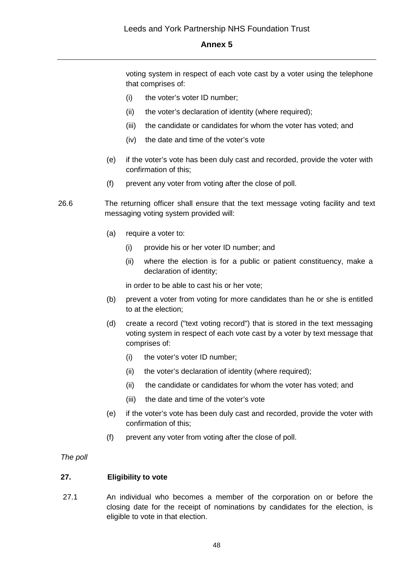voting system in respect of each vote cast by a voter using the telephone that comprises of:

- (i) the voter's voter ID number;
- (ii) the voter's declaration of identity (where required);
- (iii) the candidate or candidates for whom the voter has voted; and
- (iv) the date and time of the voter's vote
- (e) if the voter's vote has been duly cast and recorded, provide the voter with confirmation of this;
- (f) prevent any voter from voting after the close of poll.
- 26.6 The returning officer shall ensure that the text message voting facility and text messaging voting system provided will:
	- (a) require a voter to:
		- (i) provide his or her voter ID number; and
		- (ii) where the election is for a public or patient constituency, make a declaration of identity;

in order to be able to cast his or her vote;

- (b) prevent a voter from voting for more candidates than he or she is entitled to at the election;
- (d) create a record ("text voting record") that is stored in the text messaging voting system in respect of each vote cast by a voter by text message that comprises of:
	- (i) the voter's voter ID number;
	- (ii) the voter's declaration of identity (where required);
	- (ii) the candidate or candidates for whom the voter has voted; and
	- (iii) the date and time of the voter's vote
- (e) if the voter's vote has been duly cast and recorded, provide the voter with confirmation of this;
- (f) prevent any voter from voting after the close of poll.

#### *The poll*

### **27. Eligibility to vote**

27.1 An individual who becomes a member of the corporation on or before the closing date for the receipt of nominations by candidates for the election, is eligible to vote in that election.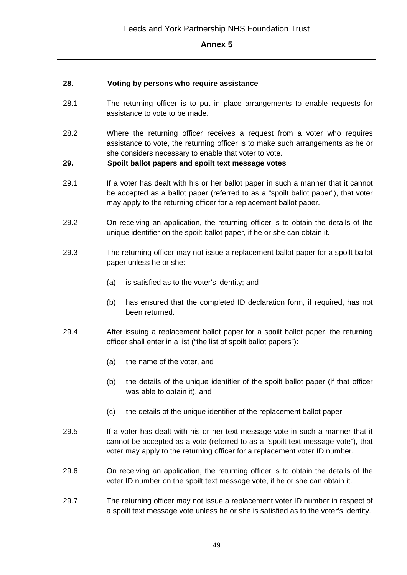### **28. Voting by persons who require assistance**

- 28.1 The returning officer is to put in place arrangements to enable requests for assistance to vote to be made.
- 28.2 Where the returning officer receives a request from a voter who requires assistance to vote, the returning officer is to make such arrangements as he or she considers necessary to enable that voter to vote.

### **29. Spoilt ballot papers and spoilt text message votes**

- 29.1 If a voter has dealt with his or her ballot paper in such a manner that it cannot be accepted as a ballot paper (referred to as a "spoilt ballot paper"), that voter may apply to the returning officer for a replacement ballot paper.
- 29.2 On receiving an application, the returning officer is to obtain the details of the unique identifier on the spoilt ballot paper, if he or she can obtain it.
- 29.3 The returning officer may not issue a replacement ballot paper for a spoilt ballot paper unless he or she:
	- (a) is satisfied as to the voter's identity; and
	- (b) has ensured that the completed ID declaration form, if required, has not been returned.
- 29.4 After issuing a replacement ballot paper for a spoilt ballot paper, the returning officer shall enter in a list ("the list of spoilt ballot papers"):
	- (a) the name of the voter, and
	- (b) the details of the unique identifier of the spoilt ballot paper (if that officer was able to obtain it), and
	- (c) the details of the unique identifier of the replacement ballot paper.
- 29.5 If a voter has dealt with his or her text message vote in such a manner that it cannot be accepted as a vote (referred to as a "spoilt text message vote"), that voter may apply to the returning officer for a replacement voter ID number.
- 29.6 On receiving an application, the returning officer is to obtain the details of the voter ID number on the spoilt text message vote, if he or she can obtain it.
- 29.7 The returning officer may not issue a replacement voter ID number in respect of a spoilt text message vote unless he or she is satisfied as to the voter's identity.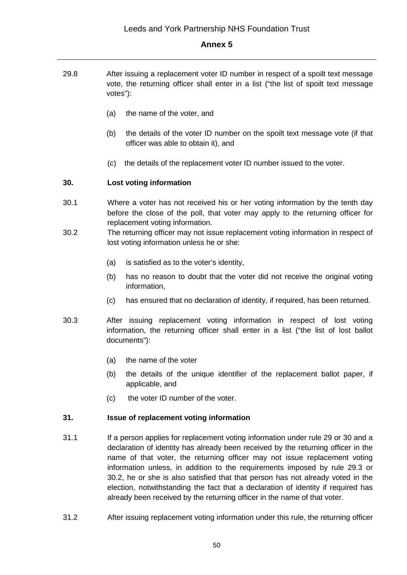- 29.8 After issuing a replacement voter ID number in respect of a spoilt text message vote, the returning officer shall enter in a list ("the list of spoilt text message votes"):
	- (a) the name of the voter, and
	- (b) the details of the voter ID number on the spoilt text message vote (if that officer was able to obtain it), and
	- (c) the details of the replacement voter ID number issued to the voter.

### **30. Lost voting information**

- 30.1 Where a voter has not received his or her voting information by the tenth day before the close of the poll, that voter may apply to the returning officer for replacement voting information.
- 30.2 The returning officer may not issue replacement voting information in respect of lost voting information unless he or she:
	- (a) is satisfied as to the voter's identity,
	- (b) has no reason to doubt that the voter did not receive the original voting information,
	- (c) has ensured that no declaration of identity, if required, has been returned.
- 30.3 After issuing replacement voting information in respect of lost voting information, the returning officer shall enter in a list ("the list of lost ballot documents"):
	- (a) the name of the voter
	- (b) the details of the unique identifier of the replacement ballot paper, if applicable, and
	- (c) the voter ID number of the voter.

### **31. Issue of replacement voting information**

- 31.1 If a person applies for replacement voting information under rule 29 or 30 and a declaration of identity has already been received by the returning officer in the name of that voter, the returning officer may not issue replacement voting information unless, in addition to the requirements imposed by rule 29.3 or 30.2, he or she is also satisfied that that person has not already voted in the election, notwithstanding the fact that a declaration of identity if required has already been received by the returning officer in the name of that voter.
- 31.2 After issuing replacement voting information under this rule, the returning officer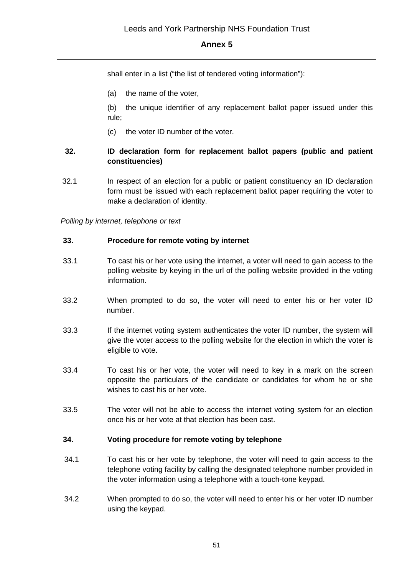shall enter in a list ("the list of tendered voting information"):

(a) the name of the voter,

(b) the unique identifier of any replacement ballot paper issued under this rule;

(c) the voter ID number of the voter.

# **32. ID declaration form for replacement ballot papers (public and patient constituencies)**

32.1 In respect of an election for a public or patient constituency an ID declaration form must be issued with each replacement ballot paper requiring the voter to make a declaration of identity.

*Polling by internet, telephone or text* 

#### **33. Procedure for remote voting by internet**

- 33.1 To cast his or her vote using the internet, a voter will need to gain access to the polling website by keying in the url of the polling website provided in the voting information.
- 33.2 When prompted to do so, the voter will need to enter his or her voter ID number.
- 33.3 If the internet voting system authenticates the voter ID number, the system will give the voter access to the polling website for the election in which the voter is eligible to vote.
- 33.4 To cast his or her vote, the voter will need to key in a mark on the screen opposite the particulars of the candidate or candidates for whom he or she wishes to cast his or her vote.
- 33.5 The voter will not be able to access the internet voting system for an election once his or her vote at that election has been cast.

### **34. Voting procedure for remote voting by telephone**

- 34.1 To cast his or her vote by telephone, the voter will need to gain access to the telephone voting facility by calling the designated telephone number provided in the voter information using a telephone with a touch-tone keypad.
- 34.2 When prompted to do so, the voter will need to enter his or her voter ID number using the keypad.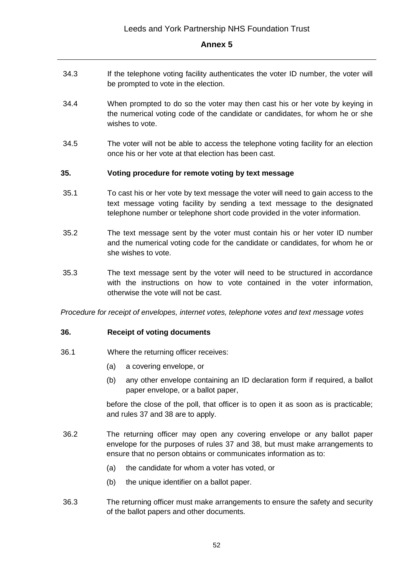- 34.3 If the telephone voting facility authenticates the voter ID number, the voter will be prompted to vote in the election.
- 34.4 When prompted to do so the voter may then cast his or her vote by keying in the numerical voting code of the candidate or candidates, for whom he or she wishes to vote.
- 34.5 The voter will not be able to access the telephone voting facility for an election once his or her vote at that election has been cast.

### **35. Voting procedure for remote voting by text message**

- 35.1 To cast his or her vote by text message the voter will need to gain access to the text message voting facility by sending a text message to the designated telephone number or telephone short code provided in the voter information.
- 35.2 The text message sent by the voter must contain his or her voter ID number and the numerical voting code for the candidate or candidates, for whom he or she wishes to vote.
- 35.3 The text message sent by the voter will need to be structured in accordance with the instructions on how to vote contained in the voter information, otherwise the vote will not be cast.

*Procedure for receipt of envelopes, internet votes, telephone votes and text message votes*

### **36. Receipt of voting documents**

- 36.1 Where the returning officer receives:
	- (a) a covering envelope, or
	- (b) any other envelope containing an ID declaration form if required, a ballot paper envelope, or a ballot paper,

before the close of the poll, that officer is to open it as soon as is practicable; and rules 37 and 38 are to apply.

- 36.2 The returning officer may open any covering envelope or any ballot paper envelope for the purposes of rules 37 and 38, but must make arrangements to ensure that no person obtains or communicates information as to:
	- (a) the candidate for whom a voter has voted, or
	- (b) the unique identifier on a ballot paper.
- 36.3 The returning officer must make arrangements to ensure the safety and security of the ballot papers and other documents.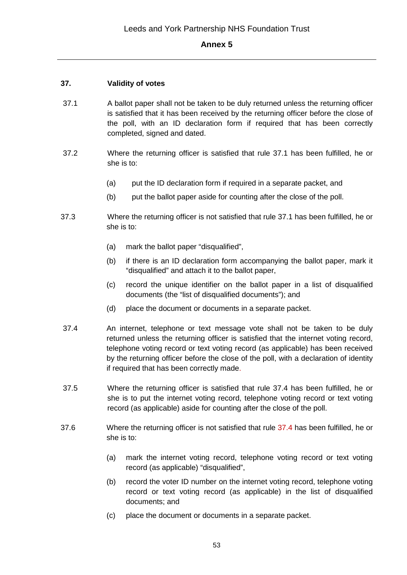# **37. Validity of votes**

- 37.1 A ballot paper shall not be taken to be duly returned unless the returning officer is satisfied that it has been received by the returning officer before the close of the poll, with an ID declaration form if required that has been correctly completed, signed and dated.
- 37.2 Where the returning officer is satisfied that rule 37.1 has been fulfilled, he or she is to:
	- (a) put the ID declaration form if required in a separate packet, and
	- (b) put the ballot paper aside for counting after the close of the poll.
- 37.3 Where the returning officer is not satisfied that rule 37.1 has been fulfilled, he or she is to:
	- (a) mark the ballot paper "disqualified",
	- (b) if there is an ID declaration form accompanying the ballot paper, mark it "disqualified" and attach it to the ballot paper,
	- (c) record the unique identifier on the ballot paper in a list of disqualified documents (the "list of disqualified documents"); and
	- (d) place the document or documents in a separate packet.
- 37.4 An internet, telephone or text message vote shall not be taken to be duly returned unless the returning officer is satisfied that the internet voting record, telephone voting record or text voting record (as applicable) has been received by the returning officer before the close of the poll, with a declaration of identity if required that has been correctly made.
- 37.5 Where the returning officer is satisfied that rule 37.4 has been fulfilled, he or she is to put the internet voting record, telephone voting record or text voting record (as applicable) aside for counting after the close of the poll.
- 37.6 Where the returning officer is not satisfied that rule 37.4 has been fulfilled, he or she is to:
	- (a) mark the internet voting record, telephone voting record or text voting record (as applicable) "disqualified",
	- (b) record the voter ID number on the internet voting record, telephone voting record or text voting record (as applicable) in the list of disqualified documents; and
	- (c) place the document or documents in a separate packet.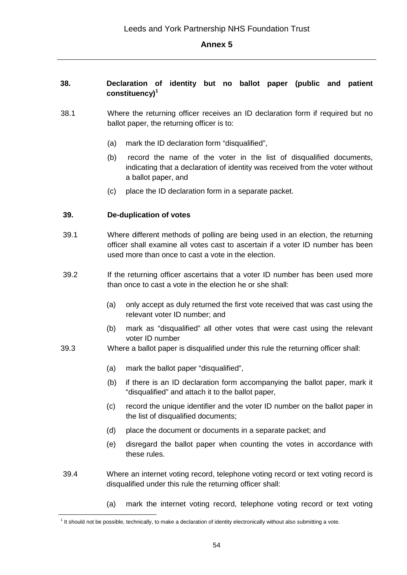### **38. Declaration of identity but no ballot paper (public and patient constituency)<sup>1</sup>**

- 38.1 Where the returning officer receives an ID declaration form if required but no ballot paper, the returning officer is to:
	- (a) mark the ID declaration form "disqualified",
	- (b) record the name of the voter in the list of disqualified documents, indicating that a declaration of identity was received from the voter without a ballot paper, and
	- (c) place the ID declaration form in a separate packet.

### **39. De-duplication of votes**

- 39.1 Where different methods of polling are being used in an election, the returning officer shall examine all votes cast to ascertain if a voter ID number has been used more than once to cast a vote in the election.
- 39.2 If the returning officer ascertains that a voter ID number has been used more than once to cast a vote in the election he or she shall:
	- (a) only accept as duly returned the first vote received that was cast using the relevant voter ID number; and
	- (b) mark as "disqualified" all other votes that were cast using the relevant voter ID number
- 39.3 Where a ballot paper is disqualified under this rule the returning officer shall:
	- (a) mark the ballot paper "disqualified",
	- (b) if there is an ID declaration form accompanying the ballot paper, mark it "disqualified" and attach it to the ballot paper,
	- (c) record the unique identifier and the voter ID number on the ballot paper in the list of disqualified documents;
	- (d) place the document or documents in a separate packet; and
	- (e) disregard the ballot paper when counting the votes in accordance with these rules.
- 39.4 Where an internet voting record, telephone voting record or text voting record is disqualified under this rule the returning officer shall:
	- (a) mark the internet voting record, telephone voting record or text voting

<sup>&</sup>lt;sup>1</sup> It should not be possible, technically, to make a declaration of identity electronically without also submitting a vote.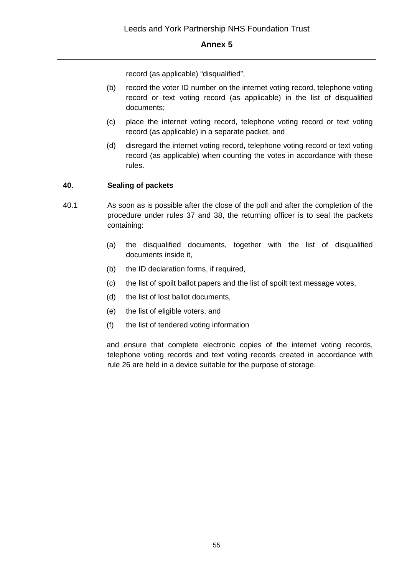record (as applicable) "disqualified",

- (b) record the voter ID number on the internet voting record, telephone voting record or text voting record (as applicable) in the list of disqualified documents;
- (c) place the internet voting record, telephone voting record or text voting record (as applicable) in a separate packet, and
- (d) disregard the internet voting record, telephone voting record or text voting record (as applicable) when counting the votes in accordance with these rules.

# **40. Sealing of packets**

- 40.1 As soon as is possible after the close of the poll and after the completion of the procedure under rules 37 and 38, the returning officer is to seal the packets containing:
	- (a) the disqualified documents, together with the list of disqualified documents inside it,
	- (b) the ID declaration forms, if required,
	- (c) the list of spoilt ballot papers and the list of spoilt text message votes,
	- (d) the list of lost ballot documents,
	- (e) the list of eligible voters, and
	- (f) the list of tendered voting information

and ensure that complete electronic copies of the internet voting records, telephone voting records and text voting records created in accordance with rule 26 are held in a device suitable for the purpose of storage.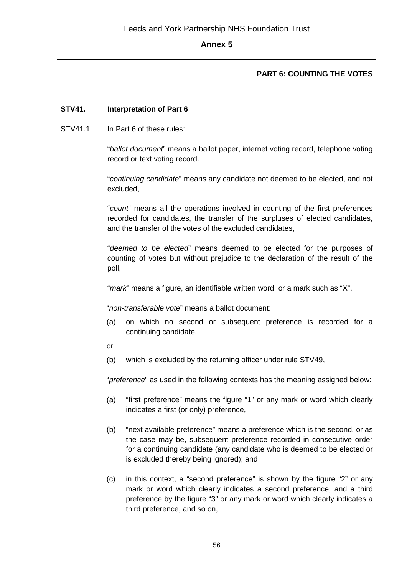# **PART 6: COUNTING THE VOTES**

### **STV41. Interpretation of Part 6**

STV41.1 In Part 6 of these rules:

"*ballot document*" means a ballot paper, internet voting record, telephone voting record or text voting record.

"*continuing candidate*" means any candidate not deemed to be elected, and not excluded,

"*count*" means all the operations involved in counting of the first preferences recorded for candidates, the transfer of the surpluses of elected candidates, and the transfer of the votes of the excluded candidates,

"*deemed to be elected*" means deemed to be elected for the purposes of counting of votes but without prejudice to the declaration of the result of the poll,

"*mark*" means a figure, an identifiable written word, or a mark such as "X",

"*non-transferable vote*" means a ballot document:

- (a) on which no second or subsequent preference is recorded for a continuing candidate,
- or
- (b) which is excluded by the returning officer under rule STV49,

"*preference*" as used in the following contexts has the meaning assigned below:

- (a) "first preference" means the figure "1" or any mark or word which clearly indicates a first (or only) preference,
- (b) "next available preference" means a preference which is the second, or as the case may be, subsequent preference recorded in consecutive order for a continuing candidate (any candidate who is deemed to be elected or is excluded thereby being ignored); and
- (c) in this context, a "second preference" is shown by the figure "2" or any mark or word which clearly indicates a second preference, and a third preference by the figure "3" or any mark or word which clearly indicates a third preference, and so on,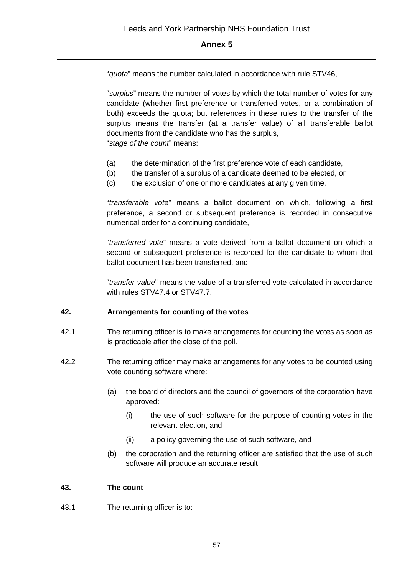"*quota*" means the number calculated in accordance with rule STV46,

"*surplus*" means the number of votes by which the total number of votes for any candidate (whether first preference or transferred votes, or a combination of both) exceeds the quota; but references in these rules to the transfer of the surplus means the transfer (at a transfer value) of all transferable ballot documents from the candidate who has the surplus,

"*stage of the count*" means:

- (a) the determination of the first preference vote of each candidate,
- (b) the transfer of a surplus of a candidate deemed to be elected, or
- (c) the exclusion of one or more candidates at any given time,

"*transferable vote*" means a ballot document on which, following a first preference, a second or subsequent preference is recorded in consecutive numerical order for a continuing candidate,

"*transferred vote*" means a vote derived from a ballot document on which a second or subsequent preference is recorded for the candidate to whom that ballot document has been transferred, and

"*transfer value*" means the value of a transferred vote calculated in accordance with rules STV47.4 or STV47.7.

#### **42. Arrangements for counting of the votes**

- 42.1 The returning officer is to make arrangements for counting the votes as soon as is practicable after the close of the poll.
- 42.2 The returning officer may make arrangements for any votes to be counted using vote counting software where:
	- (a) the board of directors and the council of governors of the corporation have approved:
		- (i) the use of such software for the purpose of counting votes in the relevant election, and
		- (ii) a policy governing the use of such software, and
	- (b) the corporation and the returning officer are satisfied that the use of such software will produce an accurate result.

### **43. The count**

43.1 The returning officer is to: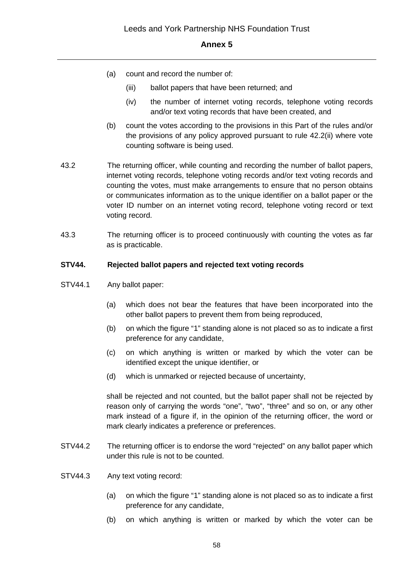- (a) count and record the number of:
	- (iii) ballot papers that have been returned; and
	- (iv) the number of internet voting records, telephone voting records and/or text voting records that have been created, and
- (b) count the votes according to the provisions in this Part of the rules and/or the provisions of any policy approved pursuant to rule 42.2(ii) where vote counting software is being used.
- 43.2 The returning officer, while counting and recording the number of ballot papers, internet voting records, telephone voting records and/or text voting records and counting the votes, must make arrangements to ensure that no person obtains or communicates information as to the unique identifier on a ballot paper or the voter ID number on an internet voting record, telephone voting record or text voting record.
- 43.3 The returning officer is to proceed continuously with counting the votes as far as is practicable.

### **STV44. Rejected ballot papers and rejected text voting records**

- STV44.1 Any ballot paper:
	- (a) which does not bear the features that have been incorporated into the other ballot papers to prevent them from being reproduced,
	- (b) on which the figure "1" standing alone is not placed so as to indicate a first preference for any candidate,
	- (c) on which anything is written or marked by which the voter can be identified except the unique identifier, or
	- (d) which is unmarked or rejected because of uncertainty,

shall be rejected and not counted, but the ballot paper shall not be rejected by reason only of carrying the words "one", "two", "three" and so on, or any other mark instead of a figure if, in the opinion of the returning officer, the word or mark clearly indicates a preference or preferences.

- STV44.2 The returning officer is to endorse the word "rejected" on any ballot paper which under this rule is not to be counted.
- STV44.3 Any text voting record:
	- (a) on which the figure "1" standing alone is not placed so as to indicate a first preference for any candidate,
	- (b) on which anything is written or marked by which the voter can be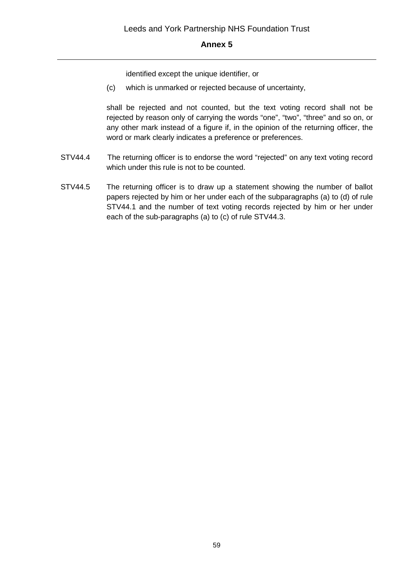identified except the unique identifier, or

(c) which is unmarked or rejected because of uncertainty,

shall be rejected and not counted, but the text voting record shall not be rejected by reason only of carrying the words "one", "two", "three" and so on, or any other mark instead of a figure if, in the opinion of the returning officer, the word or mark clearly indicates a preference or preferences.

- STV44.4 The returning officer is to endorse the word "rejected" on any text voting record which under this rule is not to be counted.
- STV44.5 The returning officer is to draw up a statement showing the number of ballot papers rejected by him or her under each of the subparagraphs (a) to (d) of rule STV44.1 and the number of text voting records rejected by him or her under each of the sub-paragraphs (a) to (c) of rule STV44.3.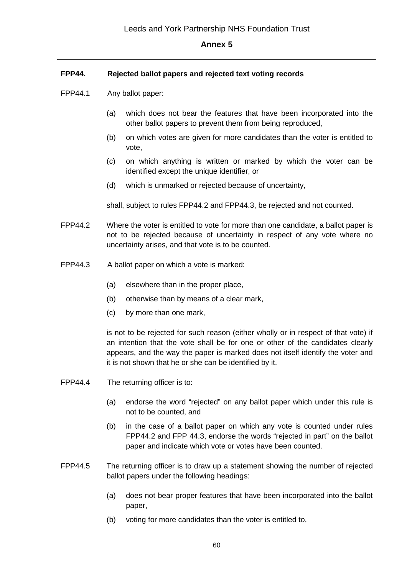### **FPP44. Rejected ballot papers and rejected text voting records**

- FPP44.1 Any ballot paper:
	- (a) which does not bear the features that have been incorporated into the other ballot papers to prevent them from being reproduced,
	- (b) on which votes are given for more candidates than the voter is entitled to vote,
	- (c) on which anything is written or marked by which the voter can be identified except the unique identifier, or
	- (d) which is unmarked or rejected because of uncertainty,

shall, subject to rules FPP44.2 and FPP44.3, be rejected and not counted.

- FPP44.2 Where the voter is entitled to vote for more than one candidate, a ballot paper is not to be rejected because of uncertainty in respect of any vote where no uncertainty arises, and that vote is to be counted.
- FPP44.3 A ballot paper on which a vote is marked:
	- (a) elsewhere than in the proper place,
	- (b) otherwise than by means of a clear mark,
	- (c) by more than one mark,

is not to be rejected for such reason (either wholly or in respect of that vote) if an intention that the vote shall be for one or other of the candidates clearly appears, and the way the paper is marked does not itself identify the voter and it is not shown that he or she can be identified by it.

- FPP44.4 The returning officer is to:
	- (a) endorse the word "rejected" on any ballot paper which under this rule is not to be counted, and
	- (b) in the case of a ballot paper on which any vote is counted under rules FPP44.2 and FPP 44.3, endorse the words "rejected in part" on the ballot paper and indicate which vote or votes have been counted.
- FPP44.5 The returning officer is to draw up a statement showing the number of rejected ballot papers under the following headings:
	- (a) does not bear proper features that have been incorporated into the ballot paper,
	- (b) voting for more candidates than the voter is entitled to,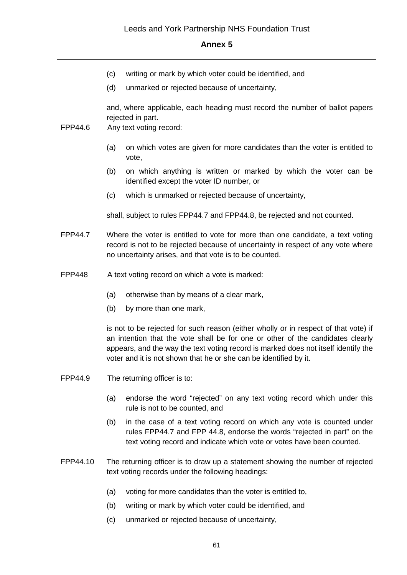- (c) writing or mark by which voter could be identified, and
- (d) unmarked or rejected because of uncertainty,

and, where applicable, each heading must record the number of ballot papers rejected in part.

- FPP44.6 Any text voting record:
	- (a) on which votes are given for more candidates than the voter is entitled to vote,
	- (b) on which anything is written or marked by which the voter can be identified except the voter ID number, or
	- (c) which is unmarked or rejected because of uncertainty,

shall, subject to rules FPP44.7 and FPP44.8, be rejected and not counted.

- FPP44.7 Where the voter is entitled to vote for more than one candidate, a text voting record is not to be rejected because of uncertainty in respect of any vote where no uncertainty arises, and that vote is to be counted.
- FPP448 A text voting record on which a vote is marked:
	- (a) otherwise than by means of a clear mark,
	- (b) by more than one mark,

is not to be rejected for such reason (either wholly or in respect of that vote) if an intention that the vote shall be for one or other of the candidates clearly appears, and the way the text voting record is marked does not itself identify the voter and it is not shown that he or she can be identified by it.

- FPP44.9 The returning officer is to:
	- (a) endorse the word "rejected" on any text voting record which under this rule is not to be counted, and
	- (b) in the case of a text voting record on which any vote is counted under rules FPP44.7 and FPP 44.8, endorse the words "rejected in part" on the text voting record and indicate which vote or votes have been counted.
- FPP44.10 The returning officer is to draw up a statement showing the number of rejected text voting records under the following headings:
	- (a) voting for more candidates than the voter is entitled to,
	- (b) writing or mark by which voter could be identified, and
	- (c) unmarked or rejected because of uncertainty,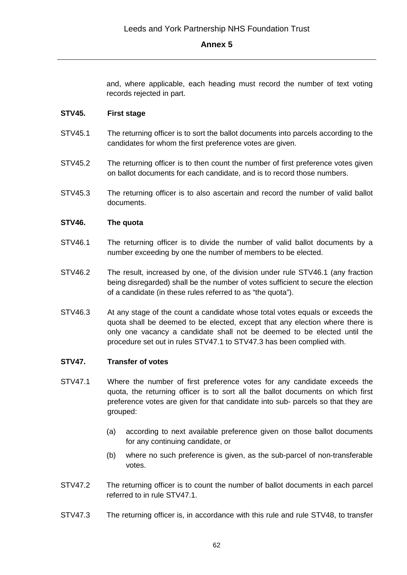and, where applicable, each heading must record the number of text voting records rejected in part.

#### **STV45. First stage**

- STV45.1 The returning officer is to sort the ballot documents into parcels according to the candidates for whom the first preference votes are given.
- STV45.2 The returning officer is to then count the number of first preference votes given on ballot documents for each candidate, and is to record those numbers.
- STV45.3 The returning officer is to also ascertain and record the number of valid ballot documents.

#### **STV46. The quota**

- STV46.1 The returning officer is to divide the number of valid ballot documents by a number exceeding by one the number of members to be elected.
- STV46.2 The result, increased by one, of the division under rule STV46.1 (any fraction being disregarded) shall be the number of votes sufficient to secure the election of a candidate (in these rules referred to as "the quota").
- STV46.3 At any stage of the count a candidate whose total votes equals or exceeds the quota shall be deemed to be elected, except that any election where there is only one vacancy a candidate shall not be deemed to be elected until the procedure set out in rules STV47.1 to STV47.3 has been complied with.

#### **STV47. Transfer of votes**

- STV47.1 Where the number of first preference votes for any candidate exceeds the quota, the returning officer is to sort all the ballot documents on which first preference votes are given for that candidate into sub- parcels so that they are grouped:
	- (a) according to next available preference given on those ballot documents for any continuing candidate, or
	- (b) where no such preference is given, as the sub-parcel of non-transferable votes.
- STV47.2 The returning officer is to count the number of ballot documents in each parcel referred to in rule STV47.1.
- STV47.3 The returning officer is, in accordance with this rule and rule STV48, to transfer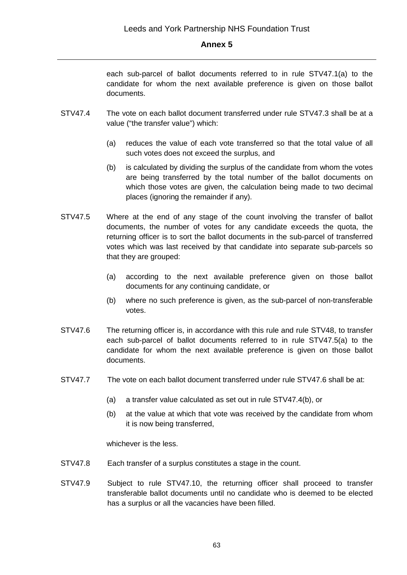each sub-parcel of ballot documents referred to in rule STV47.1(a) to the candidate for whom the next available preference is given on those ballot documents.

- STV47.4 The vote on each ballot document transferred under rule STV47.3 shall be at a value ("the transfer value") which:
	- (a) reduces the value of each vote transferred so that the total value of all such votes does not exceed the surplus, and
	- (b) is calculated by dividing the surplus of the candidate from whom the votes are being transferred by the total number of the ballot documents on which those votes are given, the calculation being made to two decimal places (ignoring the remainder if any).
- STV47.5 Where at the end of any stage of the count involving the transfer of ballot documents, the number of votes for any candidate exceeds the quota, the returning officer is to sort the ballot documents in the sub-parcel of transferred votes which was last received by that candidate into separate sub-parcels so that they are grouped:
	- (a) according to the next available preference given on those ballot documents for any continuing candidate, or
	- (b) where no such preference is given, as the sub-parcel of non-transferable votes.
- STV47.6 The returning officer is, in accordance with this rule and rule STV48, to transfer each sub-parcel of ballot documents referred to in rule STV47.5(a) to the candidate for whom the next available preference is given on those ballot documents.
- STV47.7 The vote on each ballot document transferred under rule STV47.6 shall be at:
	- (a) a transfer value calculated as set out in rule STV47.4(b), or
	- (b) at the value at which that vote was received by the candidate from whom it is now being transferred,

whichever is the less.

- STV47.8 Each transfer of a surplus constitutes a stage in the count.
- STV47.9 Subject to rule STV47.10, the returning officer shall proceed to transfer transferable ballot documents until no candidate who is deemed to be elected has a surplus or all the vacancies have been filled.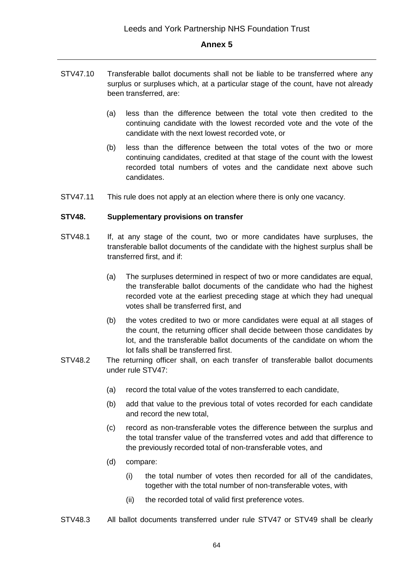- STV47.10 Transferable ballot documents shall not be liable to be transferred where any surplus or surpluses which, at a particular stage of the count, have not already been transferred, are:
	- (a) less than the difference between the total vote then credited to the continuing candidate with the lowest recorded vote and the vote of the candidate with the next lowest recorded vote, or
	- (b) less than the difference between the total votes of the two or more continuing candidates, credited at that stage of the count with the lowest recorded total numbers of votes and the candidate next above such candidates.
- STV47.11 This rule does not apply at an election where there is only one vacancy.

#### **STV48. Supplementary provisions on transfer**

- STV48.1 If, at any stage of the count, two or more candidates have surpluses, the transferable ballot documents of the candidate with the highest surplus shall be transferred first, and if:
	- (a) The surpluses determined in respect of two or more candidates are equal, the transferable ballot documents of the candidate who had the highest recorded vote at the earliest preceding stage at which they had unequal votes shall be transferred first, and
	- (b) the votes credited to two or more candidates were equal at all stages of the count, the returning officer shall decide between those candidates by lot, and the transferable ballot documents of the candidate on whom the lot falls shall be transferred first.
- STV48.2 The returning officer shall, on each transfer of transferable ballot documents under rule STV47:
	- (a) record the total value of the votes transferred to each candidate,
	- (b) add that value to the previous total of votes recorded for each candidate and record the new total,
	- (c) record as non-transferable votes the difference between the surplus and the total transfer value of the transferred votes and add that difference to the previously recorded total of non-transferable votes, and
	- (d) compare:
		- (i) the total number of votes then recorded for all of the candidates, together with the total number of non-transferable votes, with
		- (ii) the recorded total of valid first preference votes.
- STV48.3 All ballot documents transferred under rule STV47 or STV49 shall be clearly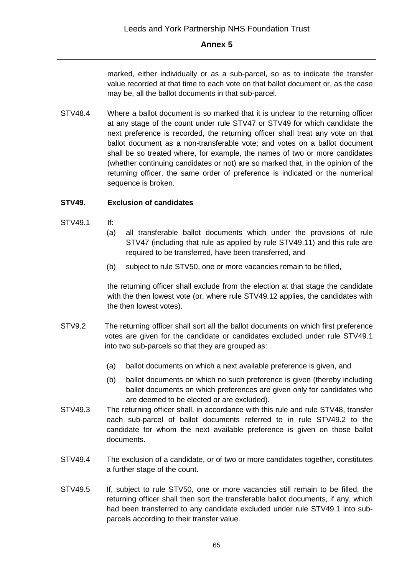marked, either individually or as a sub-parcel, so as to indicate the transfer value recorded at that time to each vote on that ballot document or, as the case may be, all the ballot documents in that sub-parcel.

STV48.4 Where a ballot document is so marked that it is unclear to the returning officer at any stage of the count under rule STV47 or STV49 for which candidate the next preference is recorded, the returning officer shall treat any vote on that ballot document as a non-transferable vote; and votes on a ballot document shall be so treated where, for example, the names of two or more candidates (whether continuing candidates or not) are so marked that, in the opinion of the returning officer, the same order of preference is indicated or the numerical sequence is broken.

### **STV49. Exclusion of candidates**

- STV49.1 If:
	- (a) all transferable ballot documents which under the provisions of rule STV47 (including that rule as applied by rule STV49.11) and this rule are required to be transferred, have been transferred, and
	- (b) subject to rule STV50, one or more vacancies remain to be filled,

the returning officer shall exclude from the election at that stage the candidate with the then lowest vote (or, where rule STV49.12 applies, the candidates with the then lowest votes).

- STV9.2 The returning officer shall sort all the ballot documents on which first preference votes are given for the candidate or candidates excluded under rule STV49.1 into two sub-parcels so that they are grouped as:
	- (a) ballot documents on which a next available preference is given, and
	- (b) ballot documents on which no such preference is given (thereby including ballot documents on which preferences are given only for candidates who are deemed to be elected or are excluded).
- STV49.3 The returning officer shall, in accordance with this rule and rule STV48, transfer each sub-parcel of ballot documents referred to in rule STV49.2 to the candidate for whom the next available preference is given on those ballot documents.
- STV49.4 The exclusion of a candidate, or of two or more candidates together, constitutes a further stage of the count.
- STV49.5 If, subject to rule STV50, one or more vacancies still remain to be filled, the returning officer shall then sort the transferable ballot documents, if any, which had been transferred to any candidate excluded under rule STV49.1 into subparcels according to their transfer value.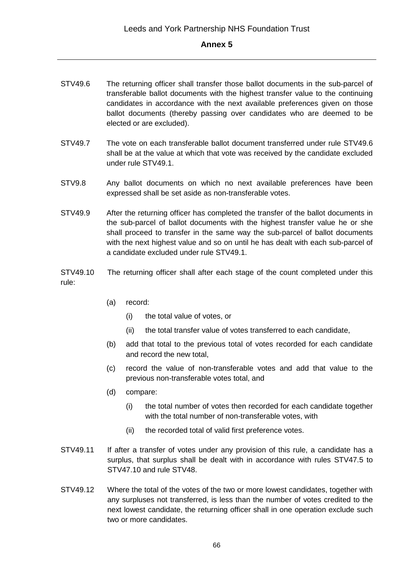- STV49.6 The returning officer shall transfer those ballot documents in the sub-parcel of transferable ballot documents with the highest transfer value to the continuing candidates in accordance with the next available preferences given on those ballot documents (thereby passing over candidates who are deemed to be elected or are excluded).
- STV49.7 The vote on each transferable ballot document transferred under rule STV49.6 shall be at the value at which that vote was received by the candidate excluded under rule STV49.1.
- STV9.8 Any ballot documents on which no next available preferences have been expressed shall be set aside as non-transferable votes.
- STV49.9 After the returning officer has completed the transfer of the ballot documents in the sub-parcel of ballot documents with the highest transfer value he or she shall proceed to transfer in the same way the sub-parcel of ballot documents with the next highest value and so on until he has dealt with each sub-parcel of a candidate excluded under rule STV49.1.
- STV49.10 The returning officer shall after each stage of the count completed under this rule:
	- (a) record:
		- (i) the total value of votes, or
		- (ii) the total transfer value of votes transferred to each candidate,
	- (b) add that total to the previous total of votes recorded for each candidate and record the new total,
	- (c) record the value of non-transferable votes and add that value to the previous non-transferable votes total, and
	- (d) compare:
		- (i) the total number of votes then recorded for each candidate together with the total number of non-transferable votes, with
		- (ii) the recorded total of valid first preference votes.
- STV49.11 If after a transfer of votes under any provision of this rule, a candidate has a surplus, that surplus shall be dealt with in accordance with rules STV47.5 to STV47.10 and rule STV48.
- STV49.12 Where the total of the votes of the two or more lowest candidates, together with any surpluses not transferred, is less than the number of votes credited to the next lowest candidate, the returning officer shall in one operation exclude such two or more candidates.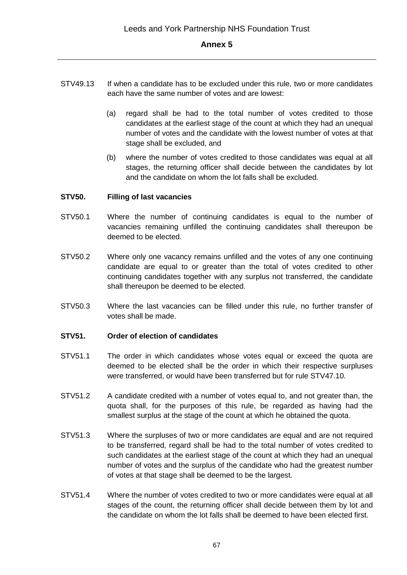- STV49.13 If when a candidate has to be excluded under this rule, two or more candidates each have the same number of votes and are lowest:
	- (a) regard shall be had to the total number of votes credited to those candidates at the earliest stage of the count at which they had an unequal number of votes and the candidate with the lowest number of votes at that stage shall be excluded, and
	- (b) where the number of votes credited to those candidates was equal at all stages, the returning officer shall decide between the candidates by lot and the candidate on whom the lot falls shall be excluded.

#### **STV50. Filling of last vacancies**

- STV50.1 Where the number of continuing candidates is equal to the number of vacancies remaining unfilled the continuing candidates shall thereupon be deemed to be elected.
- STV50.2 Where only one vacancy remains unfilled and the votes of any one continuing candidate are equal to or greater than the total of votes credited to other continuing candidates together with any surplus not transferred, the candidate shall thereupon be deemed to be elected.
- STV50.3 Where the last vacancies can be filled under this rule, no further transfer of votes shall be made.

#### **STV51. Order of election of candidates**

- STV51.1 The order in which candidates whose votes equal or exceed the quota are deemed to be elected shall be the order in which their respective surpluses were transferred, or would have been transferred but for rule STV47.10.
- STV51.2 A candidate credited with a number of votes equal to, and not greater than, the quota shall, for the purposes of this rule, be regarded as having had the smallest surplus at the stage of the count at which he obtained the quota.
- STV51.3 Where the surpluses of two or more candidates are equal and are not required to be transferred, regard shall be had to the total number of votes credited to such candidates at the earliest stage of the count at which they had an unequal number of votes and the surplus of the candidate who had the greatest number of votes at that stage shall be deemed to be the largest.
- STV51.4 Where the number of votes credited to two or more candidates were equal at all stages of the count, the returning officer shall decide between them by lot and the candidate on whom the lot falls shall be deemed to have been elected first.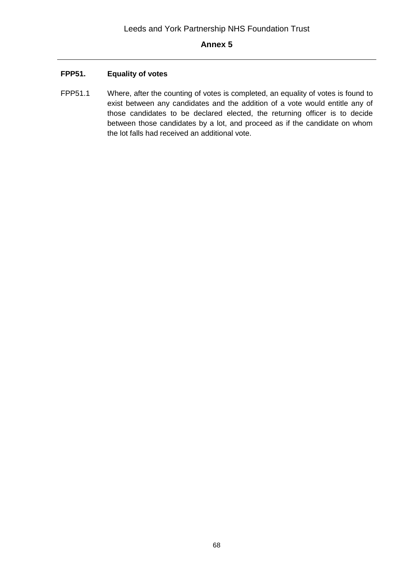# **FPP51. Equality of votes**

FPP51.1 Where, after the counting of votes is completed, an equality of votes is found to exist between any candidates and the addition of a vote would entitle any of those candidates to be declared elected, the returning officer is to decide between those candidates by a lot, and proceed as if the candidate on whom the lot falls had received an additional vote.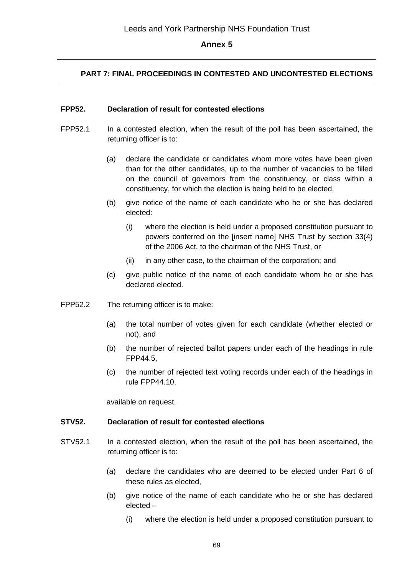# **PART 7: FINAL PROCEEDINGS IN CONTESTED AND UNCONTESTED ELECTIONS**

#### **FPP52. Declaration of result for contested elections**

- FPP52.1 In a contested election, when the result of the poll has been ascertained, the returning officer is to:
	- (a) declare the candidate or candidates whom more votes have been given than for the other candidates, up to the number of vacancies to be filled on the council of governors from the constituency, or class within a constituency, for which the election is being held to be elected,
	- (b) give notice of the name of each candidate who he or she has declared elected:
		- (i) where the election is held under a proposed constitution pursuant to powers conferred on the [insert name] NHS Trust by section 33(4) of the 2006 Act, to the chairman of the NHS Trust, or
		- (ii) in any other case, to the chairman of the corporation; and
	- (c) give public notice of the name of each candidate whom he or she has declared elected.
- FPP52.2 The returning officer is to make:
	- (a) the total number of votes given for each candidate (whether elected or not), and
	- (b) the number of rejected ballot papers under each of the headings in rule FPP44.5,
	- (c) the number of rejected text voting records under each of the headings in rule FPP44.10,

available on request.

#### **STV52. Declaration of result for contested elections**

- STV52.1 In a contested election, when the result of the poll has been ascertained, the returning officer is to:
	- (a) declare the candidates who are deemed to be elected under Part 6 of these rules as elected,
	- (b) give notice of the name of each candidate who he or she has declared elected –
		- (i) where the election is held under a proposed constitution pursuant to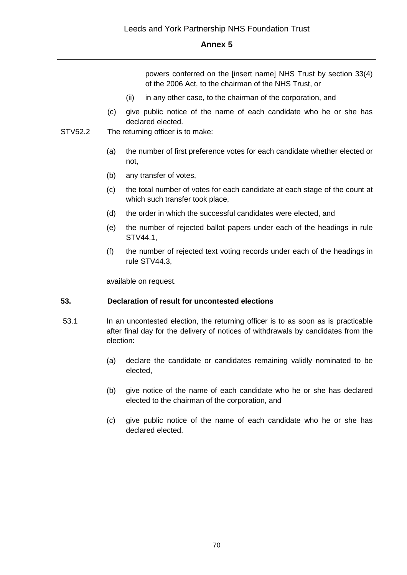powers conferred on the [insert name] NHS Trust by section 33(4) of the 2006 Act, to the chairman of the NHS Trust, or

- (ii) in any other case, to the chairman of the corporation, and
- (c) give public notice of the name of each candidate who he or she has declared elected.
- STV52.2 The returning officer is to make:
	- (a) the number of first preference votes for each candidate whether elected or not,
	- (b) any transfer of votes,
	- (c) the total number of votes for each candidate at each stage of the count at which such transfer took place,
	- (d) the order in which the successful candidates were elected, and
	- (e) the number of rejected ballot papers under each of the headings in rule STV44.1,
	- (f) the number of rejected text voting records under each of the headings in rule STV44.3,

available on request.

# **53. Declaration of result for uncontested elections**

- 53.1 In an uncontested election, the returning officer is to as soon as is practicable after final day for the delivery of notices of withdrawals by candidates from the election:
	- (a) declare the candidate or candidates remaining validly nominated to be elected,
	- (b) give notice of the name of each candidate who he or she has declared elected to the chairman of the corporation, and
	- (c) give public notice of the name of each candidate who he or she has declared elected.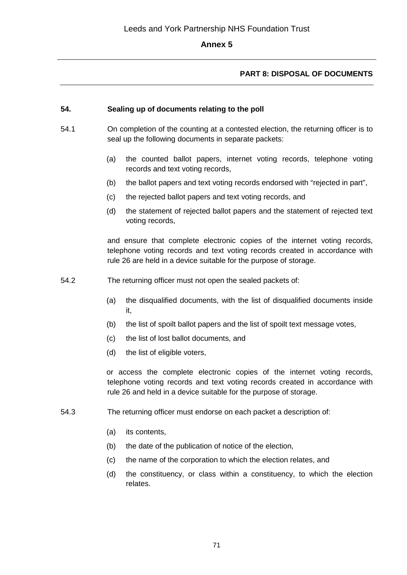# **PART 8: DISPOSAL OF DOCUMENTS**

### **54. Sealing up of documents relating to the poll**

- 54.1 On completion of the counting at a contested election, the returning officer is to seal up the following documents in separate packets:
	- (a) the counted ballot papers, internet voting records, telephone voting records and text voting records,
	- (b) the ballot papers and text voting records endorsed with "rejected in part",
	- (c) the rejected ballot papers and text voting records, and
	- (d) the statement of rejected ballot papers and the statement of rejected text voting records,

and ensure that complete electronic copies of the internet voting records, telephone voting records and text voting records created in accordance with rule 26 are held in a device suitable for the purpose of storage.

- 54.2 The returning officer must not open the sealed packets of:
	- (a) the disqualified documents, with the list of disqualified documents inside it,
	- (b) the list of spoilt ballot papers and the list of spoilt text message votes,
	- (c) the list of lost ballot documents, and
	- (d) the list of eligible voters,

or access the complete electronic copies of the internet voting records, telephone voting records and text voting records created in accordance with rule 26 and held in a device suitable for the purpose of storage.

- 54.3 The returning officer must endorse on each packet a description of:
	- (a) its contents,
	- (b) the date of the publication of notice of the election,
	- (c) the name of the corporation to which the election relates, and
	- (d) the constituency, or class within a constituency, to which the election relates.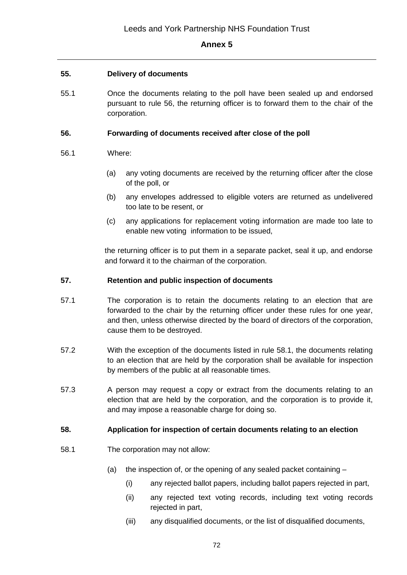### **55. Delivery of documents**

55.1 Once the documents relating to the poll have been sealed up and endorsed pursuant to rule 56, the returning officer is to forward them to the chair of the corporation.

### **56. Forwarding of documents received after close of the poll**

#### 56.1 Where:

- (a) any voting documents are received by the returning officer after the close of the poll, or
- (b) any envelopes addressed to eligible voters are returned as undelivered too late to be resent, or
- (c) any applications for replacement voting information are made too late to enable new voting information to be issued,

the returning officer is to put them in a separate packet, seal it up, and endorse and forward it to the chairman of the corporation.

#### **57. Retention and public inspection of documents**

- 57.1 The corporation is to retain the documents relating to an election that are forwarded to the chair by the returning officer under these rules for one year, and then, unless otherwise directed by the board of directors of the corporation, cause them to be destroyed.
- 57.2 With the exception of the documents listed in rule 58.1, the documents relating to an election that are held by the corporation shall be available for inspection by members of the public at all reasonable times.
- 57.3 A person may request a copy or extract from the documents relating to an election that are held by the corporation, and the corporation is to provide it, and may impose a reasonable charge for doing so.

### **58. Application for inspection of certain documents relating to an election**

- 58.1 The corporation may not allow:
	- (a) the inspection of, or the opening of any sealed packet containing
		- (i) any rejected ballot papers, including ballot papers rejected in part,
		- (ii) any rejected text voting records, including text voting records rejected in part,
		- (iii) any disqualified documents, or the list of disqualified documents,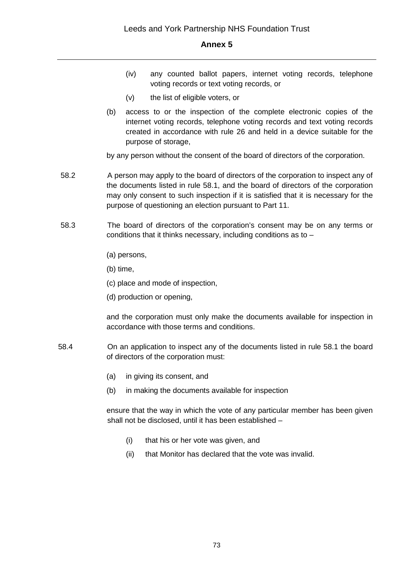- (iv) any counted ballot papers, internet voting records, telephone voting records or text voting records, or
- (v) the list of eligible voters, or
- (b) access to or the inspection of the complete electronic copies of the internet voting records, telephone voting records and text voting records created in accordance with rule 26 and held in a device suitable for the purpose of storage,

by any person without the consent of the board of directors of the corporation.

- 58.2 A person may apply to the board of directors of the corporation to inspect any of the documents listed in rule 58.1, and the board of directors of the corporation may only consent to such inspection if it is satisfied that it is necessary for the purpose of questioning an election pursuant to Part 11.
- 58.3 The board of directors of the corporation's consent may be on any terms or conditions that it thinks necessary, including conditions as to –
	- (a) persons,

(b) time,

- (c) place and mode of inspection,
- (d) production or opening,

and the corporation must only make the documents available for inspection in accordance with those terms and conditions.

- 58.4 On an application to inspect any of the documents listed in rule 58.1 the board of directors of the corporation must:
	- (a) in giving its consent, and
	- (b) in making the documents available for inspection

ensure that the way in which the vote of any particular member has been given shall not be disclosed, until it has been established –

- (i) that his or her vote was given, and
- (ii) that Monitor has declared that the vote was invalid.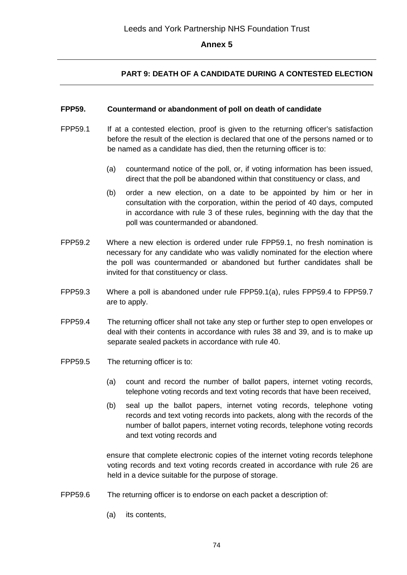## **PART 9: DEATH OF A CANDIDATE DURING A CONTESTED ELECTION**

#### **FPP59. Countermand or abandonment of poll on death of candidate**

- FPP59.1 If at a contested election, proof is given to the returning officer's satisfaction before the result of the election is declared that one of the persons named or to be named as a candidate has died, then the returning officer is to:
	- (a) countermand notice of the poll, or, if voting information has been issued, direct that the poll be abandoned within that constituency or class, and
	- (b) order a new election, on a date to be appointed by him or her in consultation with the corporation, within the period of 40 days, computed in accordance with rule 3 of these rules, beginning with the day that the poll was countermanded or abandoned.
- FPP59.2 Where a new election is ordered under rule FPP59.1, no fresh nomination is necessary for any candidate who was validly nominated for the election where the poll was countermanded or abandoned but further candidates shall be invited for that constituency or class.
- FPP59.3 Where a poll is abandoned under rule FPP59.1(a), rules FPP59.4 to FPP59.7 are to apply.
- FPP59.4 The returning officer shall not take any step or further step to open envelopes or deal with their contents in accordance with rules 38 and 39, and is to make up separate sealed packets in accordance with rule 40.
- FPP59.5 The returning officer is to:
	- (a) count and record the number of ballot papers, internet voting records, telephone voting records and text voting records that have been received,
	- (b) seal up the ballot papers, internet voting records, telephone voting records and text voting records into packets, along with the records of the number of ballot papers, internet voting records, telephone voting records and text voting records and

ensure that complete electronic copies of the internet voting records telephone voting records and text voting records created in accordance with rule 26 are held in a device suitable for the purpose of storage.

- FPP59.6 The returning officer is to endorse on each packet a description of:
	- (a) its contents,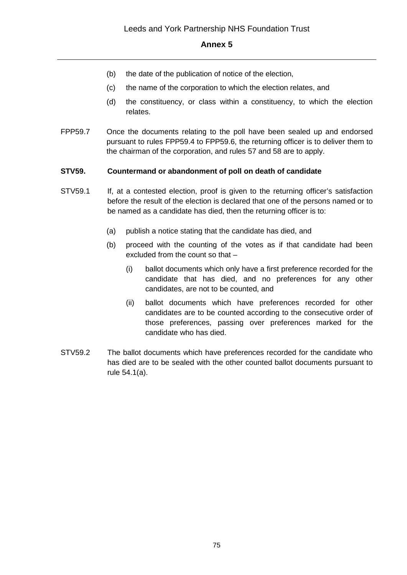- (b) the date of the publication of notice of the election,
- (c) the name of the corporation to which the election relates, and
- (d) the constituency, or class within a constituency, to which the election relates.
- FPP59.7 Once the documents relating to the poll have been sealed up and endorsed pursuant to rules FPP59.4 to FPP59.6, the returning officer is to deliver them to the chairman of the corporation, and rules 57 and 58 are to apply.

#### **STV59. Countermand or abandonment of poll on death of candidate**

- STV59.1 If, at a contested election, proof is given to the returning officer's satisfaction before the result of the election is declared that one of the persons named or to be named as a candidate has died, then the returning officer is to:
	- (a) publish a notice stating that the candidate has died, and
	- (b) proceed with the counting of the votes as if that candidate had been excluded from the count so that –
		- (i) ballot documents which only have a first preference recorded for the candidate that has died, and no preferences for any other candidates, are not to be counted, and
		- (ii) ballot documents which have preferences recorded for other candidates are to be counted according to the consecutive order of those preferences, passing over preferences marked for the candidate who has died.
- STV59.2 The ballot documents which have preferences recorded for the candidate who has died are to be sealed with the other counted ballot documents pursuant to rule 54.1(a).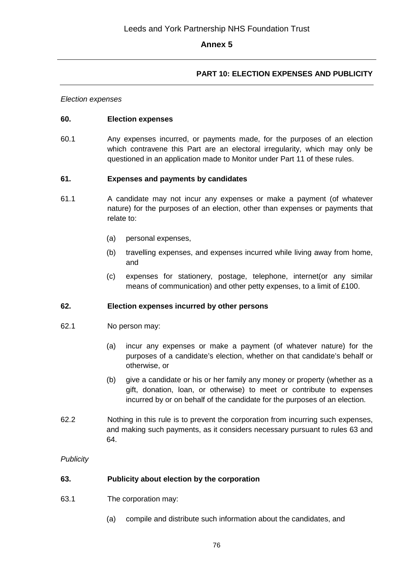## **PART 10: ELECTION EXPENSES AND PUBLICITY**

*Election expenses*

#### **60. Election expenses**

60.1 Any expenses incurred, or payments made, for the purposes of an election which contravene this Part are an electoral irregularity, which may only be questioned in an application made to Monitor under Part 11 of these rules.

#### **61. Expenses and payments by candidates**

- 61.1 A candidate may not incur any expenses or make a payment (of whatever nature) for the purposes of an election, other than expenses or payments that relate to:
	- (a) personal expenses,
	- (b) travelling expenses, and expenses incurred while living away from home, and
	- (c) expenses for stationery, postage, telephone, internet(or any similar means of communication) and other petty expenses, to a limit of £100.

#### **62. Election expenses incurred by other persons**

- 62.1 No person may:
	- (a) incur any expenses or make a payment (of whatever nature) for the purposes of a candidate's election, whether on that candidate's behalf or otherwise, or
	- (b) give a candidate or his or her family any money or property (whether as a gift, donation, loan, or otherwise) to meet or contribute to expenses incurred by or on behalf of the candidate for the purposes of an election.
- 62.2 Nothing in this rule is to prevent the corporation from incurring such expenses, and making such payments, as it considers necessary pursuant to rules 63 and 64.

#### *Publicity*

#### **63. Publicity about election by the corporation**

- 63.1 The corporation may:
	- (a) compile and distribute such information about the candidates, and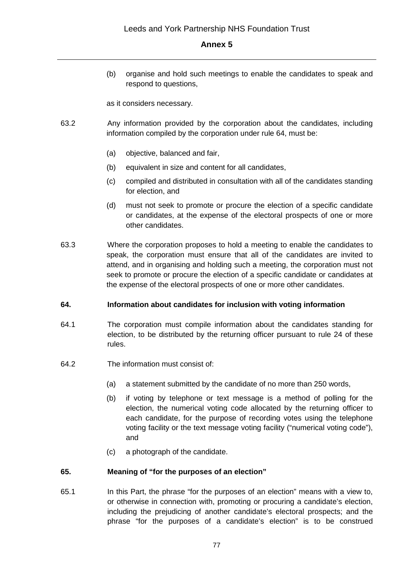(b) organise and hold such meetings to enable the candidates to speak and respond to questions,

as it considers necessary.

- 63.2 Any information provided by the corporation about the candidates, including information compiled by the corporation under rule 64, must be:
	- (a) objective, balanced and fair,
	- (b) equivalent in size and content for all candidates,
	- (c) compiled and distributed in consultation with all of the candidates standing for election, and
	- (d) must not seek to promote or procure the election of a specific candidate or candidates, at the expense of the electoral prospects of one or more other candidates.
- 63.3 Where the corporation proposes to hold a meeting to enable the candidates to speak, the corporation must ensure that all of the candidates are invited to attend, and in organising and holding such a meeting, the corporation must not seek to promote or procure the election of a specific candidate or candidates at the expense of the electoral prospects of one or more other candidates.

#### **64. Information about candidates for inclusion with voting information**

- 64.1 The corporation must compile information about the candidates standing for election, to be distributed by the returning officer pursuant to rule 24 of these rules.
- 64.2 The information must consist of:
	- (a) a statement submitted by the candidate of no more than 250 words,
	- (b) if voting by telephone or text message is a method of polling for the election, the numerical voting code allocated by the returning officer to each candidate, for the purpose of recording votes using the telephone voting facility or the text message voting facility ("numerical voting code"), and
	- (c) a photograph of the candidate.

#### **65. Meaning of "for the purposes of an election"**

65.1 In this Part, the phrase "for the purposes of an election" means with a view to, or otherwise in connection with, promoting or procuring a candidate's election, including the prejudicing of another candidate's electoral prospects; and the phrase "for the purposes of a candidate's election" is to be construed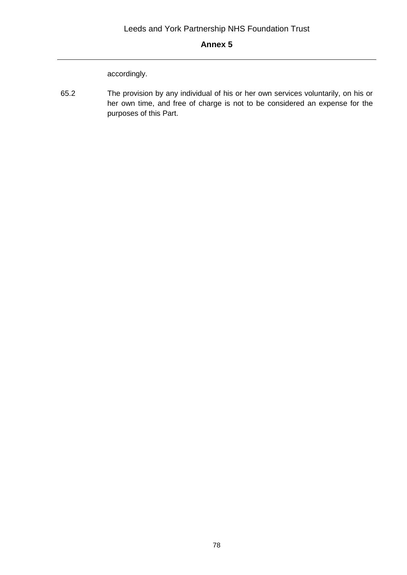accordingly.

65.2 The provision by any individual of his or her own services voluntarily, on his or her own time, and free of charge is not to be considered an expense for the purposes of this Part.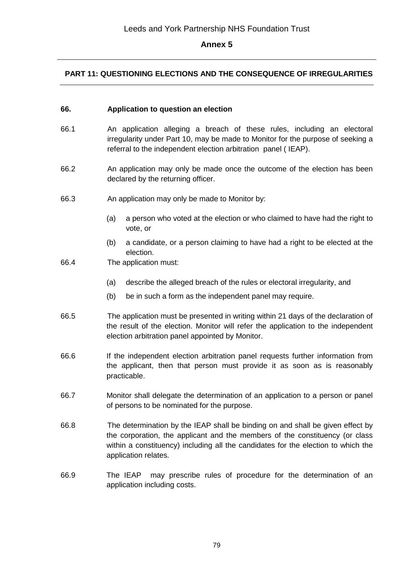## **PART 11: QUESTIONING ELECTIONS AND THE CONSEQUENCE OF IRREGULARITIES**

#### **66. Application to question an election**

- 66.1 An application alleging a breach of these rules, including an electoral irregularity under Part 10, may be made to Monitor for the purpose of seeking a referral to the independent election arbitration panel ( IEAP).
- 66.2 An application may only be made once the outcome of the election has been declared by the returning officer.
- 66.3 An application may only be made to Monitor by:
	- (a) a person who voted at the election or who claimed to have had the right to vote, or
	- (b) a candidate, or a person claiming to have had a right to be elected at the election.
- 66.4 The application must:
	- (a) describe the alleged breach of the rules or electoral irregularity, and
	- (b) be in such a form as the independent panel may require.
- 66.5 The application must be presented in writing within 21 days of the declaration of the result of the election. Monitor will refer the application to the independent election arbitration panel appointed by Monitor.
- 66.6 If the independent election arbitration panel requests further information from the applicant, then that person must provide it as soon as is reasonably practicable.
- 66.7 Monitor shall delegate the determination of an application to a person or panel of persons to be nominated for the purpose.
- 66.8 The determination by the IEAP shall be binding on and shall be given effect by the corporation, the applicant and the members of the constituency (or class within a constituency) including all the candidates for the election to which the application relates.
- 66.9 The IEAP may prescribe rules of procedure for the determination of an application including costs.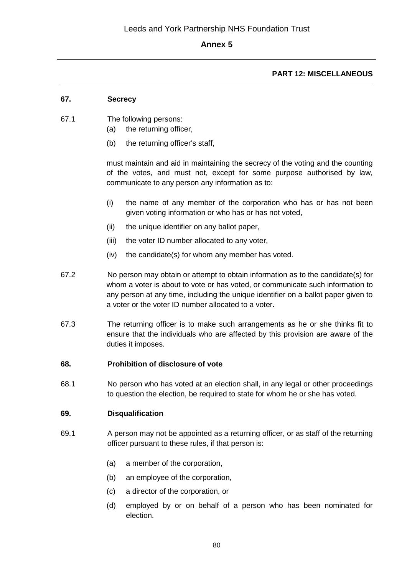## **PART 12: MISCELLANEOUS**

## **67. Secrecy**

- 67.1 The following persons:
	- (a) the returning officer,
	- (b) the returning officer's staff,

must maintain and aid in maintaining the secrecy of the voting and the counting of the votes, and must not, except for some purpose authorised by law, communicate to any person any information as to:

- (i) the name of any member of the corporation who has or has not been given voting information or who has or has not voted,
- (ii) the unique identifier on any ballot paper,
- (iii) the voter ID number allocated to any voter,
- (iv) the candidate(s) for whom any member has voted.
- 67.2 No person may obtain or attempt to obtain information as to the candidate(s) for whom a voter is about to vote or has voted, or communicate such information to any person at any time, including the unique identifier on a ballot paper given to a voter or the voter ID number allocated to a voter.
- 67.3 The returning officer is to make such arrangements as he or she thinks fit to ensure that the individuals who are affected by this provision are aware of the duties it imposes.

#### **68. Prohibition of disclosure of vote**

68.1 No person who has voted at an election shall, in any legal or other proceedings to question the election, be required to state for whom he or she has voted.

#### **69. Disqualification**

- 69.1 A person may not be appointed as a returning officer, or as staff of the returning officer pursuant to these rules, if that person is:
	- (a) a member of the corporation,
	- (b) an employee of the corporation,
	- (c) a director of the corporation, or
	- (d) employed by or on behalf of a person who has been nominated for election.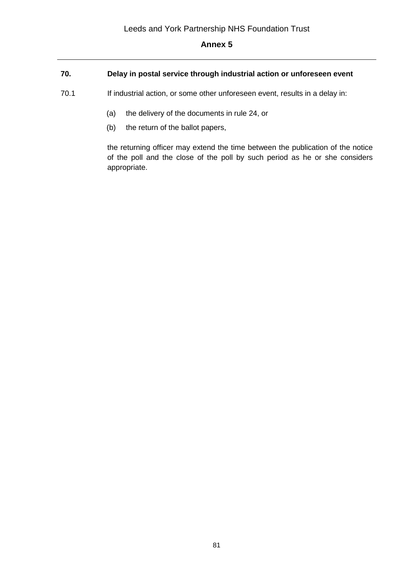# **70. Delay in postal service through industrial action or unforeseen event**

- 70.1 If industrial action, or some other unforeseen event, results in a delay in:
	- (a) the delivery of the documents in rule 24, or
	- (b) the return of the ballot papers,

the returning officer may extend the time between the publication of the notice of the poll and the close of the poll by such period as he or she considers appropriate.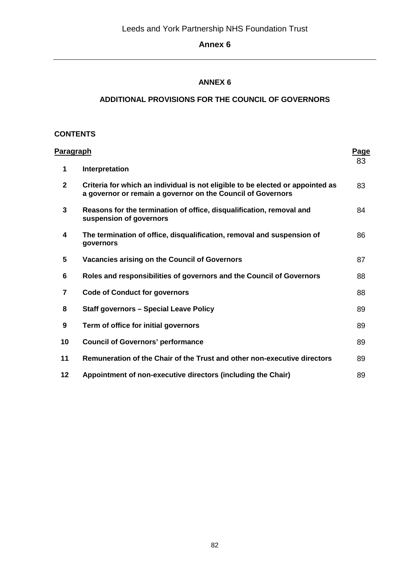## **ANNEX 6**

## **ADDITIONAL PROVISIONS FOR THE COUNCIL OF GOVERNORS**

## **CONTENTS**

| <u>Paragraph</u> |                                                                                                                                               | Page |
|------------------|-----------------------------------------------------------------------------------------------------------------------------------------------|------|
| 1                | Interpretation                                                                                                                                | 83   |
| $\mathbf{2}$     | Criteria for which an individual is not eligible to be elected or appointed as<br>a governor or remain a governor on the Council of Governors | 83   |
| 3                | Reasons for the termination of office, disqualification, removal and<br>suspension of governors                                               | 84   |
| 4                | The termination of office, disqualification, removal and suspension of<br>governors                                                           | 86   |
| 5                | Vacancies arising on the Council of Governors                                                                                                 | 87   |
| 6                | Roles and responsibilities of governors and the Council of Governors                                                                          | 88   |
| $\overline{7}$   | <b>Code of Conduct for governors</b>                                                                                                          | 88   |
| 8                | <b>Staff governors - Special Leave Policy</b>                                                                                                 | 89   |
| 9                | Term of office for initial governors                                                                                                          | 89   |
| 10               | <b>Council of Governors' performance</b>                                                                                                      | 89   |
| 11               | Remuneration of the Chair of the Trust and other non-executive directors                                                                      | 89   |
| 12               | Appointment of non-executive directors (including the Chair)                                                                                  | 89   |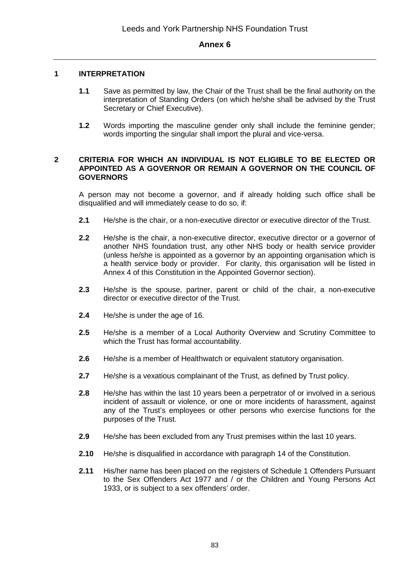#### **1 INTERPRETATION**

- **1.1** Save as permitted by law, the Chair of the Trust shall be the final authority on the interpretation of Standing Orders (on which he/she shall be advised by the Trust Secretary or Chief Executive).
- **1.2** Words importing the masculine gender only shall include the feminine gender; words importing the singular shall import the plural and vice-versa.

#### **2 CRITERIA FOR WHICH AN INDIVIDUAL IS NOT ELIGIBLE TO BE ELECTED OR APPOINTED AS A GOVERNOR OR REMAIN A GOVERNOR ON THE COUNCIL OF GOVERNORS**

A person may not become a governor, and if already holding such office shall be disqualified and will immediately cease to do so, if:

- **2.1** He/she is the chair, or a non-executive director or executive director of the Trust.
- **2.2** He/she is the chair, a non-executive director, executive director or a governor of another NHS foundation trust, any other NHS body or health service provider (unless he/she is appointed as a governor by an appointing organisation which is a health service body or provider. For clarity, this organisation will be listed in Annex 4 of this Constitution in the Appointed Governor section).
- **2.3** He/she is the spouse, partner, parent or child of the chair, a non-executive director or executive director of the Trust.
- **2.4** He/she is under the age of 16.
- **2.5** He/she is a member of a Local Authority Overview and Scrutiny Committee to which the Trust has formal accountability.
- **2.6** He/she is a member of Healthwatch or equivalent statutory organisation.
- **2.7** He/she is a vexatious complainant of the Trust, as defined by Trust policy.
- **2.8** He/she has within the last 10 years been a perpetrator of or involved in a serious incident of assault or violence, or one or more incidents of harassment, against any of the Trust's employees or other persons who exercise functions for the purposes of the Trust.
- **2.9** He/she has been excluded from any Trust premises within the last 10 years.
- **2.10** He/she is disqualified in accordance with paragraph 14 of the Constitution.
- **2.11** His/her name has been placed on the registers of Schedule 1 Offenders Pursuant to the Sex Offenders Act 1977 and / or the Children and Young Persons Act 1933, or is subject to a sex offenders' order.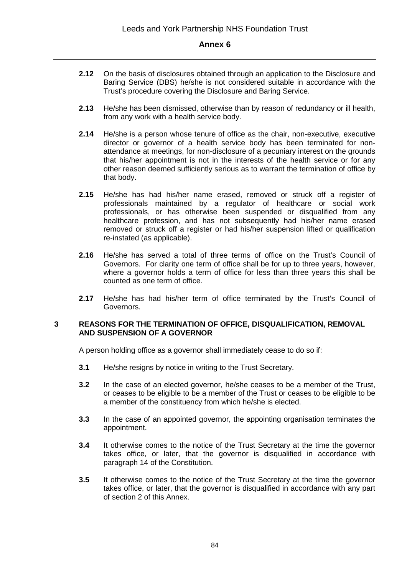- **2.12** On the basis of disclosures obtained through an application to the Disclosure and Baring Service (DBS) he/she is not considered suitable in accordance with the Trust's procedure covering the Disclosure and Baring Service.
- **2.13** He/she has been dismissed, otherwise than by reason of redundancy or ill health, from any work with a health service body.
- **2.14** He/she is a person whose tenure of office as the chair, non-executive, executive director or governor of a health service body has been terminated for nonattendance at meetings, for non-disclosure of a pecuniary interest on the grounds that his/her appointment is not in the interests of the health service or for any other reason deemed sufficiently serious as to warrant the termination of office by that body.
- **2.15** He/she has had his/her name erased, removed or struck off a register of professionals maintained by a regulator of healthcare or social work professionals, or has otherwise been suspended or disqualified from any healthcare profession, and has not subsequently had his/her name erased removed or struck off a register or had his/her suspension lifted or qualification re-instated (as applicable).
- **2.16** He/she has served a total of three terms of office on the Trust's Council of Governors. For clarity one term of office shall be for up to three years, however, where a governor holds a term of office for less than three years this shall be counted as one term of office.
- **2.17** He/she has had his/her term of office terminated by the Trust's Council of Governors.

#### **3 REASONS FOR THE TERMINATION OF OFFICE, DISQUALIFICATION, REMOVAL AND SUSPENSION OF A GOVERNOR**

A person holding office as a governor shall immediately cease to do so if:

- **3.1** He/she resigns by notice in writing to the Trust Secretary.
- **3.2** In the case of an elected governor, he/she ceases to be a member of the Trust, or ceases to be eligible to be a member of the Trust or ceases to be eligible to be a member of the constituency from which he/she is elected.
- **3.3** In the case of an appointed governor, the appointing organisation terminates the appointment.
- **3.4** It otherwise comes to the notice of the Trust Secretary at the time the governor takes office, or later, that the governor is disqualified in accordance with paragraph 14 of the Constitution.
- **3.5** It otherwise comes to the notice of the Trust Secretary at the time the governor takes office, or later, that the governor is disqualified in accordance with any part of section 2 of this Annex.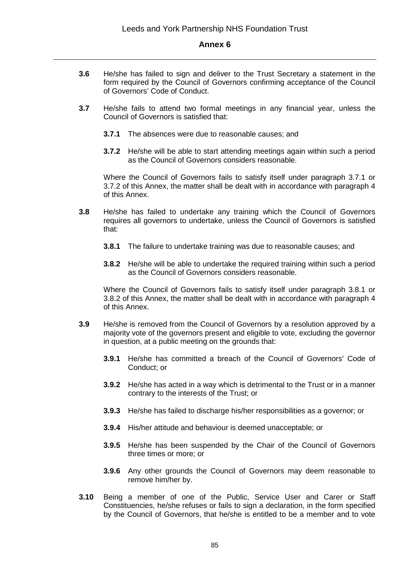- **3.6** He/she has failed to sign and deliver to the Trust Secretary a statement in the form required by the Council of Governors confirming acceptance of the Council of Governors' Code of Conduct.
- **3.7** He/she fails to attend two formal meetings in any financial year, unless the Council of Governors is satisfied that:
	- **3.7.1** The absences were due to reasonable causes; and
	- **3.7.2** He/she will be able to start attending meetings again within such a period as the Council of Governors considers reasonable.

Where the Council of Governors fails to satisfy itself under paragraph 3.7.1 or 3.7.2 of this Annex, the matter shall be dealt with in accordance with paragraph 4 of this Annex.

- **3.8** He/she has failed to undertake any training which the Council of Governors requires all governors to undertake, unless the Council of Governors is satisfied that:
	- **3.8.1** The failure to undertake training was due to reasonable causes; and
	- **3.8.2** He/she will be able to undertake the required training within such a period as the Council of Governors considers reasonable.

Where the Council of Governors fails to satisfy itself under paragraph 3.8.1 or 3.8.2 of this Annex, the matter shall be dealt with in accordance with paragraph 4 of this Annex.

- **3.9** He/she is removed from the Council of Governors by a resolution approved by a majority vote of the governors present and eligible to vote, excluding the governor in question, at a public meeting on the grounds that:
	- **3.9.1** He/she has committed a breach of the Council of Governors' Code of Conduct; or
	- **3.9.2** He/she has acted in a way which is detrimental to the Trust or in a manner contrary to the interests of the Trust; or
	- **3.9.3** He/she has failed to discharge his/her responsibilities as a governor; or
	- **3.9.4** His/her attitude and behaviour is deemed unacceptable; or
	- **3.9.5** He/she has been suspended by the Chair of the Council of Governors three times or more; or
	- **3.9.6** Any other grounds the Council of Governors may deem reasonable to remove him/her by.
- **3.10** Being a member of one of the Public, Service User and Carer or Staff Constituencies, he/she refuses or fails to sign a declaration, in the form specified by the Council of Governors, that he/she is entitled to be a member and to vote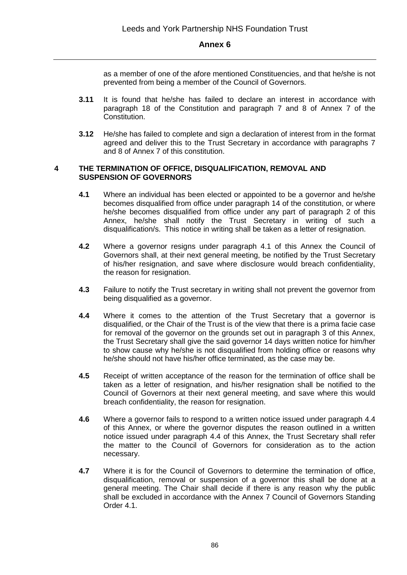as a member of one of the afore mentioned Constituencies, and that he/she is not prevented from being a member of the Council of Governors.

- **3.11** It is found that he/she has failed to declare an interest in accordance with paragraph 18 of the Constitution and paragraph 7 and 8 of Annex 7 of the Constitution.
- **3.12** He/she has failed to complete and sign a declaration of interest from in the format agreed and deliver this to the Trust Secretary in accordance with paragraphs 7 and 8 of Annex 7 of this constitution.

#### **4 THE TERMINATION OF OFFICE, DISQUALIFICATION, REMOVAL AND SUSPENSION OF GOVERNORS**

- **4.1** Where an individual has been elected or appointed to be a governor and he/she becomes disqualified from office under paragraph 14 of the constitution, or where he/she becomes disqualified from office under any part of paragraph 2 of this Annex, he/she shall notify the Trust Secretary in writing of such a disqualification/s. This notice in writing shall be taken as a letter of resignation.
- **4.2** Where a governor resigns under paragraph 4.1 of this Annex the Council of Governors shall, at their next general meeting, be notified by the Trust Secretary of his/her resignation, and save where disclosure would breach confidentiality, the reason for resignation.
- **4.3** Failure to notify the Trust secretary in writing shall not prevent the governor from being disqualified as a governor.
- **4.4** Where it comes to the attention of the Trust Secretary that a governor is disqualified, or the Chair of the Trust is of the view that there is a prima facie case for removal of the governor on the grounds set out in paragraph 3 of this Annex, the Trust Secretary shall give the said governor 14 days written notice for him/her to show cause why he/she is not disqualified from holding office or reasons why he/she should not have his/her office terminated, as the case may be.
- **4.5** Receipt of written acceptance of the reason for the termination of office shall be taken as a letter of resignation, and his/her resignation shall be notified to the Council of Governors at their next general meeting, and save where this would breach confidentiality, the reason for resignation.
- **4.6** Where a governor fails to respond to a written notice issued under paragraph 4.4 of this Annex, or where the governor disputes the reason outlined in a written notice issued under paragraph 4.4 of this Annex, the Trust Secretary shall refer the matter to the Council of Governors for consideration as to the action necessary.
- **4.7** Where it is for the Council of Governors to determine the termination of office, disqualification, removal or suspension of a governor this shall be done at a general meeting. The Chair shall decide if there is any reason why the public shall be excluded in accordance with the Annex 7 Council of Governors Standing Order 4.1.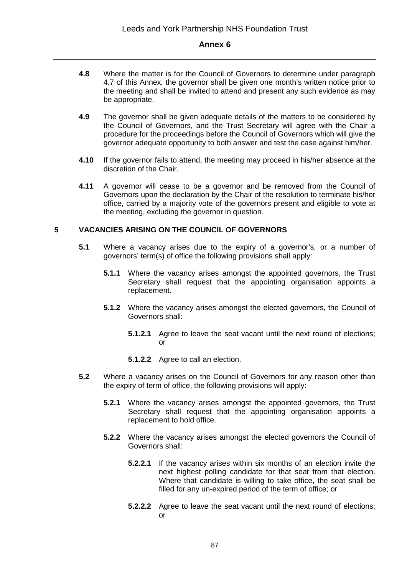- **4.8** Where the matter is for the Council of Governors to determine under paragraph 4.7 of this Annex, the governor shall be given one month's written notice prior to the meeting and shall be invited to attend and present any such evidence as may be appropriate.
- **4.9** The governor shall be given adequate details of the matters to be considered by the Council of Governors, and the Trust Secretary will agree with the Chair a procedure for the proceedings before the Council of Governors which will give the governor adequate opportunity to both answer and test the case against him/her.
- **4.10** If the governor fails to attend, the meeting may proceed in his/her absence at the discretion of the Chair.
- **4.11** A governor will cease to be a governor and be removed from the Council of Governors upon the declaration by the Chair of the resolution to terminate his/her office, carried by a majority vote of the governors present and eligible to vote at the meeting, excluding the governor in question.

## **5 VACANCIES ARISING ON THE COUNCIL OF GOVERNORS**

- **5.1** Where a vacancy arises due to the expiry of a governor's, or a number of governors' term(s) of office the following provisions shall apply:
	- **5.1.1** Where the vacancy arises amongst the appointed governors, the Trust Secretary shall request that the appointing organisation appoints a replacement.
	- **5.1.2** Where the vacancy arises amongst the elected governors, the Council of Governors shall:
		- **5.1.2.1** Agree to leave the seat vacant until the next round of elections; or
		- **5.1.2.2** Agree to call an election.
- **5.2** Where a vacancy arises on the Council of Governors for any reason other than the expiry of term of office, the following provisions will apply:
	- **5.2.1** Where the vacancy arises amongst the appointed governors, the Trust Secretary shall request that the appointing organisation appoints a replacement to hold office.
	- **5.2.2** Where the vacancy arises amongst the elected governors the Council of Governors shall:
		- **5.2.2.1** If the vacancy arises within six months of an election invite the next highest polling candidate for that seat from that election. Where that candidate is willing to take office, the seat shall be filled for any un-expired period of the term of office; or
		- **5.2.2.2** Agree to leave the seat vacant until the next round of elections; or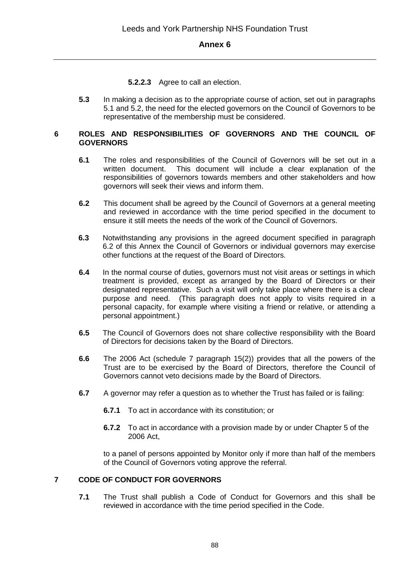**5.2.2.3** Agree to call an election.

**5.3** In making a decision as to the appropriate course of action, set out in paragraphs 5.1 and 5.2, the need for the elected governors on the Council of Governors to be representative of the membership must be considered.

#### **6 ROLES AND RESPONSIBILITIES OF GOVERNORS AND THE COUNCIL OF GOVERNORS**

- **6.1** The roles and responsibilities of the Council of Governors will be set out in a written document. This document will include a clear explanation of the responsibilities of governors towards members and other stakeholders and how governors will seek their views and inform them.
- **6.2** This document shall be agreed by the Council of Governors at a general meeting and reviewed in accordance with the time period specified in the document to ensure it still meets the needs of the work of the Council of Governors.
- **6.3** Notwithstanding any provisions in the agreed document specified in paragraph 6.2 of this Annex the Council of Governors or individual governors may exercise other functions at the request of the Board of Directors.
- **6.4** In the normal course of duties, governors must not visit areas or settings in which treatment is provided, except as arranged by the Board of Directors or their designated representative. Such a visit will only take place where there is a clear purpose and need. (This paragraph does not apply to visits required in a personal capacity, for example where visiting a friend or relative, or attending a personal appointment.)
- **6.5** The Council of Governors does not share collective responsibility with the Board of Directors for decisions taken by the Board of Directors.
- **6.6** The 2006 Act (schedule 7 paragraph 15(2)) provides that all the powers of the Trust are to be exercised by the Board of Directors, therefore the Council of Governors cannot veto decisions made by the Board of Directors.
- **6.7** A governor may refer a question as to whether the Trust has failed or is failing:
	- **6.7.1** To act in accordance with its constitution; or
	- **6.7.2** To act in accordance with a provision made by or under Chapter 5 of the 2006 Act,

to a panel of persons appointed by Monitor only if more than half of the members of the Council of Governors voting approve the referral.

#### **7 CODE OF CONDUCT FOR GOVERNORS**

**7.1** The Trust shall publish a Code of Conduct for Governors and this shall be reviewed in accordance with the time period specified in the Code.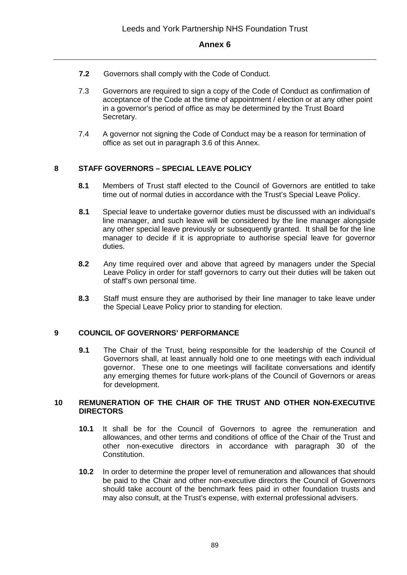- **7.2** Governors shall comply with the Code of Conduct.
- 7.3 Governors are required to sign a copy of the Code of Conduct as confirmation of acceptance of the Code at the time of appointment / election or at any other point in a governor's period of office as may be determined by the Trust Board Secretary.
- 7.4 A governor not signing the Code of Conduct may be a reason for termination of office as set out in paragraph 3.6 of this Annex.

## **8 STAFF GOVERNORS – SPECIAL LEAVE POLICY**

- **8.1** Members of Trust staff elected to the Council of Governors are entitled to take time out of normal duties in accordance with the Trust's Special Leave Policy.
- **8.1** Special leave to undertake governor duties must be discussed with an individual's line manager, and such leave will be considered by the line manager alongside any other special leave previously or subsequently granted. It shall be for the line manager to decide if it is appropriate to authorise special leave for governor duties.
- **8.2** Any time required over and above that agreed by managers under the Special Leave Policy in order for staff governors to carry out their duties will be taken out of staff's own personal time.
- **8.3** Staff must ensure they are authorised by their line manager to take leave under the Special Leave Policy prior to standing for election.

#### **9 COUNCIL OF GOVERNORS' PERFORMANCE**

**9.1** The Chair of the Trust, being responsible for the leadership of the Council of Governors shall, at least annually hold one to one meetings with each individual governor. These one to one meetings will facilitate conversations and identify any emerging themes for future work-plans of the Council of Governors or areas for development.

#### **10 REMUNERATION OF THE CHAIR OF THE TRUST AND OTHER NON-EXECUTIVE DIRECTORS**

- **10.1** It shall be for the Council of Governors to agree the remuneration and allowances, and other terms and conditions of office of the Chair of the Trust and other non-executive directors in accordance with paragraph 30 of the Constitution.
- **10.2** In order to determine the proper level of remuneration and allowances that should be paid to the Chair and other non-executive directors the Council of Governors should take account of the benchmark fees paid in other foundation trusts and may also consult, at the Trust's expense, with external professional advisers.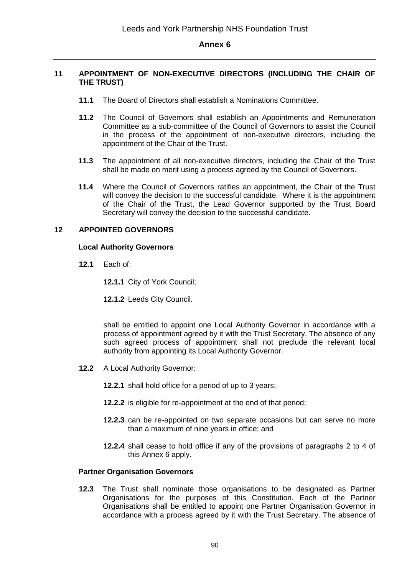#### **11 APPOINTMENT OF NON-EXECUTIVE DIRECTORS (INCLUDING THE CHAIR OF THE TRUST)**

- **11.1** The Board of Directors shall establish a Nominations Committee.
- **11.2** The Council of Governors shall establish an Appointments and Remuneration Committee as a sub-committee of the Council of Governors to assist the Council in the process of the appointment of non-executive directors, including the appointment of the Chair of the Trust.
- **11.3** The appointment of all non-executive directors, including the Chair of the Trust shall be made on merit using a process agreed by the Council of Governors.
- **11.4** Where the Council of Governors ratifies an appointment, the Chair of the Trust will convey the decision to the successful candidate. Where it is the appointment of the Chair of the Trust, the Lead Governor supported by the Trust Board Secretary will convey the decision to the successful candidate.

#### **12 APPOINTED GOVERNORS**

#### **Local Authority Governors**

**12.1** Each of:

**12.1.1** City of York Council;

**12.1.2** Leeds City Council.

shall be entitled to appoint one Local Authority Governor in accordance with a process of appointment agreed by it with the Trust Secretary. The absence of any such agreed process of appointment shall not preclude the relevant local authority from appointing its Local Authority Governor.

- **12.2** A Local Authority Governor:
	- **12.2.1** shall hold office for a period of up to 3 years;
	- **12.2.2** is eligible for re-appointment at the end of that period;
	- **12.2.3** can be re-appointed on two separate occasions but can serve no more than a maximum of nine years in office; and
	- **12.2.4** shall cease to hold office if any of the provisions of paragraphs 2 to 4 of this Annex 6 apply.

#### **Partner Organisation Governors**

**12.3** The Trust shall nominate those organisations to be designated as Partner Organisations for the purposes of this Constitution. Each of the Partner Organisations shall be entitled to appoint one Partner Organisation Governor in accordance with a process agreed by it with the Trust Secretary. The absence of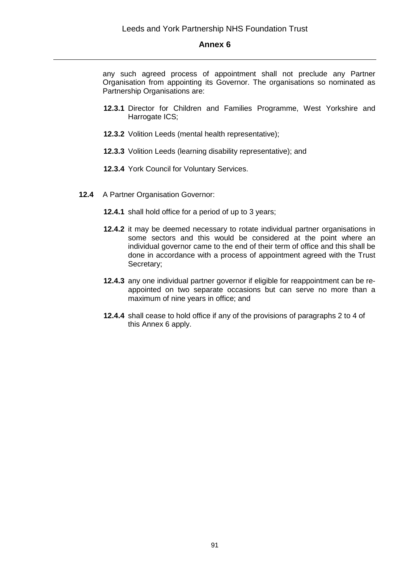any such agreed process of appointment shall not preclude any Partner Organisation from appointing its Governor. The organisations so nominated as Partnership Organisations are:

- **12.3.1** Director for Children and Families Programme, West Yorkshire and Harrogate ICS;
- **12.3.2** Volition Leeds (mental health representative);
- **12.3.3** Volition Leeds (learning disability representative); and
- **12.3.4** York Council for Voluntary Services.
- **12.4** A Partner Organisation Governor:
	- **12.4.1** shall hold office for a period of up to 3 years;
	- **12.4.2** it may be deemed necessary to rotate individual partner organisations in some sectors and this would be considered at the point where an individual governor came to the end of their term of office and this shall be done in accordance with a process of appointment agreed with the Trust Secretary;
	- **12.4.3** any one individual partner governor if eligible for reappointment can be reappointed on two separate occasions but can serve no more than a maximum of nine years in office; and
	- **12.4.4** shall cease to hold office if any of the provisions of paragraphs 2 to 4 of this Annex 6 apply.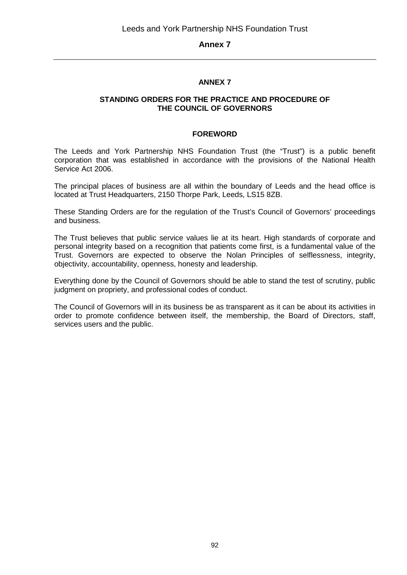## **ANNEX 7**

#### **STANDING ORDERS FOR THE PRACTICE AND PROCEDURE OF THE COUNCIL OF GOVERNORS**

#### **FOREWORD**

The Leeds and York Partnership NHS Foundation Trust (the "Trust") is a public benefit corporation that was established in accordance with the provisions of the National Health Service Act 2006.

The principal places of business are all within the boundary of Leeds and the head office is located at Trust Headquarters, 2150 Thorpe Park, Leeds, LS15 8ZB.

These Standing Orders are for the regulation of the Trust's Council of Governors' proceedings and business.

The Trust believes that public service values lie at its heart. High standards of corporate and personal integrity based on a recognition that patients come first, is a fundamental value of the Trust. Governors are expected to observe the Nolan Principles of selflessness, integrity, objectivity, accountability, openness, honesty and leadership.

Everything done by the Council of Governors should be able to stand the test of scrutiny, public judgment on propriety, and professional codes of conduct.

The Council of Governors will in its business be as transparent as it can be about its activities in order to promote confidence between itself, the membership, the Board of Directors, staff, services users and the public.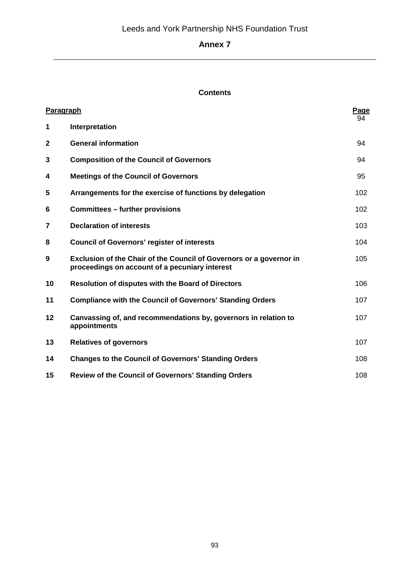## **Contents**

| Paragraph    |                                                                                                                              | Page<br>94 |
|--------------|------------------------------------------------------------------------------------------------------------------------------|------------|
| 1            | Interpretation                                                                                                               |            |
| $\mathbf{2}$ | <b>General information</b>                                                                                                   | 94         |
| 3            | <b>Composition of the Council of Governors</b>                                                                               | 94         |
| 4            | <b>Meetings of the Council of Governors</b>                                                                                  | 95         |
| 5            | Arrangements for the exercise of functions by delegation                                                                     | 102        |
| 6            | <b>Committees - further provisions</b>                                                                                       | 102        |
| 7            | <b>Declaration of interests</b>                                                                                              | 103        |
| 8            | <b>Council of Governors' register of interests</b>                                                                           | 104        |
| 9            | <b>Exclusion of the Chair of the Council of Governors or a governor in</b><br>proceedings on account of a pecuniary interest | 105        |
| 10           | <b>Resolution of disputes with the Board of Directors</b>                                                                    | 106        |
| 11           | <b>Compliance with the Council of Governors' Standing Orders</b>                                                             | 107        |
| 12           | Canvassing of, and recommendations by, governors in relation to<br>appointments                                              | 107        |
| 13           | <b>Relatives of governors</b>                                                                                                | 107        |
| 14           | <b>Changes to the Council of Governors' Standing Orders</b>                                                                  | 108        |
| 15           | <b>Review of the Council of Governors' Standing Orders</b>                                                                   | 108        |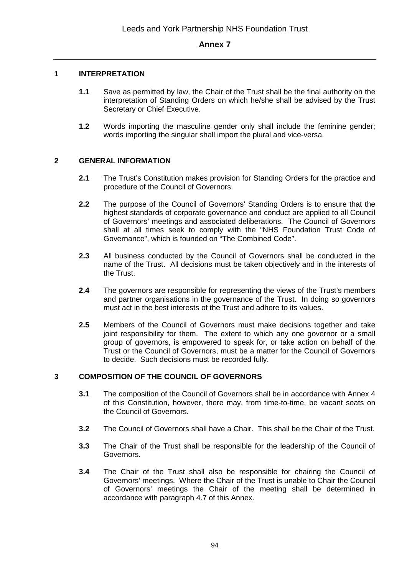#### **1 INTERPRETATION**

- **1.1** Save as permitted by law, the Chair of the Trust shall be the final authority on the interpretation of Standing Orders on which he/she shall be advised by the Trust Secretary or Chief Executive.
- **1.2** Words importing the masculine gender only shall include the feminine gender; words importing the singular shall import the plural and vice-versa.

#### **2 GENERAL INFORMATION**

- **2.1** The Trust's Constitution makes provision for Standing Orders for the practice and procedure of the Council of Governors.
- **2.2** The purpose of the Council of Governors' Standing Orders is to ensure that the highest standards of corporate governance and conduct are applied to all Council of Governors' meetings and associated deliberations. The Council of Governors shall at all times seek to comply with the "NHS Foundation Trust Code of Governance", which is founded on "The Combined Code".
- **2.3** All business conducted by the Council of Governors shall be conducted in the name of the Trust. All decisions must be taken objectively and in the interests of the Trust.
- **2.4** The governors are responsible for representing the views of the Trust's members and partner organisations in the governance of the Trust. In doing so governors must act in the best interests of the Trust and adhere to its values.
- **2.5** Members of the Council of Governors must make decisions together and take joint responsibility for them. The extent to which any one governor or a small group of governors, is empowered to speak for, or take action on behalf of the Trust or the Council of Governors, must be a matter for the Council of Governors to decide. Such decisions must be recorded fully.

#### **3 COMPOSITION OF THE COUNCIL OF GOVERNORS**

- **3.1** The composition of the Council of Governors shall be in accordance with Annex 4 of this Constitution, however, there may, from time-to-time, be vacant seats on the Council of Governors.
- **3.2** The Council of Governors shall have a Chair. This shall be the Chair of the Trust.
- **3.3** The Chair of the Trust shall be responsible for the leadership of the Council of Governors.
- **3.4** The Chair of the Trust shall also be responsible for chairing the Council of Governors' meetings. Where the Chair of the Trust is unable to Chair the Council of Governors' meetings the Chair of the meeting shall be determined in accordance with paragraph 4.7 of this Annex.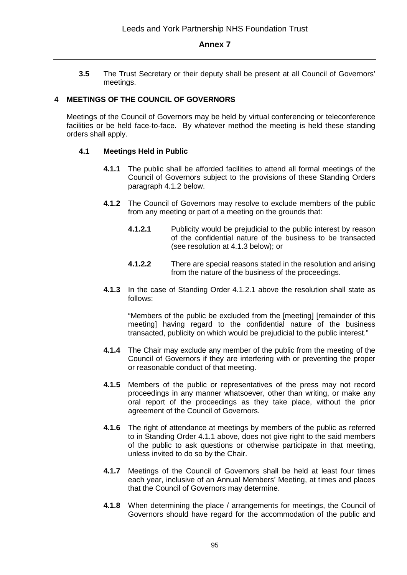**3.5** The Trust Secretary or their deputy shall be present at all Council of Governors' meetings.

#### **4 MEETINGS OF THE COUNCIL OF GOVERNORS**

Meetings of the Council of Governors may be held by virtual conferencing or teleconference facilities or be held face-to-face. By whatever method the meeting is held these standing orders shall apply.

#### **4.1 Meetings Held in Public**

- **4.1.1** The public shall be afforded facilities to attend all formal meetings of the Council of Governors subject to the provisions of these Standing Orders paragraph 4.1.2 below.
- **4.1.2** The Council of Governors may resolve to exclude members of the public from any meeting or part of a meeting on the grounds that:
	- **4.1.2.1** Publicity would be prejudicial to the public interest by reason of the confidential nature of the business to be transacted (see resolution at 4.1.3 below); or
	- **4.1.2.2** There are special reasons stated in the resolution and arising from the nature of the business of the proceedings.
- **4.1.3** In the case of Standing Order 4.1.2.1 above the resolution shall state as follows:

"Members of the public be excluded from the [meeting] [remainder of this meeting] having regard to the confidential nature of the business transacted, publicity on which would be prejudicial to the public interest."

- **4.1.4** The Chair may exclude any member of the public from the meeting of the Council of Governors if they are interfering with or preventing the proper or reasonable conduct of that meeting.
- **4.1.5** Members of the public or representatives of the press may not record proceedings in any manner whatsoever, other than writing, or make any oral report of the proceedings as they take place, without the prior agreement of the Council of Governors.
- **4.1.6** The right of attendance at meetings by members of the public as referred to in Standing Order 4.1.1 above, does not give right to the said members of the public to ask questions or otherwise participate in that meeting, unless invited to do so by the Chair.
- **4.1.7** Meetings of the Council of Governors shall be held at least four times each year, inclusive of an Annual Members' Meeting, at times and places that the Council of Governors may determine.
- **4.1.8** When determining the place / arrangements for meetings, the Council of Governors should have regard for the accommodation of the public and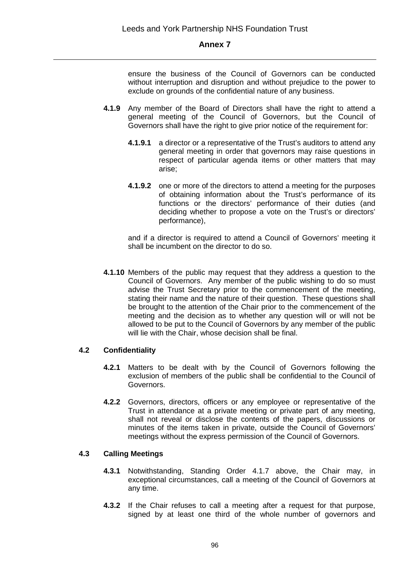ensure the business of the Council of Governors can be conducted without interruption and disruption and without prejudice to the power to exclude on grounds of the confidential nature of any business.

- **4.1.9** Any member of the Board of Directors shall have the right to attend a general meeting of the Council of Governors, but the Council of Governors shall have the right to give prior notice of the requirement for:
	- **4.1.9.1** a director or a representative of the Trust's auditors to attend any general meeting in order that governors may raise questions in respect of particular agenda items or other matters that may arise;
	- **4.1.9.2** one or more of the directors to attend a meeting for the purposes of obtaining information about the Trust's performance of its functions or the directors' performance of their duties (and deciding whether to propose a vote on the Trust's or directors' performance),

and if a director is required to attend a Council of Governors' meeting it shall be incumbent on the director to do so.

**4.1.10** Members of the public may request that they address a question to the Council of Governors. Any member of the public wishing to do so must advise the Trust Secretary prior to the commencement of the meeting, stating their name and the nature of their question. These questions shall be brought to the attention of the Chair prior to the commencement of the meeting and the decision as to whether any question will or will not be allowed to be put to the Council of Governors by any member of the public will lie with the Chair, whose decision shall be final.

#### **4.2 Confidentiality**

- **4.2.1** Matters to be dealt with by the Council of Governors following the exclusion of members of the public shall be confidential to the Council of Governors.
- **4.2.2** Governors, directors, officers or any employee or representative of the Trust in attendance at a private meeting or private part of any meeting, shall not reveal or disclose the contents of the papers, discussions or minutes of the items taken in private, outside the Council of Governors' meetings without the express permission of the Council of Governors.

## **4.3 Calling Meetings**

- **4.3.1** Notwithstanding, Standing Order 4.1.7 above, the Chair may, in exceptional circumstances, call a meeting of the Council of Governors at any time.
- **4.3.2** If the Chair refuses to call a meeting after a request for that purpose, signed by at least one third of the whole number of governors and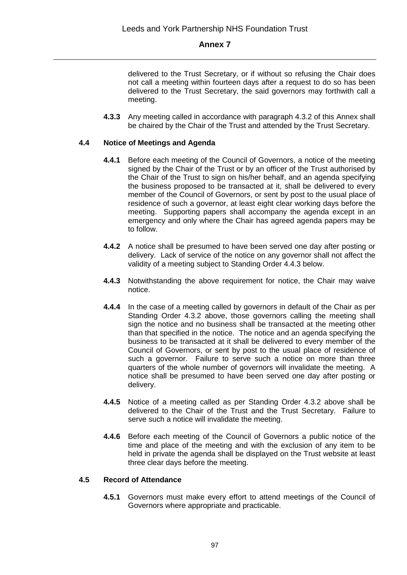delivered to the Trust Secretary, or if without so refusing the Chair does not call a meeting within fourteen days after a request to do so has been delivered to the Trust Secretary, the said governors may forthwith call a meeting.

**4.3.3** Any meeting called in accordance with paragraph 4.3.2 of this Annex shall be chaired by the Chair of the Trust and attended by the Trust Secretary.

#### **4.4 Notice of Meetings and Agenda**

- **4.4.1** Before each meeting of the Council of Governors, a notice of the meeting signed by the Chair of the Trust or by an officer of the Trust authorised by the Chair of the Trust to sign on his/her behalf, and an agenda specifying the business proposed to be transacted at it, shall be delivered to every member of the Council of Governors, or sent by post to the usual place of residence of such a governor, at least eight clear working days before the meeting. Supporting papers shall accompany the agenda except in an emergency and only where the Chair has agreed agenda papers may be to follow.
- **4.4.2** A notice shall be presumed to have been served one day after posting or delivery. Lack of service of the notice on any governor shall not affect the validity of a meeting subject to Standing Order 4.4.3 below.
- **4.4.3** Notwithstanding the above requirement for notice, the Chair may waive notice.
- **4.4.4** In the case of a meeting called by governors in default of the Chair as per Standing Order 4.3.2 above, those governors calling the meeting shall sign the notice and no business shall be transacted at the meeting other than that specified in the notice. The notice and an agenda specifying the business to be transacted at it shall be delivered to every member of the Council of Governors, or sent by post to the usual place of residence of such a governor. Failure to serve such a notice on more than three quarters of the whole number of governors will invalidate the meeting. A notice shall be presumed to have been served one day after posting or delivery.
- **4.4.5** Notice of a meeting called as per Standing Order 4.3.2 above shall be delivered to the Chair of the Trust and the Trust Secretary. Failure to serve such a notice will invalidate the meeting.
- **4.4.6** Before each meeting of the Council of Governors a public notice of the time and place of the meeting and with the exclusion of any item to be held in private the agenda shall be displayed on the Trust website at least three clear days before the meeting.

#### **4.5 Record of Attendance**

**4.5.1** Governors must make every effort to attend meetings of the Council of Governors where appropriate and practicable.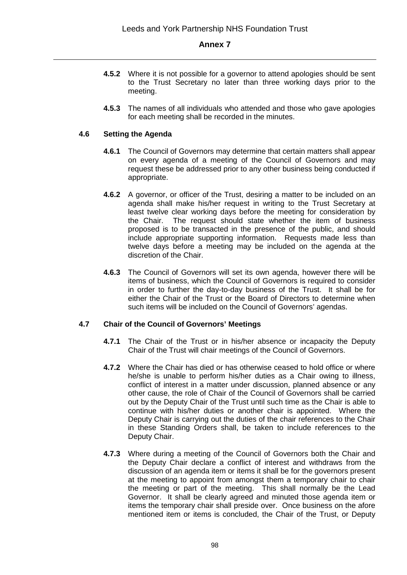- **4.5.2** Where it is not possible for a governor to attend apologies should be sent to the Trust Secretary no later than three working days prior to the meeting.
- **4.5.3** The names of all individuals who attended and those who gave apologies for each meeting shall be recorded in the minutes.

## **4.6 Setting the Agenda**

- **4.6.1** The Council of Governors may determine that certain matters shall appear on every agenda of a meeting of the Council of Governors and may request these be addressed prior to any other business being conducted if appropriate.
- **4.6.2** A governor, or officer of the Trust, desiring a matter to be included on an agenda shall make his/her request in writing to the Trust Secretary at least twelve clear working days before the meeting for consideration by the Chair. The request should state whether the item of business proposed is to be transacted in the presence of the public, and should include appropriate supporting information. Requests made less than twelve days before a meeting may be included on the agenda at the discretion of the Chair.
- **4.6.3** The Council of Governors will set its own agenda, however there will be items of business, which the Council of Governors is required to consider in order to further the day-to-day business of the Trust. It shall be for either the Chair of the Trust or the Board of Directors to determine when such items will be included on the Council of Governors' agendas.

#### **4.7 Chair of the Council of Governors' Meetings**

- **4.7.1** The Chair of the Trust or in his/her absence or incapacity the Deputy Chair of the Trust will chair meetings of the Council of Governors.
- **4.7.2** Where the Chair has died or has otherwise ceased to hold office or where he/she is unable to perform his/her duties as a Chair owing to illness, conflict of interest in a matter under discussion, planned absence or any other cause, the role of Chair of the Council of Governors shall be carried out by the Deputy Chair of the Trust until such time as the Chair is able to continue with his/her duties or another chair is appointed. Where the Deputy Chair is carrying out the duties of the chair references to the Chair in these Standing Orders shall, be taken to include references to the Deputy Chair.
- **4.7.3** Where during a meeting of the Council of Governors both the Chair and the Deputy Chair declare a conflict of interest and withdraws from the discussion of an agenda item or items it shall be for the governors present at the meeting to appoint from amongst them a temporary chair to chair the meeting or part of the meeting. This shall normally be the Lead Governor. It shall be clearly agreed and minuted those agenda item or items the temporary chair shall preside over. Once business on the afore mentioned item or items is concluded, the Chair of the Trust, or Deputy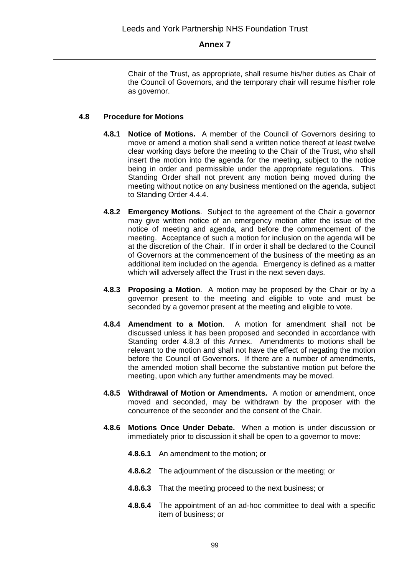Chair of the Trust, as appropriate, shall resume his/her duties as Chair of the Council of Governors, and the temporary chair will resume his/her role as governor.

#### **4.8 Procedure for Motions**

- **4.8.1 Notice of Motions.** A member of the Council of Governors desiring to move or amend a motion shall send a written notice thereof at least twelve clear working days before the meeting to the Chair of the Trust, who shall insert the motion into the agenda for the meeting, subject to the notice being in order and permissible under the appropriate regulations. This Standing Order shall not prevent any motion being moved during the meeting without notice on any business mentioned on the agenda, subject to Standing Order 4.4.4.
- **4.8.2 Emergency Motions**. Subject to the agreement of the Chair a governor may give written notice of an emergency motion after the issue of the notice of meeting and agenda, and before the commencement of the meeting. Acceptance of such a motion for inclusion on the agenda will be at the discretion of the Chair. If in order it shall be declared to the Council of Governors at the commencement of the business of the meeting as an additional item included on the agenda. Emergency is defined as a matter which will adversely affect the Trust in the next seven days.
- **4.8.3 Proposing a Motion**. A motion may be proposed by the Chair or by a governor present to the meeting and eligible to vote and must be seconded by a governor present at the meeting and eligible to vote.
- **4.8.4 Amendment to a Motion**. A motion for amendment shall not be discussed unless it has been proposed and seconded in accordance with Standing order 4.8.3 of this Annex. Amendments to motions shall be relevant to the motion and shall not have the effect of negating the motion before the Council of Governors. If there are a number of amendments, the amended motion shall become the substantive motion put before the meeting, upon which any further amendments may be moved.
- **4.8.5 Withdrawal of Motion or Amendments.** A motion or amendment, once moved and seconded, may be withdrawn by the proposer with the concurrence of the seconder and the consent of the Chair.
- **4.8.6 Motions Once Under Debate.** When a motion is under discussion or immediately prior to discussion it shall be open to a governor to move:
	- **4.8.6.1** An amendment to the motion; or
	- **4.8.6.2** The adjournment of the discussion or the meeting; or
	- **4.8.6.3** That the meeting proceed to the next business; or
	- **4.8.6.4** The appointment of an ad-hoc committee to deal with a specific item of business; or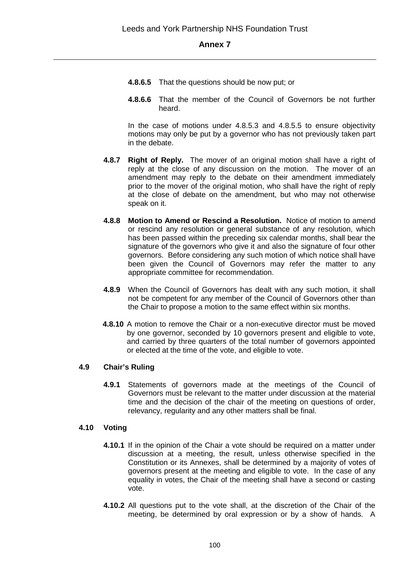- **4.8.6.5** That the questions should be now put; or
- **4.8.6.6** That the member of the Council of Governors be not further heard.

In the case of motions under 4.8.5.3 and 4.8.5.5 to ensure objectivity motions may only be put by a governor who has not previously taken part in the debate.

- **4.8.7 Right of Reply.** The mover of an original motion shall have a right of reply at the close of any discussion on the motion. The mover of an amendment may reply to the debate on their amendment immediately prior to the mover of the original motion, who shall have the right of reply at the close of debate on the amendment, but who may not otherwise speak on it.
- **4.8.8 Motion to Amend or Rescind a Resolution.** Notice of motion to amend or rescind any resolution or general substance of any resolution, which has been passed within the preceding six calendar months, shall bear the signature of the governors who give it and also the signature of four other governors. Before considering any such motion of which notice shall have been given the Council of Governors may refer the matter to any appropriate committee for recommendation.
- **4.8.9** When the Council of Governors has dealt with any such motion, it shall not be competent for any member of the Council of Governors other than the Chair to propose a motion to the same effect within six months.
- **4.8.10** A motion to remove the Chair or a non-executive director must be moved by one governor, seconded by 10 governors present and eligible to vote, and carried by three quarters of the total number of governors appointed or elected at the time of the vote, and eligible to vote.

#### **4.9 Chair's Ruling**

**4.9.1** Statements of governors made at the meetings of the Council of Governors must be relevant to the matter under discussion at the material time and the decision of the chair of the meeting on questions of order, relevancy, regularity and any other matters shall be final.

#### **4.10 Voting**

- **4.10.1** If in the opinion of the Chair a vote should be required on a matter under discussion at a meeting, the result, unless otherwise specified in the Constitution or its Annexes, shall be determined by a majority of votes of governors present at the meeting and eligible to vote. In the case of any equality in votes, the Chair of the meeting shall have a second or casting vote.
- **4.10.2** All questions put to the vote shall, at the discretion of the Chair of the meeting, be determined by oral expression or by a show of hands. A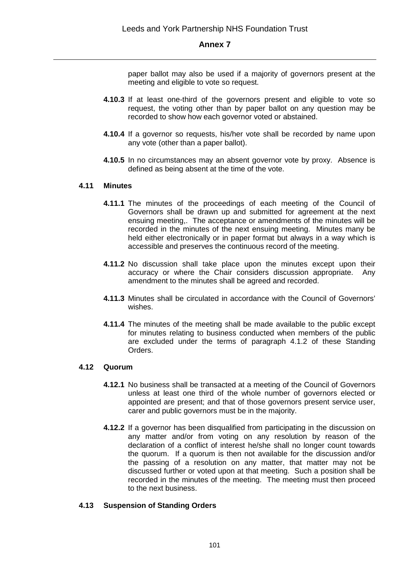paper ballot may also be used if a majority of governors present at the meeting and eligible to vote so request.

- **4.10.3** If at least one-third of the governors present and eligible to vote so request, the voting other than by paper ballot on any question may be recorded to show how each governor voted or abstained.
- **4.10.4** If a governor so requests, his/her vote shall be recorded by name upon any vote (other than a paper ballot).
- **4.10.5** In no circumstances may an absent governor vote by proxy. Absence is defined as being absent at the time of the vote.

#### **4.11 Minutes**

- **4.11.1** The minutes of the proceedings of each meeting of the Council of Governors shall be drawn up and submitted for agreement at the next ensuing meeting,. The acceptance or amendments of the minutes will be recorded in the minutes of the next ensuing meeting. Minutes many be held either electronically or in paper format but always in a way which is accessible and preserves the continuous record of the meeting.
- **4.11.2** No discussion shall take place upon the minutes except upon their accuracy or where the Chair considers discussion appropriate. Any amendment to the minutes shall be agreed and recorded.
- **4.11.3** Minutes shall be circulated in accordance with the Council of Governors' wishes.
- **4.11.4** The minutes of the meeting shall be made available to the public except for minutes relating to business conducted when members of the public are excluded under the terms of paragraph 4.1.2 of these Standing Orders.

#### **4.12 Quorum**

- **4.12.1** No business shall be transacted at a meeting of the Council of Governors unless at least one third of the whole number of governors elected or appointed are present; and that of those governors present service user, carer and public governors must be in the majority.
- **4.12.2** If a governor has been disqualified from participating in the discussion on any matter and/or from voting on any resolution by reason of the declaration of a conflict of interest he/she shall no longer count towards the quorum. If a quorum is then not available for the discussion and/or the passing of a resolution on any matter, that matter may not be discussed further or voted upon at that meeting. Such a position shall be recorded in the minutes of the meeting. The meeting must then proceed to the next business.

#### **4.13 Suspension of Standing Orders**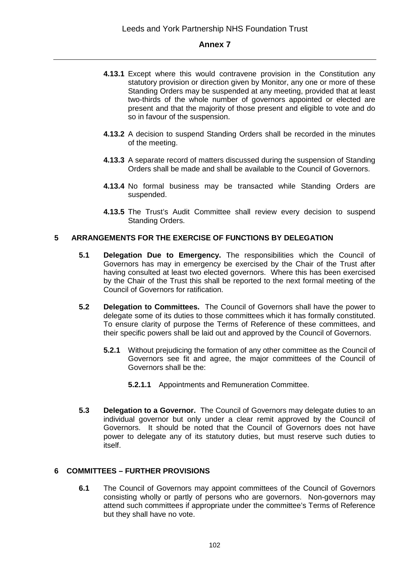- **4.13.1** Except where this would contravene provision in the Constitution any statutory provision or direction given by Monitor, any one or more of these Standing Orders may be suspended at any meeting, provided that at least two-thirds of the whole number of governors appointed or elected are present and that the majority of those present and eligible to vote and do so in favour of the suspension.
- **4.13.2** A decision to suspend Standing Orders shall be recorded in the minutes of the meeting.
- **4.13.3** A separate record of matters discussed during the suspension of Standing Orders shall be made and shall be available to the Council of Governors.
- **4.13.4** No formal business may be transacted while Standing Orders are suspended.
- **4.13.5** The Trust's Audit Committee shall review every decision to suspend Standing Orders.

#### **5 ARRANGEMENTS FOR THE EXERCISE OF FUNCTIONS BY DELEGATION**

- **5.1 Delegation Due to Emergency.** The responsibilities which the Council of Governors has may in emergency be exercised by the Chair of the Trust after having consulted at least two elected governors. Where this has been exercised by the Chair of the Trust this shall be reported to the next formal meeting of the Council of Governors for ratification.
- **5.2 Delegation to Committees.** The Council of Governors shall have the power to delegate some of its duties to those committees which it has formally constituted. To ensure clarity of purpose the Terms of Reference of these committees, and their specific powers shall be laid out and approved by the Council of Governors.
	- **5.2.1** Without prejudicing the formation of any other committee as the Council of Governors see fit and agree, the major committees of the Council of Governors shall be the:
		- **5.2.1.1** Appointments and Remuneration Committee.
- **5.3 Delegation to a Governor.** The Council of Governors may delegate duties to an individual governor but only under a clear remit approved by the Council of Governors. It should be noted that the Council of Governors does not have power to delegate any of its statutory duties, but must reserve such duties to itself.

#### **6 COMMITTEES – FURTHER PROVISIONS**

**6.1** The Council of Governors may appoint committees of the Council of Governors consisting wholly or partly of persons who are governors. Non-governors may attend such committees if appropriate under the committee's Terms of Reference but they shall have no vote.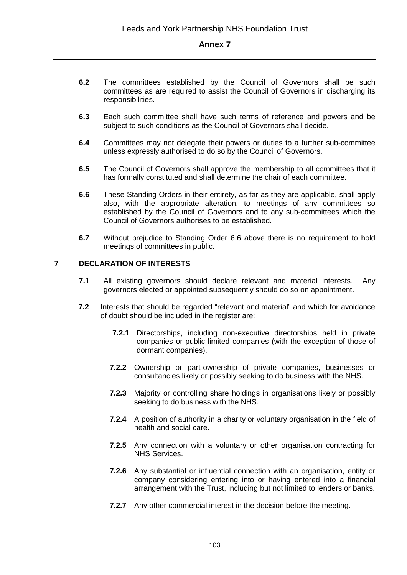- **6.2** The committees established by the Council of Governors shall be such committees as are required to assist the Council of Governors in discharging its responsibilities.
- **6.3** Each such committee shall have such terms of reference and powers and be subject to such conditions as the Council of Governors shall decide.
- **6.4** Committees may not delegate their powers or duties to a further sub-committee unless expressly authorised to do so by the Council of Governors.
- **6.5** The Council of Governors shall approve the membership to all committees that it has formally constituted and shall determine the chair of each committee.
- **6.6** These Standing Orders in their entirety, as far as they are applicable, shall apply also, with the appropriate alteration, to meetings of any committees so established by the Council of Governors and to any sub-committees which the Council of Governors authorises to be established.
- **6.7** Without prejudice to Standing Order 6.6 above there is no requirement to hold meetings of committees in public.

#### **7 DECLARATION OF INTERESTS**

- **7.1** All existing governors should declare relevant and material interests. Any governors elected or appointed subsequently should do so on appointment.
- **7.2** Interests that should be regarded "relevant and material" and which for avoidance of doubt should be included in the register are:
	- **7.2.1** Directorships, including non-executive directorships held in private companies or public limited companies (with the exception of those of dormant companies).
	- **7.2.2** Ownership or part-ownership of private companies, businesses or consultancies likely or possibly seeking to do business with the NHS.
	- **7.2.3** Majority or controlling share holdings in organisations likely or possibly seeking to do business with the NHS.
	- **7.2.4** A position of authority in a charity or voluntary organisation in the field of health and social care.
	- **7.2.5** Any connection with a voluntary or other organisation contracting for NHS Services.
	- **7.2.6** Any substantial or influential connection with an organisation, entity or company considering entering into or having entered into a financial arrangement with the Trust, including but not limited to lenders or banks.
	- **7.2.7** Any other commercial interest in the decision before the meeting.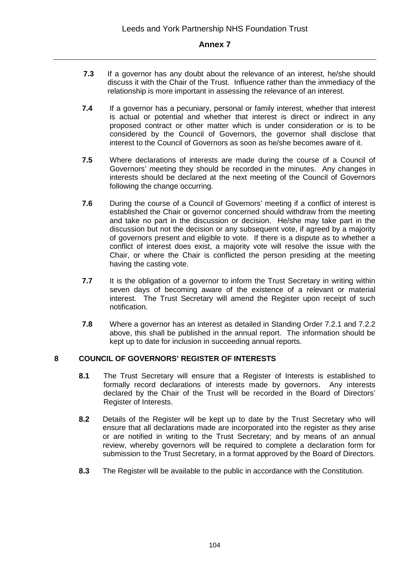- **7.3** If a governor has any doubt about the relevance of an interest, he/she should discuss it with the Chair of the Trust. Influence rather than the immediacy of the relationship is more important in assessing the relevance of an interest.
- **7.4** If a governor has a pecuniary, personal or family interest, whether that interest is actual or potential and whether that interest is direct or indirect in any proposed contract or other matter which is under consideration or is to be considered by the Council of Governors, the governor shall disclose that interest to the Council of Governors as soon as he/she becomes aware of it.
- **7.5** Where declarations of interests are made during the course of a Council of Governors' meeting they should be recorded in the minutes. Any changes in interests should be declared at the next meeting of the Council of Governors following the change occurring.
- **7.6** During the course of a Council of Governors' meeting if a conflict of interest is established the Chair or governor concerned should withdraw from the meeting and take no part in the discussion or decision. He/she may take part in the discussion but not the decision or any subsequent vote, if agreed by a majority of governors present and eligible to vote. If there is a dispute as to whether a conflict of interest does exist, a majority vote will resolve the issue with the Chair, or where the Chair is conflicted the person presiding at the meeting having the casting vote.
- **7.7** It is the obligation of a governor to inform the Trust Secretary in writing within seven days of becoming aware of the existence of a relevant or material interest. The Trust Secretary will amend the Register upon receipt of such notification.
- **7.8** Where a governor has an interest as detailed in Standing Order 7.2.1 and 7.2.2 above, this shall be published in the annual report. The information should be kept up to date for inclusion in succeeding annual reports.

#### **8 COUNCIL OF GOVERNORS' REGISTER OF INTERESTS**

- **8.1** The Trust Secretary will ensure that a Register of Interests is established to formally record declarations of interests made by governors. Any interests declared by the Chair of the Trust will be recorded in the Board of Directors' Register of Interests.
- **8.2** Details of the Register will be kept up to date by the Trust Secretary who will ensure that all declarations made are incorporated into the register as they arise or are notified in writing to the Trust Secretary; and by means of an annual review, whereby governors will be required to complete a declaration form for submission to the Trust Secretary, in a format approved by the Board of Directors.
- **8.3** The Register will be available to the public in accordance with the Constitution.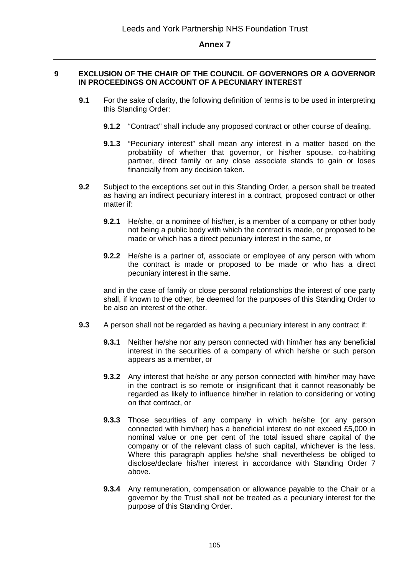#### **9 EXCLUSION OF THE CHAIR OF THE COUNCIL OF GOVERNORS OR A GOVERNOR IN PROCEEDINGS ON ACCOUNT OF A PECUNIARY INTEREST**

- **9.1** For the sake of clarity, the following definition of terms is to be used in interpreting this Standing Order:
	- **9.1.2** "Contract" shall include any proposed contract or other course of dealing.
	- **9.1.3** "Pecuniary interest" shall mean any interest in a matter based on the probability of whether that governor, or his/her spouse, co-habiting partner, direct family or any close associate stands to gain or loses financially from any decision taken.
- **9.2** Subject to the exceptions set out in this Standing Order, a person shall be treated as having an indirect pecuniary interest in a contract, proposed contract or other matter if:
	- **9.2.1** He/she, or a nominee of his/her, is a member of a company or other body not being a public body with which the contract is made, or proposed to be made or which has a direct pecuniary interest in the same, or
	- **9.2.2** He/she is a partner of, associate or employee of any person with whom the contract is made or proposed to be made or who has a direct pecuniary interest in the same.

and in the case of family or close personal relationships the interest of one party shall, if known to the other, be deemed for the purposes of this Standing Order to be also an interest of the other.

- **9.3** A person shall not be regarded as having a pecuniary interest in any contract if:
	- **9.3.1** Neither he/she nor any person connected with him/her has any beneficial interest in the securities of a company of which he/she or such person appears as a member, or
	- **9.3.2** Any interest that he/she or any person connected with him/her may have in the contract is so remote or insignificant that it cannot reasonably be regarded as likely to influence him/her in relation to considering or voting on that contract, or
	- **9.3.3** Those securities of any company in which he/she (or any person connected with him/her) has a beneficial interest do not exceed £5,000 in nominal value or one per cent of the total issued share capital of the company or of the relevant class of such capital, whichever is the less. Where this paragraph applies he/she shall nevertheless be obliged to disclose/declare his/her interest in accordance with Standing Order 7 above.
	- **9.3.4** Any remuneration, compensation or allowance payable to the Chair or a governor by the Trust shall not be treated as a pecuniary interest for the purpose of this Standing Order.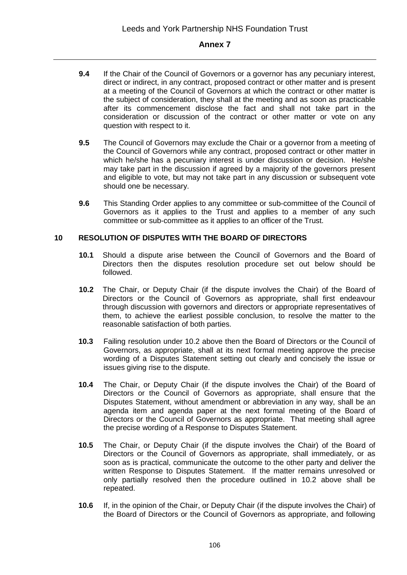- **9.4** If the Chair of the Council of Governors or a governor has any pecuniary interest, direct or indirect, in any contract, proposed contract or other matter and is present at a meeting of the Council of Governors at which the contract or other matter is the subject of consideration, they shall at the meeting and as soon as practicable after its commencement disclose the fact and shall not take part in the consideration or discussion of the contract or other matter or vote on any question with respect to it.
- **9.5** The Council of Governors may exclude the Chair or a governor from a meeting of the Council of Governors while any contract, proposed contract or other matter in which he/she has a pecuniary interest is under discussion or decision. He/she may take part in the discussion if agreed by a majority of the governors present and eligible to vote, but may not take part in any discussion or subsequent vote should one be necessary.
- **9.6** This Standing Order applies to any committee or sub-committee of the Council of Governors as it applies to the Trust and applies to a member of any such committee or sub-committee as it applies to an officer of the Trust.

#### **10 RESOLUTION OF DISPUTES WITH THE BOARD OF DIRECTORS**

- **10.1** Should a dispute arise between the Council of Governors and the Board of Directors then the disputes resolution procedure set out below should be followed.
- **10.2** The Chair, or Deputy Chair (if the dispute involves the Chair) of the Board of Directors or the Council of Governors as appropriate, shall first endeavour through discussion with governors and directors or appropriate representatives of them, to achieve the earliest possible conclusion, to resolve the matter to the reasonable satisfaction of both parties.
- **10.3** Failing resolution under 10.2 above then the Board of Directors or the Council of Governors, as appropriate, shall at its next formal meeting approve the precise wording of a Disputes Statement setting out clearly and concisely the issue or issues giving rise to the dispute.
- **10.4** The Chair, or Deputy Chair (if the dispute involves the Chair) of the Board of Directors or the Council of Governors as appropriate, shall ensure that the Disputes Statement, without amendment or abbreviation in any way, shall be an agenda item and agenda paper at the next formal meeting of the Board of Directors or the Council of Governors as appropriate. That meeting shall agree the precise wording of a Response to Disputes Statement.
- **10.5** The Chair, or Deputy Chair (if the dispute involves the Chair) of the Board of Directors or the Council of Governors as appropriate, shall immediately, or as soon as is practical, communicate the outcome to the other party and deliver the written Response to Disputes Statement. If the matter remains unresolved or only partially resolved then the procedure outlined in 10.2 above shall be repeated.
- **10.6** If, in the opinion of the Chair, or Deputy Chair (if the dispute involves the Chair) of the Board of Directors or the Council of Governors as appropriate, and following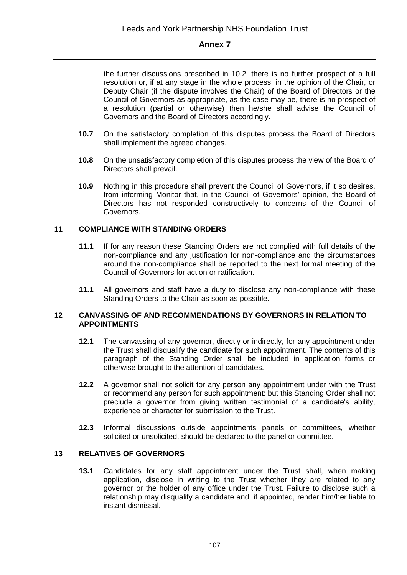the further discussions prescribed in 10.2, there is no further prospect of a full resolution or, if at any stage in the whole process, in the opinion of the Chair, or Deputy Chair (if the dispute involves the Chair) of the Board of Directors or the Council of Governors as appropriate, as the case may be, there is no prospect of a resolution (partial or otherwise) then he/she shall advise the Council of Governors and the Board of Directors accordingly.

- **10.7** On the satisfactory completion of this disputes process the Board of Directors shall implement the agreed changes.
- **10.8** On the unsatisfactory completion of this disputes process the view of the Board of Directors shall prevail.
- **10.9** Nothing in this procedure shall prevent the Council of Governors, if it so desires, from informing Monitor that, in the Council of Governors' opinion, the Board of Directors has not responded constructively to concerns of the Council of Governors.

#### **11 COMPLIANCE WITH STANDING ORDERS**

- **11.1** If for any reason these Standing Orders are not complied with full details of the non-compliance and any justification for non-compliance and the circumstances around the non-compliance shall be reported to the next formal meeting of the Council of Governors for action or ratification.
- **11.1** All governors and staff have a duty to disclose any non-compliance with these Standing Orders to the Chair as soon as possible.

#### **12 CANVASSING OF AND RECOMMENDATIONS BY GOVERNORS IN RELATION TO APPOINTMENTS**

- **12.1** The canvassing of any governor, directly or indirectly, for any appointment under the Trust shall disqualify the candidate for such appointment. The contents of this paragraph of the Standing Order shall be included in application forms or otherwise brought to the attention of candidates.
- **12.2** A governor shall not solicit for any person any appointment under with the Trust or recommend any person for such appointment: but this Standing Order shall not preclude a governor from giving written testimonial of a candidate's ability, experience or character for submission to the Trust.
- **12.3** Informal discussions outside appointments panels or committees, whether solicited or unsolicited, should be declared to the panel or committee.

## **13 RELATIVES OF GOVERNORS**

**13.1** Candidates for any staff appointment under the Trust shall, when making application, disclose in writing to the Trust whether they are related to any governor or the holder of any office under the Trust. Failure to disclose such a relationship may disqualify a candidate and, if appointed, render him/her liable to instant dismissal.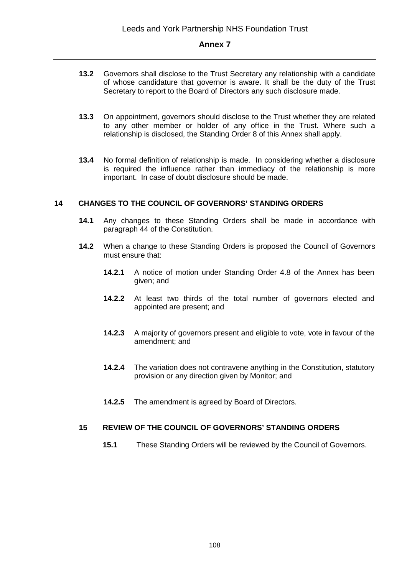- **13.2** Governors shall disclose to the Trust Secretary any relationship with a candidate of whose candidature that governor is aware. It shall be the duty of the Trust Secretary to report to the Board of Directors any such disclosure made.
- **13.3** On appointment, governors should disclose to the Trust whether they are related to any other member or holder of any office in the Trust. Where such a relationship is disclosed, the Standing Order 8 of this Annex shall apply.
- **13.4** No formal definition of relationship is made. In considering whether a disclosure is required the influence rather than immediacy of the relationship is more important. In case of doubt disclosure should be made.

#### **14 CHANGES TO THE COUNCIL OF GOVERNORS' STANDING ORDERS**

- **14.1** Any changes to these Standing Orders shall be made in accordance with paragraph 44 of the Constitution.
- **14.2** When a change to these Standing Orders is proposed the Council of Governors must ensure that:
	- **14.2.1** A notice of motion under Standing Order 4.8 of the Annex has been given; and
	- **14.2.2** At least two thirds of the total number of governors elected and appointed are present; and
	- **14.2.3** A majority of governors present and eligible to vote, vote in favour of the amendment; and
	- **14.2.4** The variation does not contravene anything in the Constitution, statutory provision or any direction given by Monitor; and
	- **14.2.5** The amendment is agreed by Board of Directors.

#### **15 REVIEW OF THE COUNCIL OF GOVERNORS' STANDING ORDERS**

**15.1** These Standing Orders will be reviewed by the Council of Governors.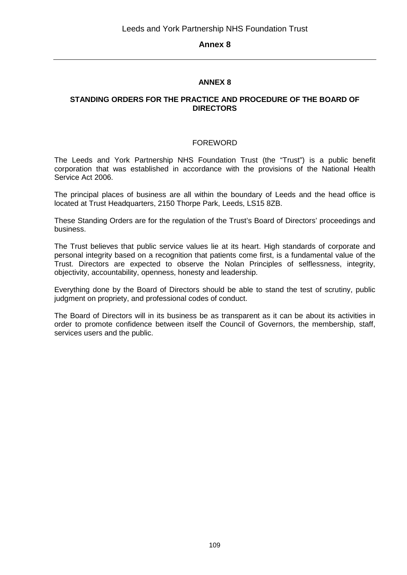# **ANNEX 8**

#### **STANDING ORDERS FOR THE PRACTICE AND PROCEDURE OF THE BOARD OF DIRECTORS**

## FOREWORD

The Leeds and York Partnership NHS Foundation Trust (the "Trust") is a public benefit corporation that was established in accordance with the provisions of the National Health Service Act 2006.

The principal places of business are all within the boundary of Leeds and the head office is located at Trust Headquarters, 2150 Thorpe Park, Leeds, LS15 8ZB.

These Standing Orders are for the regulation of the Trust's Board of Directors' proceedings and business.

The Trust believes that public service values lie at its heart. High standards of corporate and personal integrity based on a recognition that patients come first, is a fundamental value of the Trust. Directors are expected to observe the Nolan Principles of selflessness, integrity, objectivity, accountability, openness, honesty and leadership.

Everything done by the Board of Directors should be able to stand the test of scrutiny, public judgment on propriety, and professional codes of conduct.

The Board of Directors will in its business be as transparent as it can be about its activities in order to promote confidence between itself the Council of Governors, the membership, staff, services users and the public.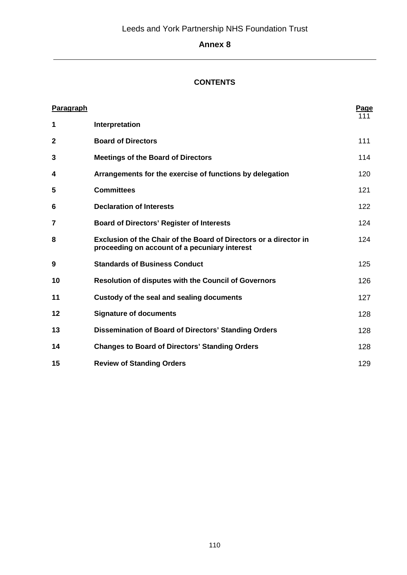# **CONTENTS**

| Paragraph    |                                                                                                                    | Page |
|--------------|--------------------------------------------------------------------------------------------------------------------|------|
| 1            | Interpretation                                                                                                     | 111  |
| $\mathbf{2}$ | <b>Board of Directors</b>                                                                                          | 111  |
| 3            | <b>Meetings of the Board of Directors</b>                                                                          | 114  |
| 4            | Arrangements for the exercise of functions by delegation                                                           | 120  |
| 5            | <b>Committees</b>                                                                                                  | 121  |
| 6            | <b>Declaration of Interests</b>                                                                                    | 122  |
| 7            | <b>Board of Directors' Register of Interests</b>                                                                   | 124  |
| 8            | Exclusion of the Chair of the Board of Directors or a director in<br>proceeding on account of a pecuniary interest | 124  |
| 9            | <b>Standards of Business Conduct</b>                                                                               | 125  |
| 10           | <b>Resolution of disputes with the Council of Governors</b>                                                        | 126  |
| 11           | Custody of the seal and sealing documents                                                                          | 127  |
| 12           | <b>Signature of documents</b>                                                                                      | 128  |
| 13           | <b>Dissemination of Board of Directors' Standing Orders</b>                                                        | 128  |
| 14           | <b>Changes to Board of Directors' Standing Orders</b>                                                              | 128  |
| 15           | <b>Review of Standing Orders</b>                                                                                   | 129  |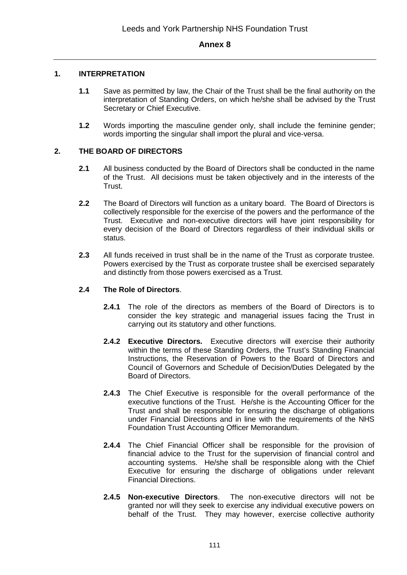#### **1. INTERPRETATION**

- **1.1** Save as permitted by law, the Chair of the Trust shall be the final authority on the interpretation of Standing Orders, on which he/she shall be advised by the Trust Secretary or Chief Executive.
- **1.2** Words importing the masculine gender only, shall include the feminine gender; words importing the singular shall import the plural and vice-versa.

## **2. THE BOARD OF DIRECTORS**

- **2.1** All business conducted by the Board of Directors shall be conducted in the name of the Trust. All decisions must be taken objectively and in the interests of the Trust.
- **2.2** The Board of Directors will function as a unitary board. The Board of Directors is collectively responsible for the exercise of the powers and the performance of the Trust. Executive and non-executive directors will have joint responsibility for every decision of the Board of Directors regardless of their individual skills or status.
- **2.3** All funds received in trust shall be in the name of the Trust as corporate trustee. Powers exercised by the Trust as corporate trustee shall be exercised separately and distinctly from those powers exercised as a Trust.

#### **2.4 The Role of Directors**.

- **2.4.1** The role of the directors as members of the Board of Directors is to consider the key strategic and managerial issues facing the Trust in carrying out its statutory and other functions.
- **2.4.2 Executive Directors.** Executive directors will exercise their authority within the terms of these Standing Orders, the Trust's Standing Financial Instructions, the Reservation of Powers to the Board of Directors and Council of Governors and Schedule of Decision/Duties Delegated by the Board of Directors.
- **2.4.3** The Chief Executive is responsible for the overall performance of the executive functions of the Trust. He/she is the Accounting Officer for the Trust and shall be responsible for ensuring the discharge of obligations under Financial Directions and in line with the requirements of the NHS Foundation Trust Accounting Officer Memorandum.
- **2.4.4** The Chief Financial Officer shall be responsible for the provision of financial advice to the Trust for the supervision of financial control and accounting systems. He/she shall be responsible along with the Chief Executive for ensuring the discharge of obligations under relevant Financial Directions.
- **2.4.5 Non-executive Directors**. The non-executive directors will not be granted nor will they seek to exercise any individual executive powers on behalf of the Trust. They may however, exercise collective authority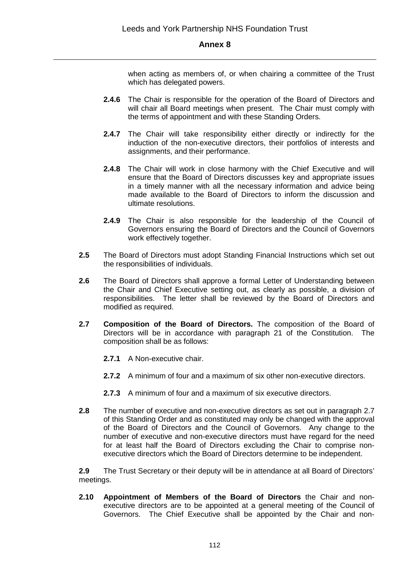when acting as members of, or when chairing a committee of the Trust which has delegated powers.

- **2.4.6** The Chair is responsible for the operation of the Board of Directors and will chair all Board meetings when present. The Chair must comply with the terms of appointment and with these Standing Orders.
- **2.4.7** The Chair will take responsibility either directly or indirectly for the induction of the non-executive directors, their portfolios of interests and assignments, and their performance.
- **2.4.8** The Chair will work in close harmony with the Chief Executive and will ensure that the Board of Directors discusses key and appropriate issues in a timely manner with all the necessary information and advice being made available to the Board of Directors to inform the discussion and ultimate resolutions.
- **2.4.9** The Chair is also responsible for the leadership of the Council of Governors ensuring the Board of Directors and the Council of Governors work effectively together.
- **2.5** The Board of Directors must adopt Standing Financial Instructions which set out the responsibilities of individuals.
- **2.6** The Board of Directors shall approve a formal Letter of Understanding between the Chair and Chief Executive setting out, as clearly as possible, a division of responsibilities. The letter shall be reviewed by the Board of Directors and modified as required.
- **2.7 Composition of the Board of Directors.** The composition of the Board of Directors will be in accordance with paragraph 21 of the Constitution. The composition shall be as follows:
	- **2.7.1** A Non-executive chair.
	- **2.7.2** A minimum of four and a maximum of six other non-executive directors.
	- **2.7.3** A minimum of four and a maximum of six executive directors.
- **2.8** The number of executive and non-executive directors as set out in paragraph 2.7 of this Standing Order and as constituted may only be changed with the approval of the Board of Directors and the Council of Governors. Any change to the number of executive and non-executive directors must have regard for the need for at least half the Board of Directors excluding the Chair to comprise nonexecutive directors which the Board of Directors determine to be independent.

**2.9** The Trust Secretary or their deputy will be in attendance at all Board of Directors' meetings.

**2.10 Appointment of Members of the Board of Directors** the Chair and nonexecutive directors are to be appointed at a general meeting of the Council of Governors. The Chief Executive shall be appointed by the Chair and non-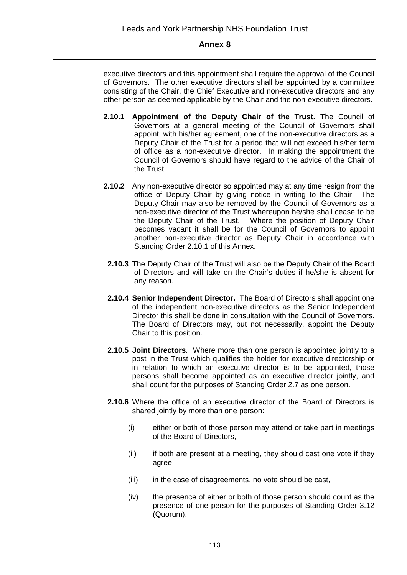executive directors and this appointment shall require the approval of the Council of Governors. The other executive directors shall be appointed by a committee consisting of the Chair, the Chief Executive and non-executive directors and any other person as deemed applicable by the Chair and the non-executive directors.

- **2.10.1 Appointment of the Deputy Chair of the Trust.** The Council of Governors at a general meeting of the Council of Governors shall appoint, with his/her agreement, one of the non-executive directors as a Deputy Chair of the Trust for a period that will not exceed his/her term of office as a non-executive director. In making the appointment the Council of Governors should have regard to the advice of the Chair of the Trust.
- **2.10.2** Any non-executive director so appointed may at any time resign from the office of Deputy Chair by giving notice in writing to the Chair. The Deputy Chair may also be removed by the Council of Governors as a non-executive director of the Trust whereupon he/she shall cease to be the Deputy Chair of the Trust. Where the position of Deputy Chair becomes vacant it shall be for the Council of Governors to appoint another non-executive director as Deputy Chair in accordance with Standing Order 2.10.1 of this Annex.
- **2.10.3** The Deputy Chair of the Trust will also be the Deputy Chair of the Board of Directors and will take on the Chair's duties if he/she is absent for any reason.
- **2.10.4 Senior Independent Director.** The Board of Directors shall appoint one of the independent non-executive directors as the Senior Independent Director this shall be done in consultation with the Council of Governors. The Board of Directors may, but not necessarily, appoint the Deputy Chair to this position.
- **2.10.5 Joint Directors**. Where more than one person is appointed jointly to a post in the Trust which qualifies the holder for executive directorship or in relation to which an executive director is to be appointed, those persons shall become appointed as an executive director jointly, and shall count for the purposes of Standing Order 2.7 as one person.
- **2.10.6** Where the office of an executive director of the Board of Directors is shared jointly by more than one person:
	- (i) either or both of those person may attend or take part in meetings of the Board of Directors,
	- (ii) if both are present at a meeting, they should cast one vote if they agree,
	- (iii) in the case of disagreements, no vote should be cast,
	- (iv) the presence of either or both of those person should count as the presence of one person for the purposes of Standing Order 3.12 (Quorum).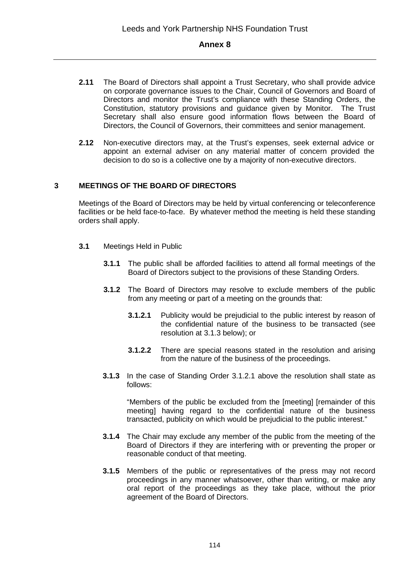- **2.11** The Board of Directors shall appoint a Trust Secretary, who shall provide advice on corporate governance issues to the Chair, Council of Governors and Board of Directors and monitor the Trust's compliance with these Standing Orders, the Constitution, statutory provisions and guidance given by Monitor. The Trust Secretary shall also ensure good information flows between the Board of Directors, the Council of Governors, their committees and senior management.
- **2.12** Non-executive directors may, at the Trust's expenses, seek external advice or appoint an external adviser on any material matter of concern provided the decision to do so is a collective one by a majority of non-executive directors.

#### **3 MEETINGS OF THE BOARD OF DIRECTORS**

Meetings of the Board of Directors may be held by virtual conferencing or teleconference facilities or be held face-to-face. By whatever method the meeting is held these standing orders shall apply.

- **3.1** Meetings Held in Public
	- **3.1.1** The public shall be afforded facilities to attend all formal meetings of the Board of Directors subject to the provisions of these Standing Orders.
	- **3.1.2** The Board of Directors may resolve to exclude members of the public from any meeting or part of a meeting on the grounds that:
		- **3.1.2.1** Publicity would be prejudicial to the public interest by reason of the confidential nature of the business to be transacted (see resolution at 3.1.3 below); or
		- **3.1.2.2** There are special reasons stated in the resolution and arising from the nature of the business of the proceedings.
	- **3.1.3** In the case of Standing Order 3.1.2.1 above the resolution shall state as follows:

"Members of the public be excluded from the [meeting] [remainder of this meeting] having regard to the confidential nature of the business transacted, publicity on which would be prejudicial to the public interest."

- **3.1.4** The Chair may exclude any member of the public from the meeting of the Board of Directors if they are interfering with or preventing the proper or reasonable conduct of that meeting.
- **3.1.5** Members of the public or representatives of the press may not record proceedings in any manner whatsoever, other than writing, or make any oral report of the proceedings as they take place, without the prior agreement of the Board of Directors.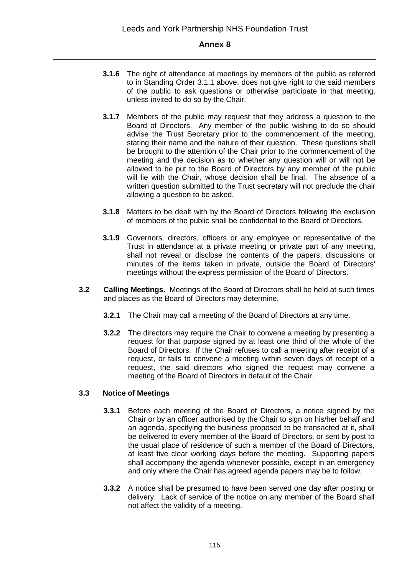- **3.1.6** The right of attendance at meetings by members of the public as referred to in Standing Order 3.1.1 above, does not give right to the said members of the public to ask questions or otherwise participate in that meeting, unless invited to do so by the Chair.
- **3.1.7** Members of the public may request that they address a question to the Board of Directors. Any member of the public wishing to do so should advise the Trust Secretary prior to the commencement of the meeting, stating their name and the nature of their question. These questions shall be brought to the attention of the Chair prior to the commencement of the meeting and the decision as to whether any question will or will not be allowed to be put to the Board of Directors by any member of the public will lie with the Chair, whose decision shall be final. The absence of a written question submitted to the Trust secretary will not preclude the chair allowing a question to be asked.
- **3.1.8** Matters to be dealt with by the Board of Directors following the exclusion of members of the public shall be confidential to the Board of Directors.
- **3.1.9** Governors, directors, officers or any employee or representative of the Trust in attendance at a private meeting or private part of any meeting, shall not reveal or disclose the contents of the papers, discussions or minutes of the items taken in private, outside the Board of Directors' meetings without the express permission of the Board of Directors.
- **3.2 Calling Meetings.** Meetings of the Board of Directors shall be held at such times and places as the Board of Directors may determine.
	- **3.2.1** The Chair may call a meeting of the Board of Directors at any time.
	- **3.2.2** The directors may require the Chair to convene a meeting by presenting a request for that purpose signed by at least one third of the whole of the Board of Directors. If the Chair refuses to call a meeting after receipt of a request, or fails to convene a meeting within seven days of receipt of a request, the said directors who signed the request may convene a meeting of the Board of Directors in default of the Chair.

## **3.3 Notice of Meetings**

- **3.3.1** Before each meeting of the Board of Directors, a notice signed by the Chair or by an officer authorised by the Chair to sign on his/her behalf and an agenda, specifying the business proposed to be transacted at it, shall be delivered to every member of the Board of Directors, or sent by post to the usual place of residence of such a member of the Board of Directors, at least five clear working days before the meeting. Supporting papers shall accompany the agenda whenever possible, except in an emergency and only where the Chair has agreed agenda papers may be to follow.
- **3.3.2** A notice shall be presumed to have been served one day after posting or delivery. Lack of service of the notice on any member of the Board shall not affect the validity of a meeting.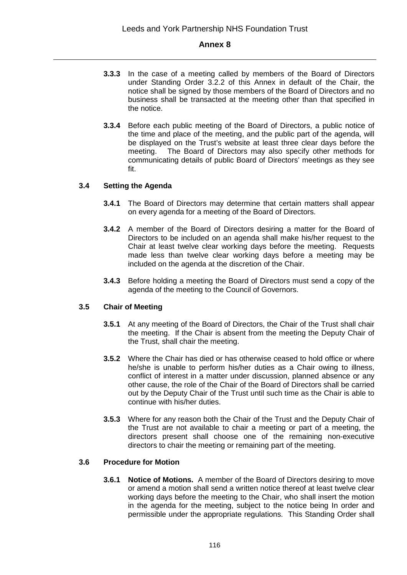- **3.3.3** In the case of a meeting called by members of the Board of Directors under Standing Order 3.2.2 of this Annex in default of the Chair, the notice shall be signed by those members of the Board of Directors and no business shall be transacted at the meeting other than that specified in the notice.
- **3.3.4** Before each public meeting of the Board of Directors, a public notice of the time and place of the meeting, and the public part of the agenda, will be displayed on the Trust's website at least three clear days before the meeting. The Board of Directors may also specify other methods for communicating details of public Board of Directors' meetings as they see fit.

# **3.4 Setting the Agenda**

- **3.4.1** The Board of Directors may determine that certain matters shall appear on every agenda for a meeting of the Board of Directors.
- **3.4.2** A member of the Board of Directors desiring a matter for the Board of Directors to be included on an agenda shall make his/her request to the Chair at least twelve clear working days before the meeting. Requests made less than twelve clear working days before a meeting may be included on the agenda at the discretion of the Chair.
- **3.4.3** Before holding a meeting the Board of Directors must send a copy of the agenda of the meeting to the Council of Governors.

## **3.5 Chair of Meeting**

- **3.5.1** At any meeting of the Board of Directors, the Chair of the Trust shall chair the meeting. If the Chair is absent from the meeting the Deputy Chair of the Trust, shall chair the meeting.
- **3.5.2** Where the Chair has died or has otherwise ceased to hold office or where he/she is unable to perform his/her duties as a Chair owing to illness, conflict of interest in a matter under discussion, planned absence or any other cause, the role of the Chair of the Board of Directors shall be carried out by the Deputy Chair of the Trust until such time as the Chair is able to continue with his/her duties.
- **3.5.3** Where for any reason both the Chair of the Trust and the Deputy Chair of the Trust are not available to chair a meeting or part of a meeting, the directors present shall choose one of the remaining non-executive directors to chair the meeting or remaining part of the meeting.

## **3.6 Procedure for Motion**

**3.6.1 Notice of Motions.** A member of the Board of Directors desiring to move or amend a motion shall send a written notice thereof at least twelve clear working days before the meeting to the Chair, who shall insert the motion in the agenda for the meeting, subject to the notice being In order and permissible under the appropriate regulations. This Standing Order shall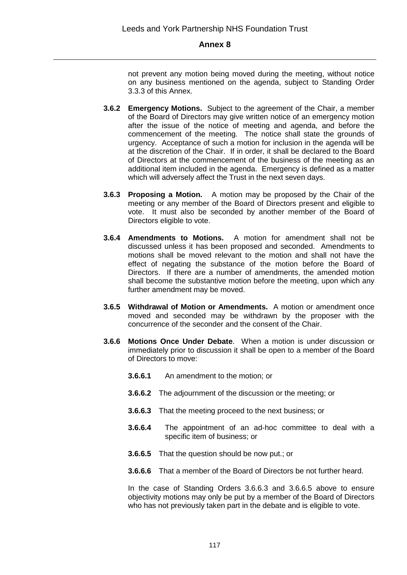not prevent any motion being moved during the meeting, without notice on any business mentioned on the agenda, subject to Standing Order 3.3.3 of this Annex.

- **3.6.2 Emergency Motions.** Subject to the agreement of the Chair, a member of the Board of Directors may give written notice of an emergency motion after the issue of the notice of meeting and agenda, and before the commencement of the meeting. The notice shall state the grounds of urgency. Acceptance of such a motion for inclusion in the agenda will be at the discretion of the Chair. If in order, it shall be declared to the Board of Directors at the commencement of the business of the meeting as an additional item included in the agenda. Emergency is defined as a matter which will adversely affect the Trust in the next seven days.
- **3.6.3 Proposing a Motion.** A motion may be proposed by the Chair of the meeting or any member of the Board of Directors present and eligible to vote. It must also be seconded by another member of the Board of Directors eligible to vote.
- **3.6.4 Amendments to Motions.** A motion for amendment shall not be discussed unless it has been proposed and seconded. Amendments to motions shall be moved relevant to the motion and shall not have the effect of negating the substance of the motion before the Board of Directors. If there are a number of amendments, the amended motion shall become the substantive motion before the meeting, upon which any further amendment may be moved.
- **3.6.5 Withdrawal of Motion or Amendments.** A motion or amendment once moved and seconded may be withdrawn by the proposer with the concurrence of the seconder and the consent of the Chair.
- **3.6.6 Motions Once Under Debate**. When a motion is under discussion or immediately prior to discussion it shall be open to a member of the Board of Directors to move:
	- **3.6.6.1** An amendment to the motion; or
	- **3.6.6.2** The adjournment of the discussion or the meeting; or
	- **3.6.6.3** That the meeting proceed to the next business; or
	- **3.6.6.4** The appointment of an ad-hoc committee to deal with a specific item of business; or
	- **3.6.6.5** That the question should be now put.; or
	- **3.6.6.6** That a member of the Board of Directors be not further heard.

In the case of Standing Orders 3.6.6.3 and 3.6.6.5 above to ensure objectivity motions may only be put by a member of the Board of Directors who has not previously taken part in the debate and is eligible to vote.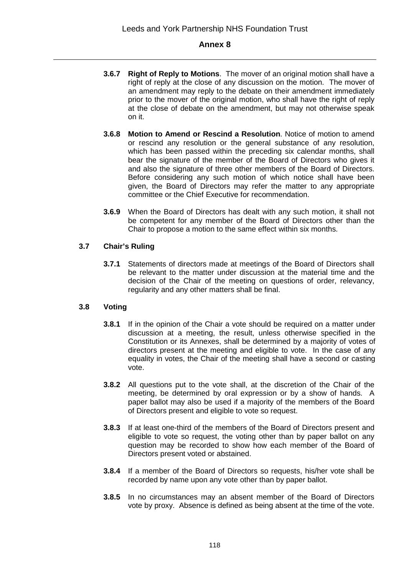- **3.6.7 Right of Reply to Motions**. The mover of an original motion shall have a right of reply at the close of any discussion on the motion. The mover of an amendment may reply to the debate on their amendment immediately prior to the mover of the original motion, who shall have the right of reply at the close of debate on the amendment, but may not otherwise speak on it.
- **3.6.8 Motion to Amend or Rescind a Resolution**. Notice of motion to amend or rescind any resolution or the general substance of any resolution, which has been passed within the preceding six calendar months, shall bear the signature of the member of the Board of Directors who gives it and also the signature of three other members of the Board of Directors. Before considering any such motion of which notice shall have been given, the Board of Directors may refer the matter to any appropriate committee or the Chief Executive for recommendation.
- **3.6.9** When the Board of Directors has dealt with any such motion, it shall not be competent for any member of the Board of Directors other than the Chair to propose a motion to the same effect within six months.

# **3.7 Chair's Ruling**

**3.7.1** Statements of directors made at meetings of the Board of Directors shall be relevant to the matter under discussion at the material time and the decision of the Chair of the meeting on questions of order, relevancy, regularity and any other matters shall be final.

## **3.8 Voting**

- **3.8.1** If in the opinion of the Chair a vote should be required on a matter under discussion at a meeting, the result, unless otherwise specified in the Constitution or its Annexes, shall be determined by a majority of votes of directors present at the meeting and eligible to vote. In the case of any equality in votes, the Chair of the meeting shall have a second or casting vote.
- **3.8.2** All questions put to the vote shall, at the discretion of the Chair of the meeting, be determined by oral expression or by a show of hands. A paper ballot may also be used if a majority of the members of the Board of Directors present and eligible to vote so request.
- **3.8.3** If at least one-third of the members of the Board of Directors present and eligible to vote so request, the voting other than by paper ballot on any question may be recorded to show how each member of the Board of Directors present voted or abstained.
- **3.8.4** If a member of the Board of Directors so requests, his/her vote shall be recorded by name upon any vote other than by paper ballot.
- **3.8.5** In no circumstances may an absent member of the Board of Directors vote by proxy. Absence is defined as being absent at the time of the vote.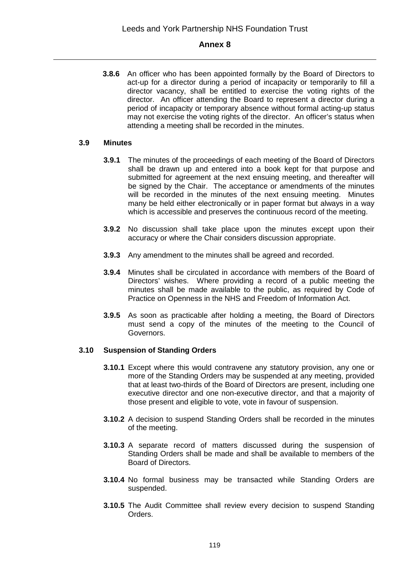**3.8.6** An officer who has been appointed formally by the Board of Directors to act-up for a director during a period of incapacity or temporarily to fill a director vacancy, shall be entitled to exercise the voting rights of the director. An officer attending the Board to represent a director during a period of incapacity or temporary absence without formal acting-up status may not exercise the voting rights of the director. An officer's status when attending a meeting shall be recorded in the minutes.

#### **3.9 Minutes**

- **3.9.1** The minutes of the proceedings of each meeting of the Board of Directors shall be drawn up and entered into a book kept for that purpose and submitted for agreement at the next ensuing meeting, and thereafter will be signed by the Chair. The acceptance or amendments of the minutes will be recorded in the minutes of the next ensuing meeting. Minutes many be held either electronically or in paper format but always in a way which is accessible and preserves the continuous record of the meeting.
- **3.9.2** No discussion shall take place upon the minutes except upon their accuracy or where the Chair considers discussion appropriate.
- **3.9.3** Any amendment to the minutes shall be agreed and recorded.
- **3.9.4** Minutes shall be circulated in accordance with members of the Board of Directors' wishes. Where providing a record of a public meeting the minutes shall be made available to the public, as required by Code of Practice on Openness in the NHS and Freedom of Information Act.
- **3.9.5** As soon as practicable after holding a meeting, the Board of Directors must send a copy of the minutes of the meeting to the Council of Governors.

## **3.10 Suspension of Standing Orders**

- **3.10.1** Except where this would contravene any statutory provision, any one or more of the Standing Orders may be suspended at any meeting, provided that at least two-thirds of the Board of Directors are present, including one executive director and one non-executive director, and that a majority of those present and eligible to vote, vote in favour of suspension.
- **3.10.2** A decision to suspend Standing Orders shall be recorded in the minutes of the meeting.
- **3.10.3** A separate record of matters discussed during the suspension of Standing Orders shall be made and shall be available to members of the Board of Directors.
- **3.10.4** No formal business may be transacted while Standing Orders are suspended.
- **3.10.5** The Audit Committee shall review every decision to suspend Standing Orders.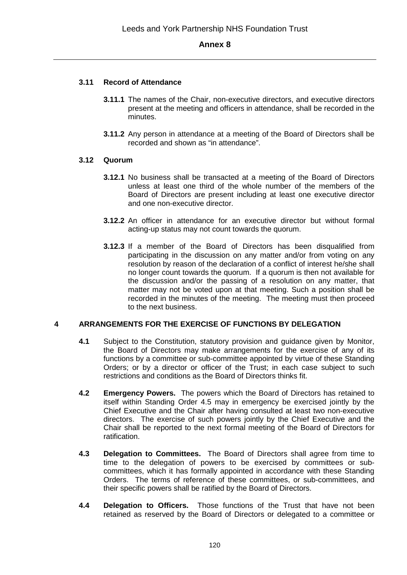# **3.11 Record of Attendance**

- **3.11.1** The names of the Chair, non-executive directors, and executive directors present at the meeting and officers in attendance, shall be recorded in the minutes.
- **3.11.2** Any person in attendance at a meeting of the Board of Directors shall be recorded and shown as "in attendance".

# **3.12 Quorum**

- **3.12.1** No business shall be transacted at a meeting of the Board of Directors unless at least one third of the whole number of the members of the Board of Directors are present including at least one executive director and one non-executive director.
- **3.12.2** An officer in attendance for an executive director but without formal acting-up status may not count towards the quorum.
- **3.12.3** If a member of the Board of Directors has been disqualified from participating in the discussion on any matter and/or from voting on any resolution by reason of the declaration of a conflict of interest he/she shall no longer count towards the quorum. If a quorum is then not available for the discussion and/or the passing of a resolution on any matter, that matter may not be voted upon at that meeting. Such a position shall be recorded in the minutes of the meeting. The meeting must then proceed to the next business.

## **4 ARRANGEMENTS FOR THE EXERCISE OF FUNCTIONS BY DELEGATION**

- **4.1** Subject to the Constitution, statutory provision and guidance given by Monitor, the Board of Directors may make arrangements for the exercise of any of its functions by a committee or sub-committee appointed by virtue of these Standing Orders; or by a director or officer of the Trust; in each case subject to such restrictions and conditions as the Board of Directors thinks fit.
- **4.2 Emergency Powers.** The powers which the Board of Directors has retained to itself within Standing Order 4.5 may in emergency be exercised jointly by the Chief Executive and the Chair after having consulted at least two non-executive directors. The exercise of such powers jointly by the Chief Executive and the Chair shall be reported to the next formal meeting of the Board of Directors for ratification.
- **4.3 Delegation to Committees.** The Board of Directors shall agree from time to time to the delegation of powers to be exercised by committees or subcommittees, which it has formally appointed in accordance with these Standing Orders. The terms of reference of these committees, or sub-committees, and their specific powers shall be ratified by the Board of Directors.
- **4.4 Delegation to Officers.** Those functions of the Trust that have not been retained as reserved by the Board of Directors or delegated to a committee or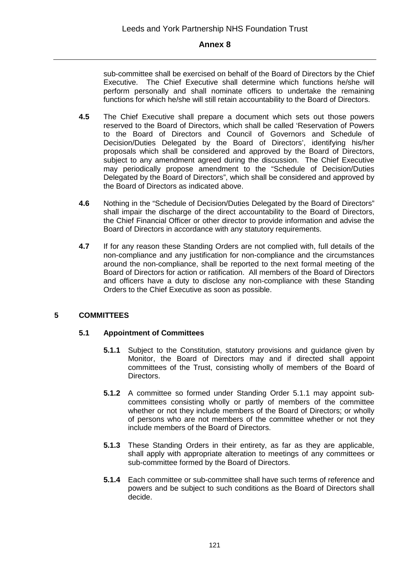sub-committee shall be exercised on behalf of the Board of Directors by the Chief Executive. The Chief Executive shall determine which functions he/she will perform personally and shall nominate officers to undertake the remaining functions for which he/she will still retain accountability to the Board of Directors.

- **4.5** The Chief Executive shall prepare a document which sets out those powers reserved to the Board of Directors, which shall be called 'Reservation of Powers to the Board of Directors and Council of Governors and Schedule of Decision/Duties Delegated by the Board of Directors', identifying his/her proposals which shall be considered and approved by the Board of Directors, subject to any amendment agreed during the discussion. The Chief Executive may periodically propose amendment to the "Schedule of Decision/Duties Delegated by the Board of Directors", which shall be considered and approved by the Board of Directors as indicated above.
- **4.6** Nothing in the "Schedule of Decision/Duties Delegated by the Board of Directors" shall impair the discharge of the direct accountability to the Board of Directors, the Chief Financial Officer or other director to provide information and advise the Board of Directors in accordance with any statutory requirements.
- **4.7** If for any reason these Standing Orders are not complied with, full details of the non-compliance and any justification for non-compliance and the circumstances around the non-compliance, shall be reported to the next formal meeting of the Board of Directors for action or ratification. All members of the Board of Directors and officers have a duty to disclose any non-compliance with these Standing Orders to the Chief Executive as soon as possible.

# **5 COMMITTEES**

## **5.1 Appointment of Committees**

- **5.1.1** Subject to the Constitution, statutory provisions and guidance given by Monitor, the Board of Directors may and if directed shall appoint committees of the Trust, consisting wholly of members of the Board of Directors.
- **5.1.2** A committee so formed under Standing Order 5.1.1 may appoint subcommittees consisting wholly or partly of members of the committee whether or not they include members of the Board of Directors; or wholly of persons who are not members of the committee whether or not they include members of the Board of Directors.
- **5.1.3** These Standing Orders in their entirety, as far as they are applicable, shall apply with appropriate alteration to meetings of any committees or sub-committee formed by the Board of Directors.
- **5.1.4** Each committee or sub-committee shall have such terms of reference and powers and be subject to such conditions as the Board of Directors shall decide.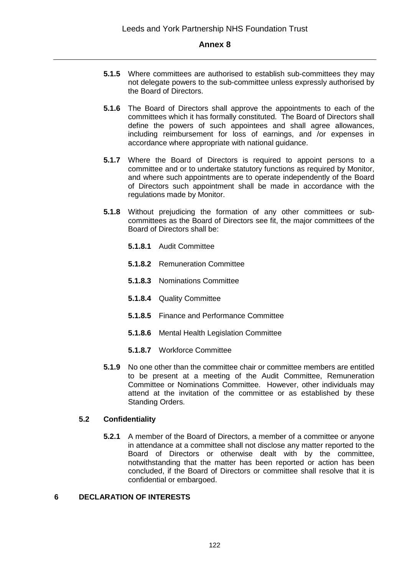- **5.1.5** Where committees are authorised to establish sub-committees they may not delegate powers to the sub-committee unless expressly authorised by the Board of Directors.
- **5.1.6** The Board of Directors shall approve the appointments to each of the committees which it has formally constituted. The Board of Directors shall define the powers of such appointees and shall agree allowances, including reimbursement for loss of earnings, and /or expenses in accordance where appropriate with national guidance.
- **5.1.7** Where the Board of Directors is required to appoint persons to a committee and or to undertake statutory functions as required by Monitor, and where such appointments are to operate independently of the Board of Directors such appointment shall be made in accordance with the regulations made by Monitor.
- **5.1.8** Without prejudicing the formation of any other committees or subcommittees as the Board of Directors see fit, the major committees of the Board of Directors shall be:
	- **5.1.8.1** Audit Committee
	- **5.1.8.2** Remuneration Committee
	- **5.1.8.3** Nominations Committee
	- **5.1.8.4** Quality Committee
	- **5.1.8.5** Finance and Performance Committee
	- **5.1.8.6** Mental Health Legislation Committee
	- **5.1.8.7** Workforce Committee
- **5.1.9** No one other than the committee chair or committee members are entitled to be present at a meeting of the Audit Committee, Remuneration Committee or Nominations Committee. However, other individuals may attend at the invitation of the committee or as established by these Standing Orders.

## **5.2 Confidentiality**

**5.2.1** A member of the Board of Directors, a member of a committee or anyone in attendance at a committee shall not disclose any matter reported to the Board of Directors or otherwise dealt with by the committee, notwithstanding that the matter has been reported or action has been concluded, if the Board of Directors or committee shall resolve that it is confidential or embargoed.

#### **6 DECLARATION OF INTERESTS**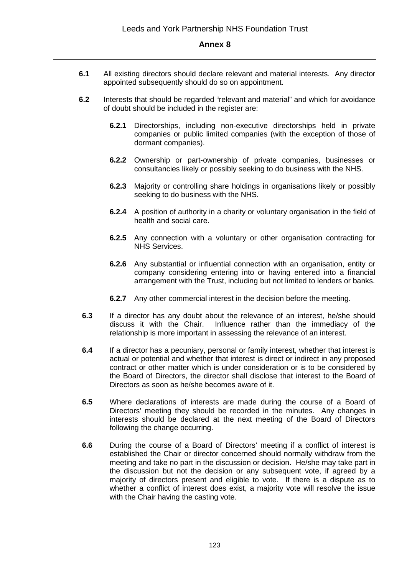- **6.1** All existing directors should declare relevant and material interests. Any director appointed subsequently should do so on appointment.
- **6.2** Interests that should be regarded "relevant and material" and which for avoidance of doubt should be included in the register are:
	- **6.2.1** Directorships, including non-executive directorships held in private companies or public limited companies (with the exception of those of dormant companies).
	- **6.2.2** Ownership or part-ownership of private companies, businesses or consultancies likely or possibly seeking to do business with the NHS.
	- **6.2.3** Majority or controlling share holdings in organisations likely or possibly seeking to do business with the NHS.
	- **6.2.4** A position of authority in a charity or voluntary organisation in the field of health and social care.
	- **6.2.5** Any connection with a voluntary or other organisation contracting for NHS Services.
	- **6.2.6** Any substantial or influential connection with an organisation, entity or company considering entering into or having entered into a financial arrangement with the Trust, including but not limited to lenders or banks.
	- **6.2.7** Any other commercial interest in the decision before the meeting.
- **6.3** If a director has any doubt about the relevance of an interest, he/she should discuss it with the Chair. Influence rather than the immediacy of the relationship is more important in assessing the relevance of an interest.
- **6.4** If a director has a pecuniary, personal or family interest, whether that interest is actual or potential and whether that interest is direct or indirect in any proposed contract or other matter which is under consideration or is to be considered by the Board of Directors, the director shall disclose that interest to the Board of Directors as soon as he/she becomes aware of it.
- **6.5** Where declarations of interests are made during the course of a Board of Directors' meeting they should be recorded in the minutes. Any changes in interests should be declared at the next meeting of the Board of Directors following the change occurring.
- **6.6** During the course of a Board of Directors' meeting if a conflict of interest is established the Chair or director concerned should normally withdraw from the meeting and take no part in the discussion or decision. He/she may take part in the discussion but not the decision or any subsequent vote, if agreed by a majority of directors present and eligible to vote. If there is a dispute as to whether a conflict of interest does exist, a majority vote will resolve the issue with the Chair having the casting vote.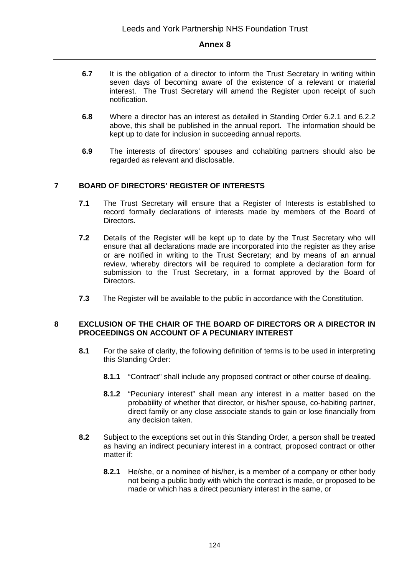- **6.7** It is the obligation of a director to inform the Trust Secretary in writing within seven days of becoming aware of the existence of a relevant or material interest. The Trust Secretary will amend the Register upon receipt of such notification.
- **6.8** Where a director has an interest as detailed in Standing Order 6.2.1 and 6.2.2 above, this shall be published in the annual report. The information should be kept up to date for inclusion in succeeding annual reports.
- **6.9** The interests of directors' spouses and cohabiting partners should also be regarded as relevant and disclosable.

# **7 BOARD OF DIRECTORS' REGISTER OF INTERESTS**

- **7.1** The Trust Secretary will ensure that a Register of Interests is established to record formally declarations of interests made by members of the Board of Directors.
- **7.2** Details of the Register will be kept up to date by the Trust Secretary who will ensure that all declarations made are incorporated into the register as they arise or are notified in writing to the Trust Secretary; and by means of an annual review, whereby directors will be required to complete a declaration form for submission to the Trust Secretary, in a format approved by the Board of Directors.
- **7.3** The Register will be available to the public in accordance with the Constitution.

## **8 EXCLUSION OF THE CHAIR OF THE BOARD OF DIRECTORS OR A DIRECTOR IN PROCEEDINGS ON ACCOUNT OF A PECUNIARY INTEREST**

- **8.1** For the sake of clarity, the following definition of terms is to be used in interpreting this Standing Order:
	- **8.1.1** "Contract" shall include any proposed contract or other course of dealing.
	- **8.1.2** "Pecuniary interest" shall mean any interest in a matter based on the probability of whether that director, or his/her spouse, co-habiting partner, direct family or any close associate stands to gain or lose financially from any decision taken.
- **8.2** Subject to the exceptions set out in this Standing Order, a person shall be treated as having an indirect pecuniary interest in a contract, proposed contract or other matter if:
	- **8.2.1** He/she, or a nominee of his/her, is a member of a company or other body not being a public body with which the contract is made, or proposed to be made or which has a direct pecuniary interest in the same, or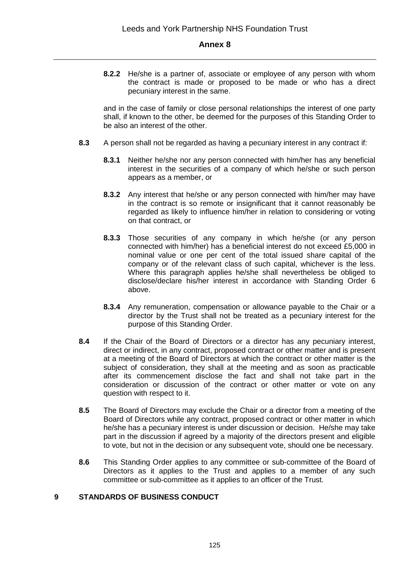**8.2.2** He/she is a partner of, associate or employee of any person with whom the contract is made or proposed to be made or who has a direct pecuniary interest in the same.

and in the case of family or close personal relationships the interest of one party shall, if known to the other, be deemed for the purposes of this Standing Order to be also an interest of the other.

- **8.3** A person shall not be regarded as having a pecuniary interest in any contract if:
	- **8.3.1** Neither he/she nor any person connected with him/her has any beneficial interest in the securities of a company of which he/she or such person appears as a member, or
	- **8.3.2** Any interest that he/she or any person connected with him/her may have in the contract is so remote or insignificant that it cannot reasonably be regarded as likely to influence him/her in relation to considering or voting on that contract, or
	- **8.3.3** Those securities of any company in which he/she (or any person connected with him/her) has a beneficial interest do not exceed £5,000 in nominal value or one per cent of the total issued share capital of the company or of the relevant class of such capital, whichever is the less. Where this paragraph applies he/she shall nevertheless be obliged to disclose/declare his/her interest in accordance with Standing Order 6 above.
	- **8.3.4** Any remuneration, compensation or allowance payable to the Chair or a director by the Trust shall not be treated as a pecuniary interest for the purpose of this Standing Order.
- **8.4** If the Chair of the Board of Directors or a director has any pecuniary interest, direct or indirect, in any contract, proposed contract or other matter and is present at a meeting of the Board of Directors at which the contract or other matter is the subject of consideration, they shall at the meeting and as soon as practicable after its commencement disclose the fact and shall not take part in the consideration or discussion of the contract or other matter or vote on any question with respect to it.
- **8.5** The Board of Directors may exclude the Chair or a director from a meeting of the Board of Directors while any contract, proposed contract or other matter in which he/she has a pecuniary interest is under discussion or decision. He/she may take part in the discussion if agreed by a majority of the directors present and eligible to vote, but not in the decision or any subsequent vote, should one be necessary.
- **8.6** This Standing Order applies to any committee or sub-committee of the Board of Directors as it applies to the Trust and applies to a member of any such committee or sub-committee as it applies to an officer of the Trust.

#### **9 STANDARDS OF BUSINESS CONDUCT**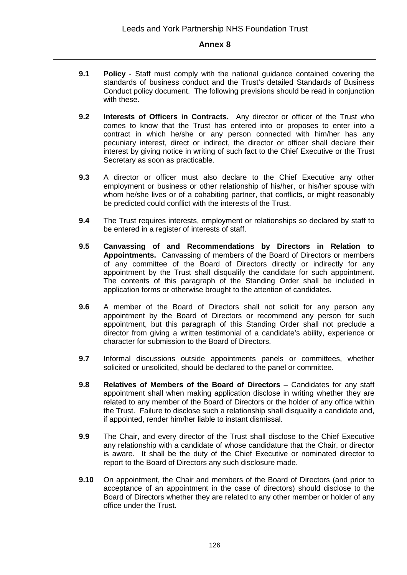- **9.1 Policy**  Staff must comply with the national guidance contained covering the standards of business conduct and the Trust's detailed Standards of Business Conduct policy document. The following previsions should be read in conjunction with these.
- **9.2 Interests of Officers in Contracts.** Any director or officer of the Trust who comes to know that the Trust has entered into or proposes to enter into a contract in which he/she or any person connected with him/her has any pecuniary interest, direct or indirect, the director or officer shall declare their interest by giving notice in writing of such fact to the Chief Executive or the Trust Secretary as soon as practicable.
- **9.3** A director or officer must also declare to the Chief Executive any other employment or business or other relationship of his/her, or his/her spouse with whom he/she lives or of a cohabiting partner, that conflicts, or might reasonably be predicted could conflict with the interests of the Trust.
- **9.4** The Trust requires interests, employment or relationships so declared by staff to be entered in a register of interests of staff.
- **9.5 Canvassing of and Recommendations by Directors in Relation to Appointments.** Canvassing of members of the Board of Directors or members of any committee of the Board of Directors directly or indirectly for any appointment by the Trust shall disqualify the candidate for such appointment. The contents of this paragraph of the Standing Order shall be included in application forms or otherwise brought to the attention of candidates.
- **9.6** A member of the Board of Directors shall not solicit for any person any appointment by the Board of Directors or recommend any person for such appointment, but this paragraph of this Standing Order shall not preclude a director from giving a written testimonial of a candidate's ability, experience or character for submission to the Board of Directors.
- **9.7** Informal discussions outside appointments panels or committees, whether solicited or unsolicited, should be declared to the panel or committee.
- **9.8 Relatives of Members of the Board of Directors** Candidates for any staff appointment shall when making application disclose in writing whether they are related to any member of the Board of Directors or the holder of any office within the Trust. Failure to disclose such a relationship shall disqualify a candidate and, if appointed, render him/her liable to instant dismissal.
- **9.9** The Chair, and every director of the Trust shall disclose to the Chief Executive any relationship with a candidate of whose candidature that the Chair, or director is aware. It shall be the duty of the Chief Executive or nominated director to report to the Board of Directors any such disclosure made.
- **9.10** On appointment, the Chair and members of the Board of Directors (and prior to acceptance of an appointment in the case of directors) should disclose to the Board of Directors whether they are related to any other member or holder of any office under the Trust.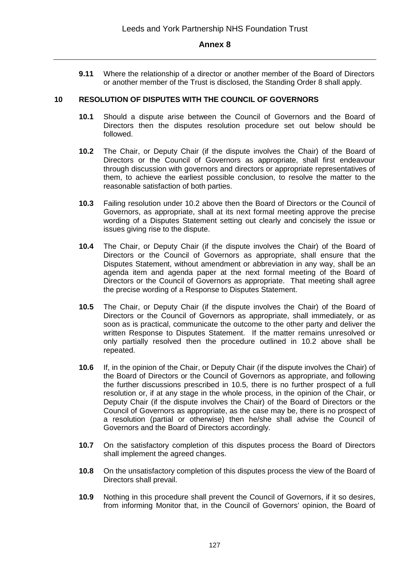**9.11** Where the relationship of a director or another member of the Board of Directors or another member of the Trust is disclosed, the Standing Order 8 shall apply.

#### **10 RESOLUTION OF DISPUTES WITH THE COUNCIL OF GOVERNORS**

- **10.1** Should a dispute arise between the Council of Governors and the Board of Directors then the disputes resolution procedure set out below should be followed.
- **10.2** The Chair, or Deputy Chair (if the dispute involves the Chair) of the Board of Directors or the Council of Governors as appropriate, shall first endeavour through discussion with governors and directors or appropriate representatives of them, to achieve the earliest possible conclusion, to resolve the matter to the reasonable satisfaction of both parties.
- **10.3** Failing resolution under 10.2 above then the Board of Directors or the Council of Governors, as appropriate, shall at its next formal meeting approve the precise wording of a Disputes Statement setting out clearly and concisely the issue or issues giving rise to the dispute.
- **10.4** The Chair, or Deputy Chair (if the dispute involves the Chair) of the Board of Directors or the Council of Governors as appropriate, shall ensure that the Disputes Statement, without amendment or abbreviation in any way, shall be an agenda item and agenda paper at the next formal meeting of the Board of Directors or the Council of Governors as appropriate. That meeting shall agree the precise wording of a Response to Disputes Statement.
- **10.5** The Chair, or Deputy Chair (if the dispute involves the Chair) of the Board of Directors or the Council of Governors as appropriate, shall immediately, or as soon as is practical, communicate the outcome to the other party and deliver the written Response to Disputes Statement. If the matter remains unresolved or only partially resolved then the procedure outlined in 10.2 above shall be repeated.
- **10.6** If, in the opinion of the Chair, or Deputy Chair (if the dispute involves the Chair) of the Board of Directors or the Council of Governors as appropriate, and following the further discussions prescribed in 10.5, there is no further prospect of a full resolution or, if at any stage in the whole process, in the opinion of the Chair, or Deputy Chair (if the dispute involves the Chair) of the Board of Directors or the Council of Governors as appropriate, as the case may be, there is no prospect of a resolution (partial or otherwise) then he/she shall advise the Council of Governors and the Board of Directors accordingly.
- **10.7** On the satisfactory completion of this disputes process the Board of Directors shall implement the agreed changes.
- **10.8** On the unsatisfactory completion of this disputes process the view of the Board of Directors shall prevail.
- **10.9** Nothing in this procedure shall prevent the Council of Governors, if it so desires, from informing Monitor that, in the Council of Governors' opinion, the Board of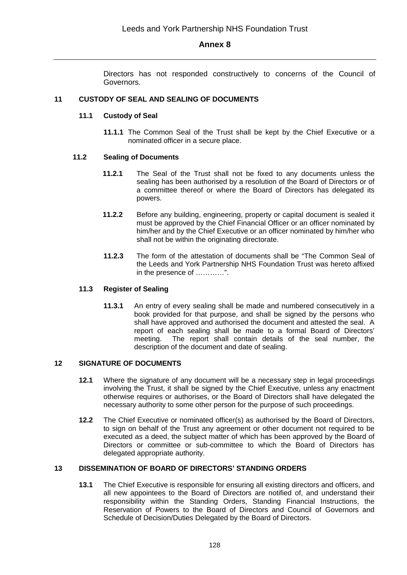Directors has not responded constructively to concerns of the Council of Governors.

#### **11 CUSTODY OF SEAL AND SEALING OF DOCUMENTS**

#### **11.1 Custody of Seal**

**11.1.1** The Common Seal of the Trust shall be kept by the Chief Executive or a nominated officer in a secure place.

#### **11.2 Sealing of Documents**

- **11.2.1** The Seal of the Trust shall not be fixed to any documents unless the sealing has been authorised by a resolution of the Board of Directors or of a committee thereof or where the Board of Directors has delegated its powers.
- **11.2.2** Before any building, engineering, property or capital document is sealed it must be approved by the Chief Financial Officer or an officer nominated by him/her and by the Chief Executive or an officer nominated by him/her who shall not be within the originating directorate.
- **11.2.3** The form of the attestation of documents shall be "The Common Seal of the Leeds and York Partnership NHS Foundation Trust was hereto affixed in the presence of …………".

#### **11.3 Register of Sealing**

**11.3.1** An entry of every sealing shall be made and numbered consecutively in a book provided for that purpose, and shall be signed by the persons who shall have approved and authorised the document and attested the seal. A report of each sealing shall be made to a formal Board of Directors' meeting. The report shall contain details of the seal number, the description of the document and date of sealing.

#### **12 SIGNATURE OF DOCUMENTS**

- **12.1** Where the signature of any document will be a necessary step in legal proceedings involving the Trust, it shall be signed by the Chief Executive, unless any enactment otherwise requires or authorises, or the Board of Directors shall have delegated the necessary authority to some other person for the purpose of such proceedings.
- **12.2** The Chief Executive or nominated officer(s) as authorised by the Board of Directors, to sign on behalf of the Trust any agreement or other document not required to be executed as a deed, the subject matter of which has been approved by the Board of Directors or committee or sub-committee to which the Board of Directors has delegated appropriate authority.

#### **13 DISSEMINATION OF BOARD OF DIRECTORS' STANDING ORDERS**

**13.1** The Chief Executive is responsible for ensuring all existing directors and officers, and all new appointees to the Board of Directors are notified of, and understand their responsibility within the Standing Orders, Standing Financial Instructions, the Reservation of Powers to the Board of Directors and Council of Governors and Schedule of Decision/Duties Delegated by the Board of Directors.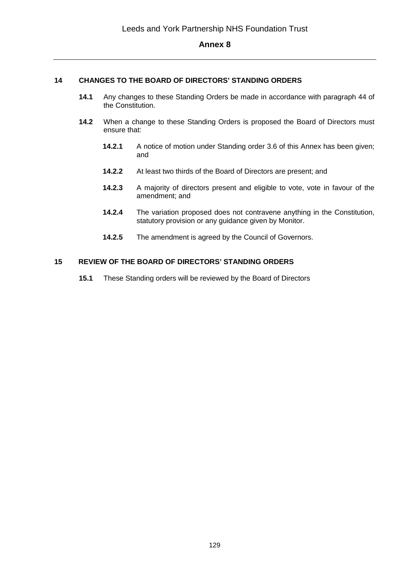#### **14 CHANGES TO THE BOARD OF DIRECTORS' STANDING ORDERS**

- **14.1** Any changes to these Standing Orders be made in accordance with paragraph 44 of the Constitution.
- **14.2** When a change to these Standing Orders is proposed the Board of Directors must ensure that:
	- **14.2.1** A notice of motion under Standing order 3.6 of this Annex has been given; and
	- **14.2.2** At least two thirds of the Board of Directors are present; and
	- **14.2.3** A majority of directors present and eligible to vote, vote in favour of the amendment; and
	- **14.2.4** The variation proposed does not contravene anything in the Constitution, statutory provision or any guidance given by Monitor.
	- **14.2.5** The amendment is agreed by the Council of Governors.

#### **15 REVIEW OF THE BOARD OF DIRECTORS' STANDING ORDERS**

**15.1** These Standing orders will be reviewed by the Board of Directors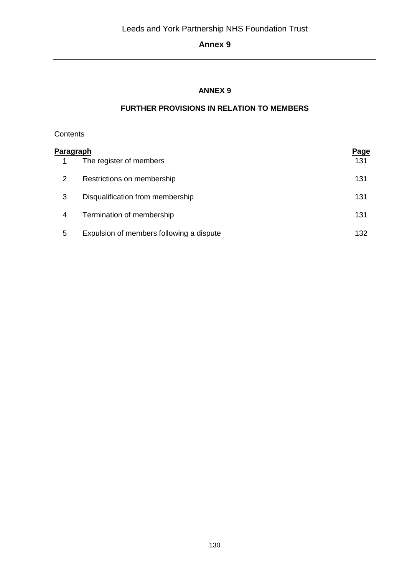# **ANNEX 9**

# **FURTHER PROVISIONS IN RELATION TO MEMBERS**

# **Contents**

| P <u>aragraph</u> |                                          | <b>Page</b> |
|-------------------|------------------------------------------|-------------|
|                   | The register of members                  | 131         |
| 2                 | Restrictions on membership               | 131         |
| 3                 | Disqualification from membership         | 131         |
| 4                 | Termination of membership                | 131         |
| 5                 | Expulsion of members following a dispute | 132         |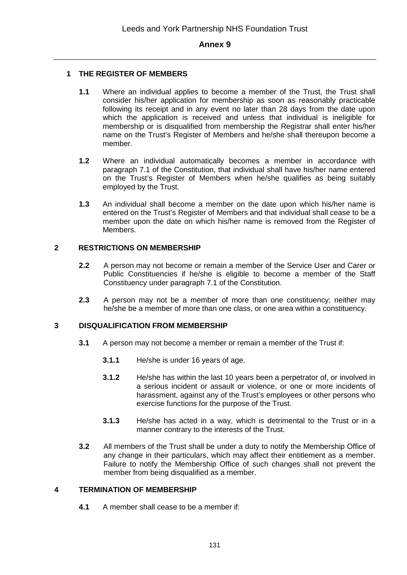## **1 THE REGISTER OF MEMBERS**

- **1.1** Where an individual applies to become a member of the Trust, the Trust shall consider his/her application for membership as soon as reasonably practicable following its receipt and in any event no later than 28 days from the date upon which the application is received and unless that individual is ineligible for membership or is disqualified from membership the Registrar shall enter his/her name on the Trust's Register of Members and he/she shall thereupon become a member.
- **1.2** Where an individual automatically becomes a member in accordance with paragraph 7.1 of the Constitution, that individual shall have his/her name entered on the Trust's Register of Members when he/she qualifies as being suitably employed by the Trust.
- **1.3** An individual shall become a member on the date upon which his/her name is entered on the Trust's Register of Members and that individual shall cease to be a member upon the date on which his/her name is removed from the Register of Members.

## **2 RESTRICTIONS ON MEMBERSHIP**

- **2.2** A person may not become or remain a member of the Service User and Carer or Public Constituencies if he/she is eligible to become a member of the Staff Constituency under paragraph 7.1 of the Constitution.
- **2.3** A person may not be a member of more than one constituency; neither may he/she be a member of more than one class, or one area within a constituency.

## **3 DISQUALIFICATION FROM MEMBERSHIP**

- **3.1** A person may not become a member or remain a member of the Trust if:
	- **3.1.1** He/she is under 16 years of age.
	- **3.1.2** He/she has within the last 10 years been a perpetrator of, or involved in a serious incident or assault or violence, or one or more incidents of harassment, against any of the Trust's employees or other persons who exercise functions for the purpose of the Trust.
	- **3.1.3** He/she has acted in a way, which is detrimental to the Trust or in a manner contrary to the interests of the Trust.
- **3.2** All members of the Trust shall be under a duty to notify the Membership Office of any change in their particulars, which may affect their entitlement as a member. Failure to notify the Membership Office of such changes shall not prevent the member from being disqualified as a member.

## **4 TERMINATION OF MEMBERSHIP**

**4.1** A member shall cease to be a member if: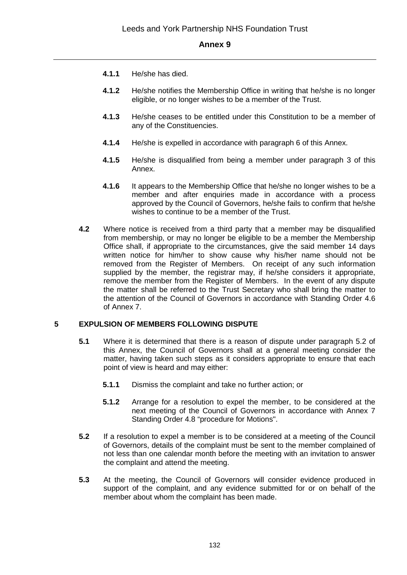- **4.1.1** He/she has died.
- **4.1.2** He/she notifies the Membership Office in writing that he/she is no longer eligible, or no longer wishes to be a member of the Trust.
- **4.1.3** He/she ceases to be entitled under this Constitution to be a member of any of the Constituencies.
- **4.1.4** He/she is expelled in accordance with paragraph 6 of this Annex.
- **4.1.5** He/she is disqualified from being a member under paragraph 3 of this Annex.
- **4.1.6** It appears to the Membership Office that he/she no longer wishes to be a member and after enquiries made in accordance with a process approved by the Council of Governors, he/she fails to confirm that he/she wishes to continue to be a member of the Trust.
- **4.2** Where notice is received from a third party that a member may be disqualified from membership, or may no longer be eligible to be a member the Membership Office shall, if appropriate to the circumstances, give the said member 14 days written notice for him/her to show cause why his/her name should not be removed from the Register of Members. On receipt of any such information supplied by the member, the registrar may, if he/she considers it appropriate, remove the member from the Register of Members. In the event of any dispute the matter shall be referred to the Trust Secretary who shall bring the matter to the attention of the Council of Governors in accordance with Standing Order 4.6 of Annex 7.

## **5 EXPULSION OF MEMBERS FOLLOWING DISPUTE**

- **5.1** Where it is determined that there is a reason of dispute under paragraph 5.2 of this Annex, the Council of Governors shall at a general meeting consider the matter, having taken such steps as it considers appropriate to ensure that each point of view is heard and may either:
	- **5.1.1** Dismiss the complaint and take no further action; or
	- **5.1.2** Arrange for a resolution to expel the member, to be considered at the next meeting of the Council of Governors in accordance with Annex 7 Standing Order 4.8 "procedure for Motions".
- **5.2** If a resolution to expel a member is to be considered at a meeting of the Council of Governors, details of the complaint must be sent to the member complained of not less than one calendar month before the meeting with an invitation to answer the complaint and attend the meeting.
- **5.3** At the meeting, the Council of Governors will consider evidence produced in support of the complaint, and any evidence submitted for or on behalf of the member about whom the complaint has been made.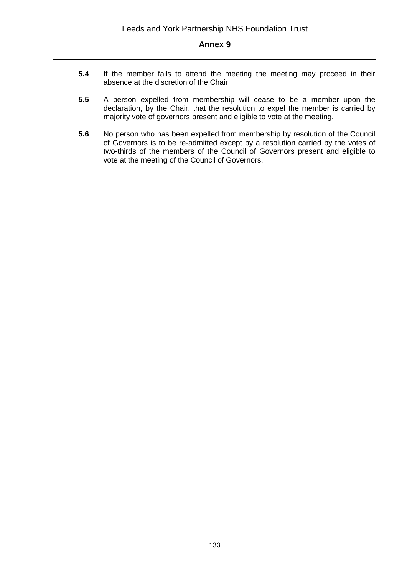- **5.4** If the member fails to attend the meeting the meeting may proceed in their absence at the discretion of the Chair.
- **5.5** A person expelled from membership will cease to be a member upon the declaration, by the Chair, that the resolution to expel the member is carried by majority vote of governors present and eligible to vote at the meeting.
- **5.6** No person who has been expelled from membership by resolution of the Council of Governors is to be re-admitted except by a resolution carried by the votes of two-thirds of the members of the Council of Governors present and eligible to vote at the meeting of the Council of Governors.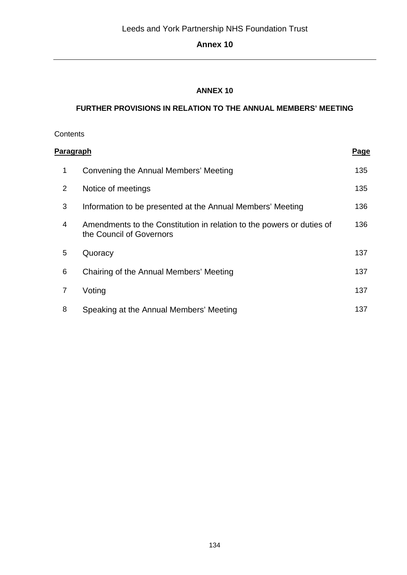# **ANNEX 10**

# **FURTHER PROVISIONS IN RELATION TO THE ANNUAL MEMBERS' MEETING**

| Contents         |                                                                                                   |             |
|------------------|---------------------------------------------------------------------------------------------------|-------------|
| <b>Paragraph</b> |                                                                                                   | <u>Page</u> |
| 1                | Convening the Annual Members' Meeting                                                             | 135         |
| 2                | Notice of meetings                                                                                | 135         |
| 3                | Information to be presented at the Annual Members' Meeting                                        | 136         |
| 4                | Amendments to the Constitution in relation to the powers or duties of<br>the Council of Governors | 136         |
| 5                | Quoracy                                                                                           | 137         |
| 6                | Chairing of the Annual Members' Meeting                                                           | 137         |
| $\overline{7}$   | Voting                                                                                            | 137         |
| 8                | Speaking at the Annual Members' Meeting                                                           | 137         |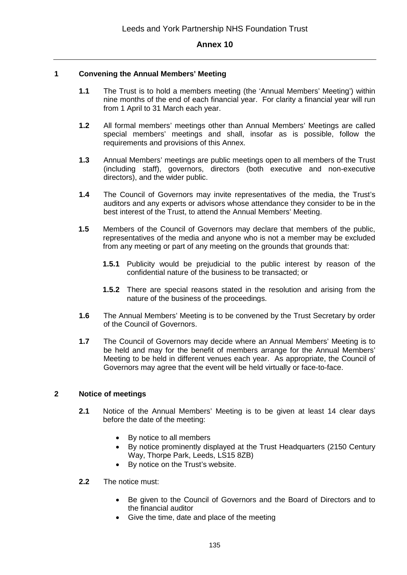#### **1 Convening the Annual Members' Meeting**

- **1.1** The Trust is to hold a members meeting (the 'Annual Members' Meeting') within nine months of the end of each financial year. For clarity a financial year will run from 1 April to 31 March each year.
- **1.2** All formal members' meetings other than Annual Members' Meetings are called special members' meetings and shall, insofar as is possible, follow the requirements and provisions of this Annex.
- **1.3** Annual Members' meetings are public meetings open to all members of the Trust (including staff), governors, directors (both executive and non-executive directors), and the wider public.
- **1.4** The Council of Governors may invite representatives of the media, the Trust's auditors and any experts or advisors whose attendance they consider to be in the best interest of the Trust, to attend the Annual Members' Meeting.
- **1.5** Members of the Council of Governors may declare that members of the public, representatives of the media and anyone who is not a member may be excluded from any meeting or part of any meeting on the grounds that grounds that:
	- **1.5.1** Publicity would be prejudicial to the public interest by reason of the confidential nature of the business to be transacted; or
	- **1.5.2** There are special reasons stated in the resolution and arising from the nature of the business of the proceedings.
- **1.6** The Annual Members' Meeting is to be convened by the Trust Secretary by order of the Council of Governors.
- **1.7** The Council of Governors may decide where an Annual Members' Meeting is to be held and may for the benefit of members arrange for the Annual Members' Meeting to be held in different venues each year. As appropriate, the Council of Governors may agree that the event will be held virtually or face-to-face.

#### **2 Notice of meetings**

- **2.1** Notice of the Annual Members' Meeting is to be given at least 14 clear days before the date of the meeting:
	- By notice to all members
	- By notice prominently displayed at the Trust Headquarters (2150 Century Way, Thorpe Park, Leeds, LS15 8ZB)
	- By notice on the Trust's website.

#### **2.2** The notice must:

- Be given to the Council of Governors and the Board of Directors and to the financial auditor
- Give the time, date and place of the meeting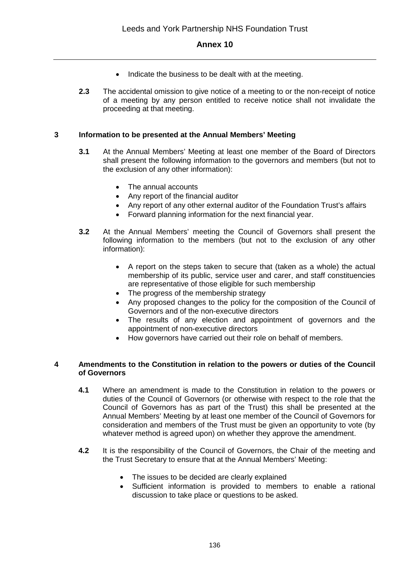- Indicate the business to be dealt with at the meeting.
- **2.3** The accidental omission to give notice of a meeting to or the non-receipt of notice of a meeting by any person entitled to receive notice shall not invalidate the proceeding at that meeting.

## **3 Information to be presented at the Annual Members' Meeting**

- **3.1** At the Annual Members' Meeting at least one member of the Board of Directors shall present the following information to the governors and members (but not to the exclusion of any other information):
	- The annual accounts
	- Any report of the financial auditor
	- Any report of any other external auditor of the Foundation Trust's affairs
	- Forward planning information for the next financial year.
- **3.2** At the Annual Members' meeting the Council of Governors shall present the following information to the members (but not to the exclusion of any other information):
	- A report on the steps taken to secure that (taken as a whole) the actual membership of its public, service user and carer, and staff constituencies are representative of those eligible for such membership
	- The progress of the membership strategy
	- Any proposed changes to the policy for the composition of the Council of Governors and of the non-executive directors
	- The results of any election and appointment of governors and the appointment of non-executive directors
	- How governors have carried out their role on behalf of members.

#### **4 Amendments to the Constitution in relation to the powers or duties of the Council of Governors**

- **4.1** Where an amendment is made to the Constitution in relation to the powers or duties of the Council of Governors (or otherwise with respect to the role that the Council of Governors has as part of the Trust) this shall be presented at the Annual Members' Meeting by at least one member of the Council of Governors for consideration and members of the Trust must be given an opportunity to vote (by whatever method is agreed upon) on whether they approve the amendment.
- **4.2** It is the responsibility of the Council of Governors, the Chair of the meeting and the Trust Secretary to ensure that at the Annual Members' Meeting:
	- The issues to be decided are clearly explained
	- Sufficient information is provided to members to enable a rational discussion to take place or questions to be asked.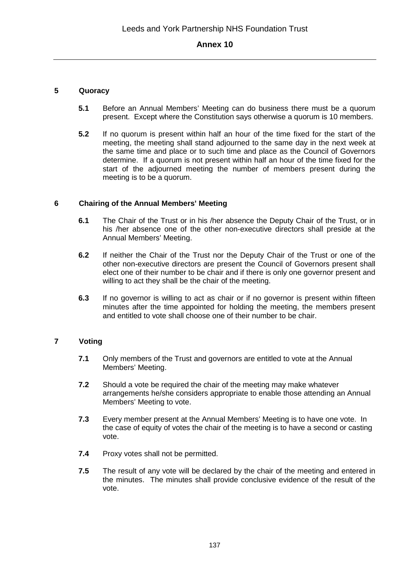#### **5 Quoracy**

- **5.1** Before an Annual Members' Meeting can do business there must be a quorum present. Except where the Constitution says otherwise a quorum is 10 members.
- **5.2** If no quorum is present within half an hour of the time fixed for the start of the meeting, the meeting shall stand adjourned to the same day in the next week at the same time and place or to such time and place as the Council of Governors determine. If a quorum is not present within half an hour of the time fixed for the start of the adjourned meeting the number of members present during the meeting is to be a quorum.

#### **6 Chairing of the Annual Members' Meeting**

- **6.1** The Chair of the Trust or in his /her absence the Deputy Chair of the Trust, or in his /her absence one of the other non-executive directors shall preside at the Annual Members' Meeting.
- **6.2** If neither the Chair of the Trust nor the Deputy Chair of the Trust or one of the other non-executive directors are present the Council of Governors present shall elect one of their number to be chair and if there is only one governor present and willing to act they shall be the chair of the meeting.
- **6.3** If no governor is willing to act as chair or if no governor is present within fifteen minutes after the time appointed for holding the meeting, the members present and entitled to vote shall choose one of their number to be chair.

## **7 Voting**

- **7.1** Only members of the Trust and governors are entitled to vote at the Annual Members' Meeting.
- **7.2** Should a vote be required the chair of the meeting may make whatever arrangements he/she considers appropriate to enable those attending an Annual Members' Meeting to vote.
- **7.3** Every member present at the Annual Members' Meeting is to have one vote. In the case of equity of votes the chair of the meeting is to have a second or casting vote.
- **7.4** Proxy votes shall not be permitted.
- **7.5** The result of any vote will be declared by the chair of the meeting and entered in the minutes. The minutes shall provide conclusive evidence of the result of the vote.